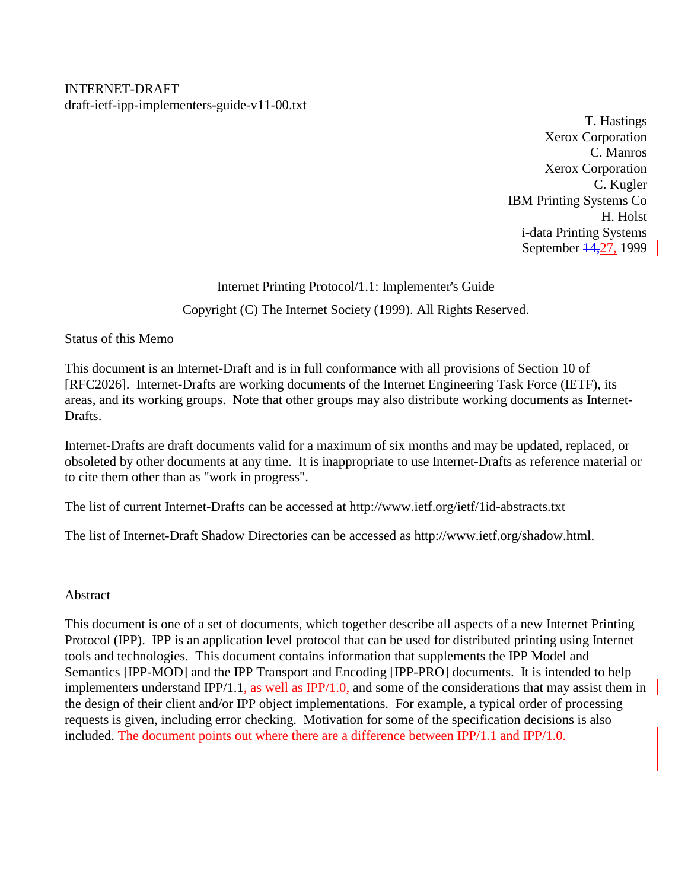T. Hastings Xerox Corporation C. Manros Xerox Corporation C. Kugler IBM Printing Systems Co H. Holst i-data Printing Systems September <del>14,</del>27, 1999

# Internet Printing Protocol/1.1: Implementer's Guide Copyright (C) The Internet Society (1999). All Rights Reserved.

Status of this Memo

This document is an Internet-Draft and is in full conformance with all provisions of Section 10 of [RFC2026]. Internet-Drafts are working documents of the Internet Engineering Task Force (IETF), its areas, and its working groups. Note that other groups may also distribute working documents as Internet-Drafts.

Internet-Drafts are draft documents valid for a maximum of six months and may be updated, replaced, or obsoleted by other documents at any time. It is inappropriate to use Internet-Drafts as reference material or to cite them other than as "work in progress".

The list of current Internet-Drafts can be accessed at http://www.ietf.org/ietf/1id-abstracts.txt

The list of Internet-Draft Shadow Directories can be accessed as http://www.ietf.org/shadow.html.

#### Abstract

This document is one of a set of documents, which together describe all aspects of a new Internet Printing Protocol (IPP). IPP is an application level protocol that can be used for distributed printing using Internet tools and technologies. This document contains information that supplements the IPP Model and Semantics [IPP-MOD] and the IPP Transport and Encoding [IPP-PRO] documents. It is intended to help implementers understand IPP/1.1, as well as IPP/1.0, and some of the considerations that may assist them in the design of their client and/or IPP object implementations. For example, a typical order of processing requests is given, including error checking. Motivation for some of the specification decisions is also included. The document points out where there are a difference between IPP/1.1 and IPP/1.0.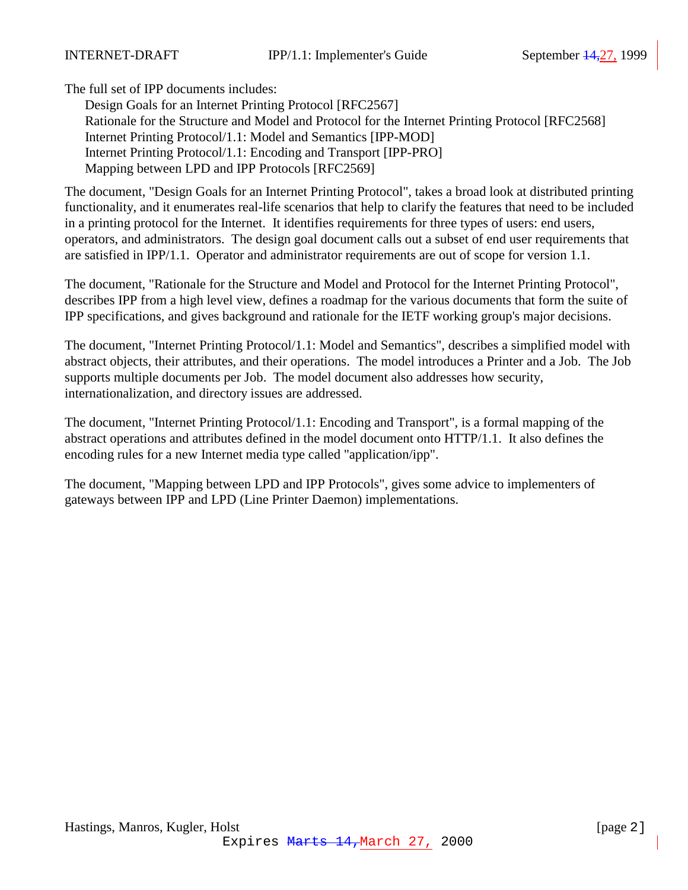The full set of IPP documents includes:

Design Goals for an Internet Printing Protocol [RFC2567] Rationale for the Structure and Model and Protocol for the Internet Printing Protocol [RFC2568] Internet Printing Protocol/1.1: Model and Semantics [IPP-MOD] Internet Printing Protocol/1.1: Encoding and Transport [IPP-PRO] Mapping between LPD and IPP Protocols [RFC2569]

The document, "Design Goals for an Internet Printing Protocol", takes a broad look at distributed printing functionality, and it enumerates real-life scenarios that help to clarify the features that need to be included in a printing protocol for the Internet. It identifies requirements for three types of users: end users, operators, and administrators. The design goal document calls out a subset of end user requirements that are satisfied in IPP/1.1. Operator and administrator requirements are out of scope for version 1.1.

The document, "Rationale for the Structure and Model and Protocol for the Internet Printing Protocol", describes IPP from a high level view, defines a roadmap for the various documents that form the suite of IPP specifications, and gives background and rationale for the IETF working group's major decisions.

The document, "Internet Printing Protocol/1.1: Model and Semantics", describes a simplified model with abstract objects, their attributes, and their operations. The model introduces a Printer and a Job. The Job supports multiple documents per Job. The model document also addresses how security, internationalization, and directory issues are addressed.

The document, "Internet Printing Protocol/1.1: Encoding and Transport", is a formal mapping of the abstract operations and attributes defined in the model document onto HTTP/1.1. It also defines the encoding rules for a new Internet media type called "application/ipp".

The document, "Mapping between LPD and IPP Protocols", gives some advice to implementers of gateways between IPP and LPD (Line Printer Daemon) implementations.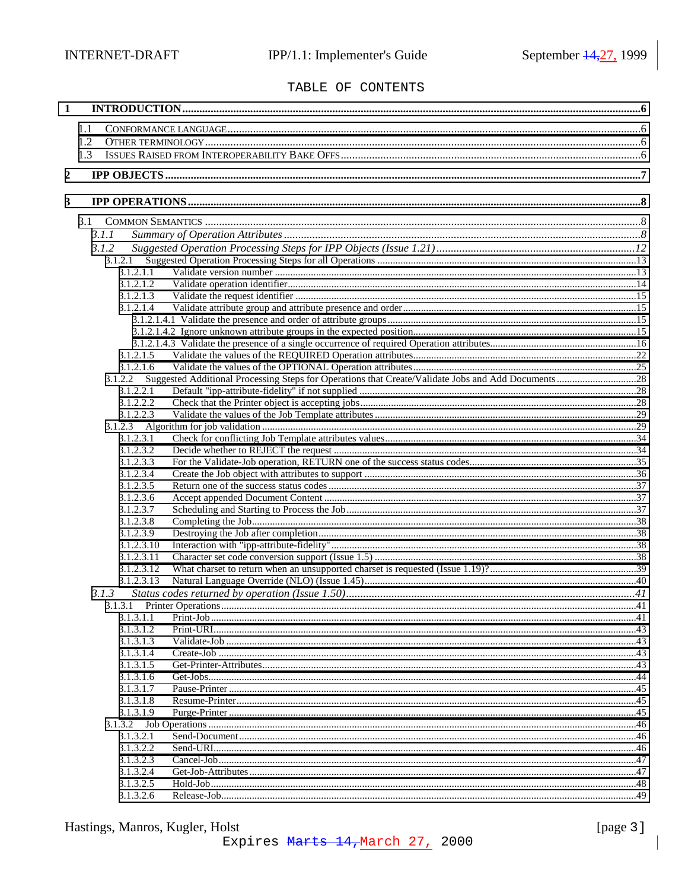## TABLE OF CONTENTS

| 1              |                        |  |
|----------------|------------------------|--|
|                | 1.1                    |  |
|                | 1.2                    |  |
|                | 1.3                    |  |
|                |                        |  |
| $\overline{2}$ |                        |  |
| $\mathbf{3}$   |                        |  |
|                | 3.1                    |  |
|                | 3.1.1                  |  |
|                | 3.1.2                  |  |
|                |                        |  |
|                | 3.1.2.1.1              |  |
|                | 3.1.2.1.2              |  |
|                | 3.1.2.1.3              |  |
|                | 3.1.2.1.4              |  |
|                |                        |  |
|                |                        |  |
|                |                        |  |
|                | 3.1.2.1.5              |  |
|                | 3.1.2.1.6              |  |
|                |                        |  |
|                | 3.1.2.2.1              |  |
|                | 3.1.2.2.2              |  |
|                | 3.1.2.2.3              |  |
|                |                        |  |
|                | 3.1.2.3.1              |  |
|                | 3.1.2.3.2<br>3.1.2.3.3 |  |
|                | 3.1.2.3.4              |  |
|                | 3.1.2.3.5              |  |
|                | 3.1.2.3.6              |  |
|                | 3.1.2.3.7              |  |
|                | 3.1.2.3.8              |  |
|                | 3.1.2.3.9              |  |
|                | 3.1.2.3.10             |  |
|                | 3.1.2.3.11             |  |
|                | 3.1.2.3.12             |  |
|                | 3.1.2.3.13             |  |
|                |                        |  |
|                |                        |  |
|                | 3.1.3.1.1              |  |
|                | 3.1.3.1.2              |  |
|                | 3.1.3.1.3              |  |
|                | 3.1.3.1.4              |  |
|                | 3.1.3.1.5              |  |
|                | 3.1.3.1.6              |  |
|                | 3.1.3.1.7<br>3.1.3.1.8 |  |
|                | 3.1.3.1.9              |  |
|                |                        |  |
|                | 3.1.3.2.1              |  |
|                | 3.1.3.2.2              |  |
|                | 3.1.3.2.3              |  |
|                | 3.1.3.2.4              |  |
|                | 3.1.3.2.5              |  |
|                | 3.1.3.2.6              |  |
|                |                        |  |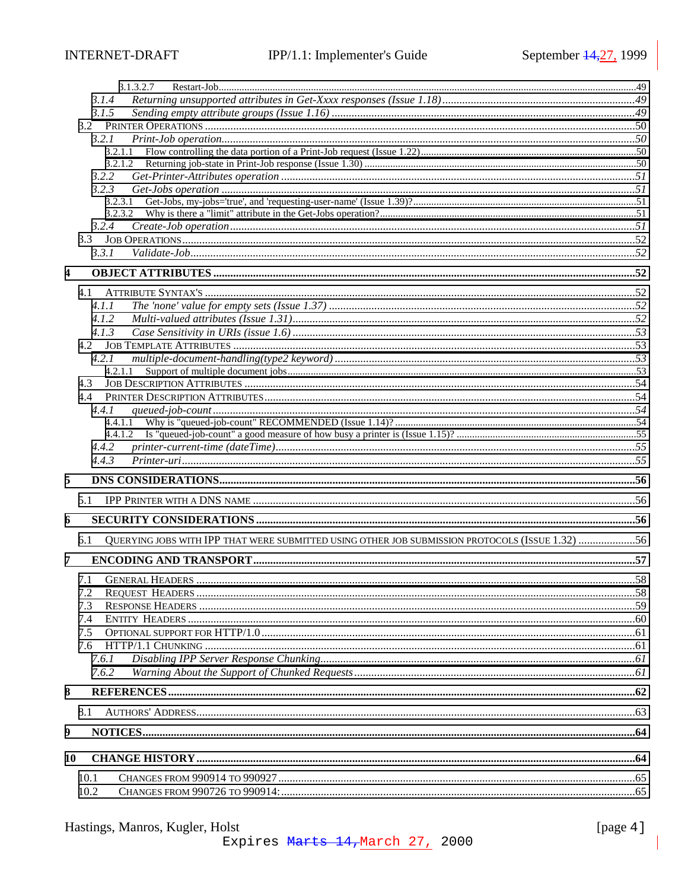|    | 3.1.3.2.7                                                                                              |    |
|----|--------------------------------------------------------------------------------------------------------|----|
|    | 3.1.4                                                                                                  |    |
|    | 3.1.5                                                                                                  |    |
|    |                                                                                                        |    |
|    | 3.2.1                                                                                                  |    |
|    | 3.2.1.1                                                                                                |    |
|    | 3.2.1.2                                                                                                |    |
|    | 3.2.2                                                                                                  |    |
|    | 3.2.3<br>3.2.3.1                                                                                       |    |
|    | 3.2.3.2                                                                                                |    |
|    | 3.2.4                                                                                                  |    |
|    |                                                                                                        |    |
|    | 3.3.1                                                                                                  |    |
| 4  |                                                                                                        |    |
|    | 4.1                                                                                                    |    |
|    | 4.1.1                                                                                                  |    |
|    | 4.1.2                                                                                                  |    |
|    | 4.1.3                                                                                                  |    |
|    | 4.2                                                                                                    |    |
|    | 4.2.1                                                                                                  |    |
|    | 4.2.1.1                                                                                                |    |
|    | 4.3                                                                                                    |    |
|    | 4.4                                                                                                    |    |
|    | 4.4.1                                                                                                  |    |
|    | 4.4.1.1<br>4.4.1.2                                                                                     |    |
|    | 4.4.2                                                                                                  |    |
|    | 4.4.3                                                                                                  |    |
| 5  |                                                                                                        |    |
|    | 5.1                                                                                                    |    |
|    |                                                                                                        |    |
| 6  |                                                                                                        |    |
|    | QUERYING JOBS WITH IPP THAT WERE SUBMITTED USING OTHER JOB SUBMISSION PROTOCOLS (ISSUE 1.32) 56<br>6.1 |    |
| 7  |                                                                                                        |    |
|    | 7.1 GENERAL HEADERS                                                                                    | 58 |
|    | 7.2                                                                                                    |    |
|    | 7.3                                                                                                    |    |
|    | 7.4                                                                                                    |    |
|    | 7.5                                                                                                    |    |
|    | 7.6                                                                                                    |    |
|    | 7.6.1                                                                                                  |    |
|    | 7.6.2                                                                                                  |    |
| 8  |                                                                                                        |    |
|    | 8.1                                                                                                    |    |
| 9  |                                                                                                        |    |
| 10 |                                                                                                        |    |
|    | 10.1                                                                                                   |    |
|    | 10.2                                                                                                   |    |
|    |                                                                                                        |    |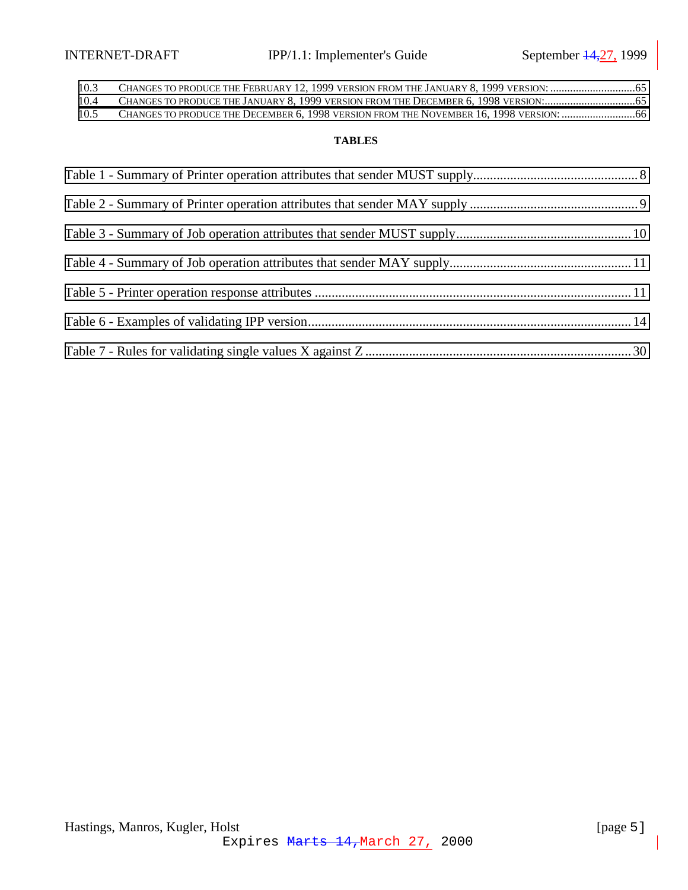| 10.3 | CHANGES TO PRODUCE THE FEBRUARY 12, 1999 VERSION FROM THE JANUARY 8, 1999 VERSION: 65 |  |
|------|---------------------------------------------------------------------------------------|--|
| 10.4 | CHANGES TO PRODUCE THE JANUARY 8, 1999 VERSION FROM THE DECEMBER 6, 1998 VERSION:     |  |

```
10.5 CHANGES TO PRODUCE THE DECEMBER 6, 1998 VERSION FROM THE NOVEMBER 16, 1998 VERSION: ..........................66
```
#### **TABLES**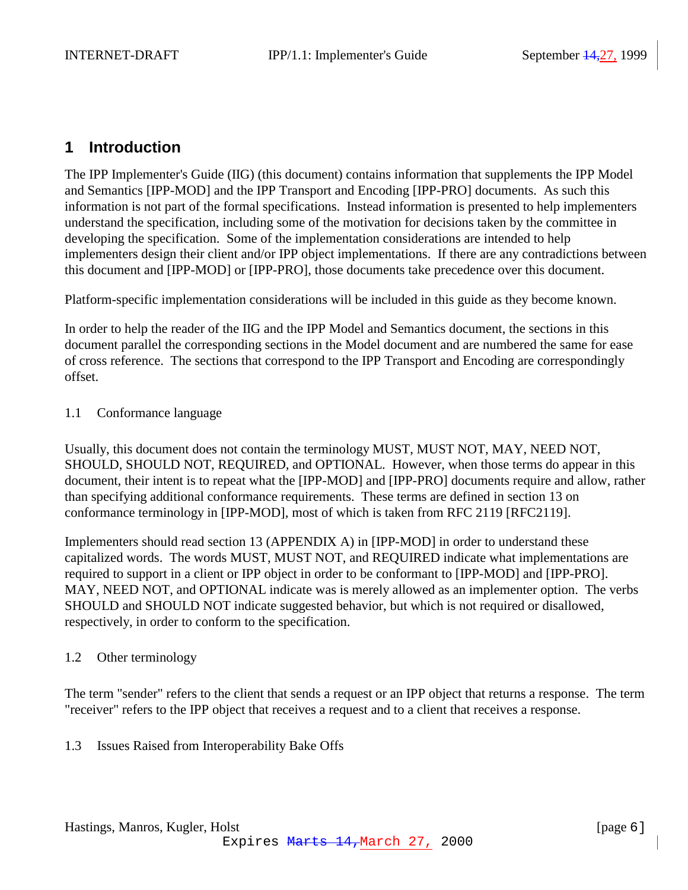# <span id="page-5-0"></span>**1 Introduction**

The IPP Implementer's Guide (IIG) (this document) contains information that supplements the IPP Model and Semantics [IPP-MOD] and the IPP Transport and Encoding [IPP-PRO] documents. As such this information is not part of the formal specifications. Instead information is presented to help implementers understand the specification, including some of the motivation for decisions taken by the committee in developing the specification. Some of the implementation considerations are intended to help implementers design their client and/or IPP object implementations. If there are any contradictions between this document and [IPP-MOD] or [IPP-PRO], those documents take precedence over this document.

Platform-specific implementation considerations will be included in this guide as they become known.

In order to help the reader of the IIG and the IPP Model and Semantics document, the sections in this document parallel the corresponding sections in the Model document and are numbered the same for ease of cross reference. The sections that correspond to the IPP Transport and Encoding are correspondingly offset.

#### 1.1 Conformance language

Usually, this document does not contain the terminology MUST, MUST NOT, MAY, NEED NOT, SHOULD, SHOULD NOT, REQUIRED, and OPTIONAL. However, when those terms do appear in this document, their intent is to repeat what the [IPP-MOD] and [IPP-PRO] documents require and allow, rather than specifying additional conformance requirements. These terms are defined in section 13 on conformance terminology in [IPP-MOD], most of which is taken from RFC 2119 [RFC2119].

Implementers should read section 13 (APPENDIX A) in [IPP-MOD] in order to understand these capitalized words. The words MUST, MUST NOT, and REQUIRED indicate what implementations are required to support in a client or IPP object in order to be conformant to [IPP-MOD] and [IPP-PRO]. MAY, NEED NOT, and OPTIONAL indicate was is merely allowed as an implementer option. The verbs SHOULD and SHOULD NOT indicate suggested behavior, but which is not required or disallowed, respectively, in order to conform to the specification.

## 1.2 Other terminology

The term "sender" refers to the client that sends a request or an IPP object that returns a response. The term "receiver" refers to the IPP object that receives a request and to a client that receives a response.

## 1.3 Issues Raised from Interoperability Bake Offs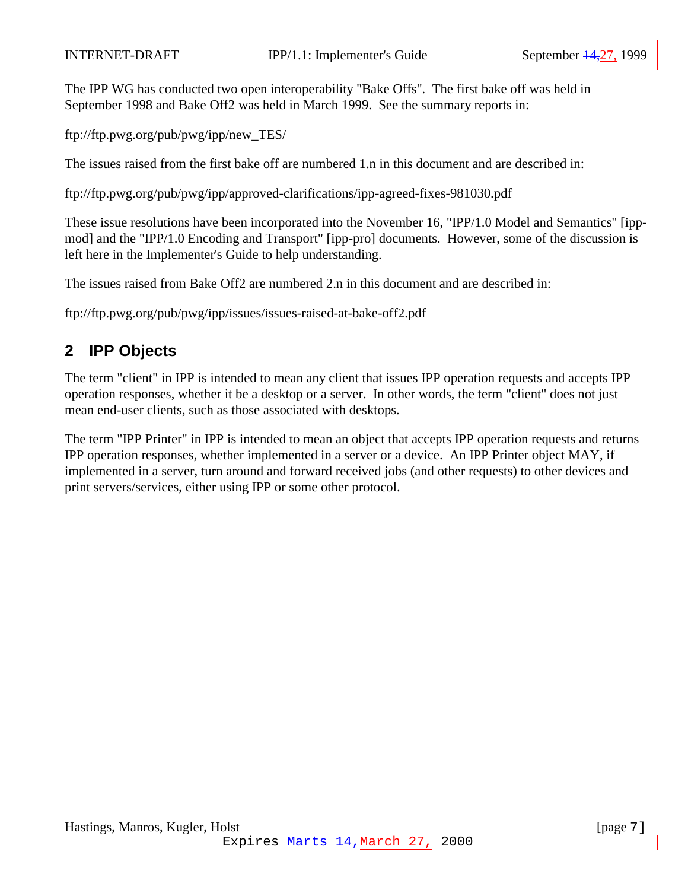<span id="page-6-0"></span>The IPP WG has conducted two open interoperability "Bake Offs". The first bake off was held in September 1998 and Bake Off2 was held in March 1999. See the summary reports in:

ftp://ftp.pwg.org/pub/pwg/ipp/new\_TES/

The issues raised from the first bake off are numbered 1.n in this document and are described in:

ftp://ftp.pwg.org/pub/pwg/ipp/approved-clarifications/ipp-agreed-fixes-981030.pdf

These issue resolutions have been incorporated into the November 16, "IPP/1.0 Model and Semantics" [ippmod] and the "IPP/1.0 Encoding and Transport" [ipp-pro] documents. However, some of the discussion is left here in the Implementer's Guide to help understanding.

The issues raised from Bake Off2 are numbered 2.n in this document and are described in:

ftp://ftp.pwg.org/pub/pwg/ipp/issues/issues-raised-at-bake-off2.pdf

# **2 IPP Objects**

The term "client" in IPP is intended to mean any client that issues IPP operation requests and accepts IPP operation responses, whether it be a desktop or a server. In other words, the term "client" does not just mean end-user clients, such as those associated with desktops.

The term "IPP Printer" in IPP is intended to mean an object that accepts IPP operation requests and returns IPP operation responses, whether implemented in a server or a device. An IPP Printer object MAY, if implemented in a server, turn around and forward received jobs (and other requests) to other devices and print servers/services, either using IPP or some other protocol.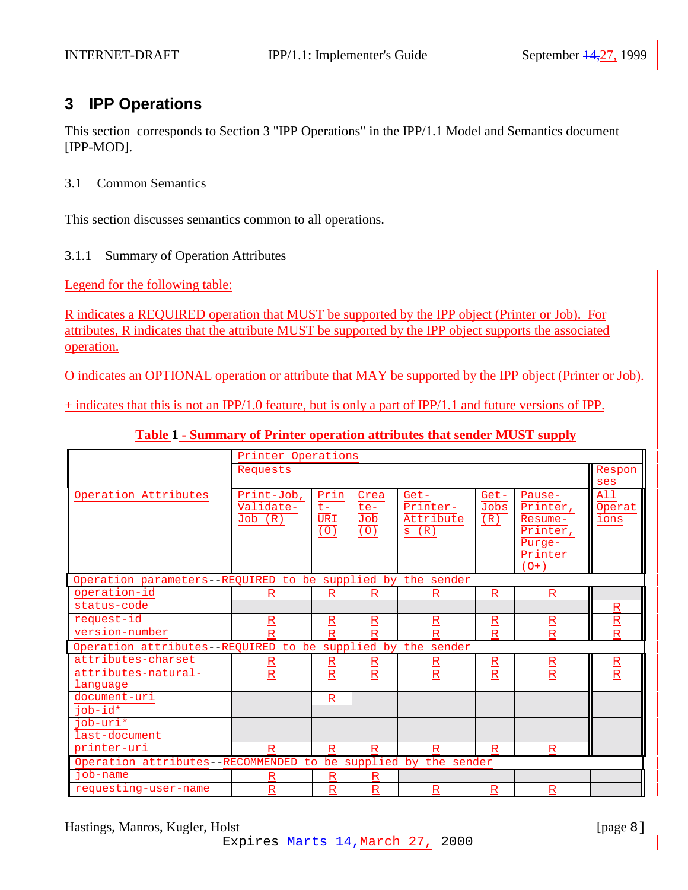# <span id="page-7-0"></span>**3 IPP Operations**

This section corresponds to Section 3 "IPP Operations" in the IPP/1.1 Model and Semantics document [IPP-MOD].

3.1 Common Semantics

This section discusses semantics common to all operations.

3.1.1 Summary of Operation Attributes

Legend for the following table:

R indicates a REQUIRED operation that MUST be supported by the IPP object (Printer or Job). For attributes, R indicates that the attribute MUST be supported by the IPP object supports the associated operation.

O indicates an OPTIONAL operation or attribute that MAY be supported by the IPP object (Printer or Job).

+ indicates that this is not an IPP/1.0 feature, but is only a part of IPP/1.1 and future versions of IPP.

#### **Table 1 - Summary of Printer operation attributes that sender MUST supply**

|                                                                |                         | Printer Operations |                         |              |              |                   |                         |  |  |
|----------------------------------------------------------------|-------------------------|--------------------|-------------------------|--------------|--------------|-------------------|-------------------------|--|--|
|                                                                | Requests                |                    |                         |              |              |                   | Respon                  |  |  |
|                                                                |                         |                    |                         |              |              |                   |                         |  |  |
| Operation Attributes                                           | Print-Job,              | Prin               | Crea                    | $Get-$       | $Get-$       | Pause-            | All                     |  |  |
|                                                                | Validate-               | $t -$              | $te-$                   | Printer-     | Jobs         | Printer,          | Operat                  |  |  |
|                                                                | Job(R)                  | <b>URI</b>         | Job                     | Attribute    | (R)          | Resume-           | ions                    |  |  |
|                                                                |                         | (0)                | (0)                     | s(R)         |              | Printer,          |                         |  |  |
|                                                                |                         |                    |                         |              |              | Purge-            |                         |  |  |
|                                                                |                         |                    |                         |              |              | Printer<br>$(0+)$ |                         |  |  |
| Operation parameters--REQUIRED to be supplied by the sender    |                         |                    |                         |              |              |                   |                         |  |  |
| operation-id                                                   | R                       | R                  | R                       | R            | R            | R                 |                         |  |  |
| status-code                                                    |                         |                    |                         |              |              |                   | $\mathsf{R}$            |  |  |
| request-id                                                     |                         |                    |                         |              |              |                   | $\overline{\mathsf{R}}$ |  |  |
| version-number                                                 | $\mathsf{R}$            | R                  | R                       | R            | R            | R                 |                         |  |  |
|                                                                | R                       | $\mathsf{R}$       | $\mathsf{R}$            | $\mathsf{R}$ | $\mathsf{R}$ | $\mathsf{R}$      | $\mathsf{R}$            |  |  |
| Operation attributes--REQUIRED to be supplied by the sender    |                         |                    |                         |              |              |                   |                         |  |  |
| attributes-charset                                             | R                       | $\mathsf{R}$       | R                       | R            | R            | R                 | R                       |  |  |
| attributes-natural-                                            | $\mathsf R$             | R                  | $\mathsf{R}$            | $\mathsf{R}$ | $\mathsf{R}$ | $\mathsf{R}$      | ${\sf R}$               |  |  |
| language                                                       |                         |                    |                         |              |              |                   |                         |  |  |
| document-uri                                                   |                         | $\mathsf{R}$       |                         |              |              |                   |                         |  |  |
| <i>iob-id*</i>                                                 |                         |                    |                         |              |              |                   |                         |  |  |
| job-uri*                                                       |                         |                    |                         |              |              |                   |                         |  |  |
| last-document                                                  |                         |                    |                         |              |              |                   |                         |  |  |
| printer-uri                                                    | R.                      | R.                 | R.                      | R.           | R.           | R.                |                         |  |  |
| Operation attributes--RECOMMENDED to be supplied by the sender |                         |                    |                         |              |              |                   |                         |  |  |
| iob-name                                                       | R                       | $\mathsf{R}$       | $\overline{\mathsf{R}}$ |              |              |                   |                         |  |  |
| requesting-user-name                                           | $\overline{\mathsf{R}}$ | $\mathsf{R}$       | $\mathsf{R}$            | R            | R            | R                 |                         |  |  |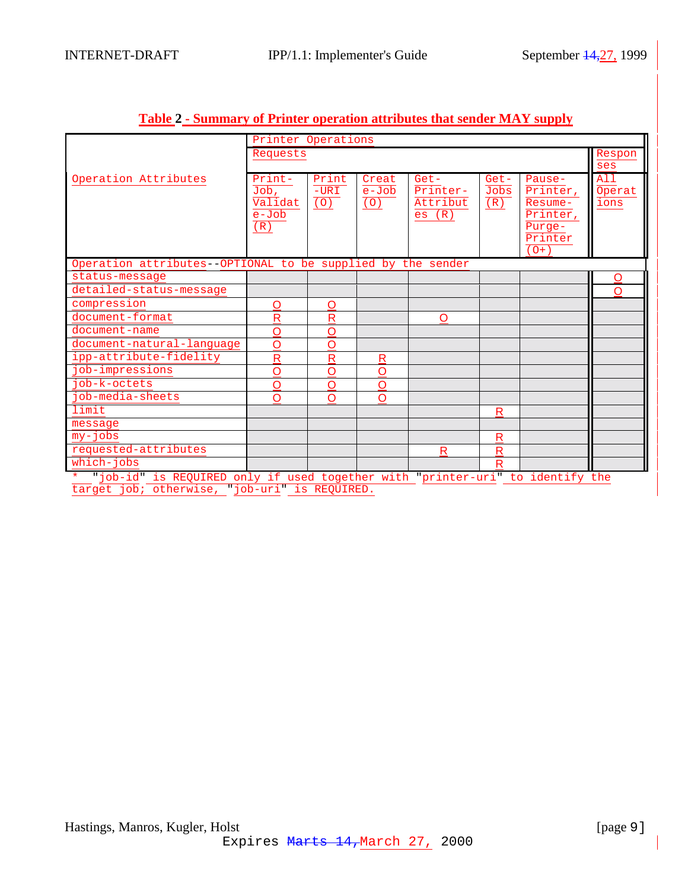<span id="page-8-0"></span>

|                                                                                                                                                                   | Printer Operations      |                         |              |                   |              |                     |          |  |
|-------------------------------------------------------------------------------------------------------------------------------------------------------------------|-------------------------|-------------------------|--------------|-------------------|--------------|---------------------|----------|--|
|                                                                                                                                                                   | Requests                |                         |              |                   |              |                     |          |  |
|                                                                                                                                                                   |                         |                         |              |                   |              |                     |          |  |
| Operation Attributes                                                                                                                                              | Print-                  | Print                   | Creat        | $Get-$            | $Get-$       | Pause-              | All      |  |
|                                                                                                                                                                   | Job,                    | $-URI$                  | $e-Job$      | Printer-          | Jobs         | Printer,            | Operat   |  |
|                                                                                                                                                                   | Validat<br>e-Job        | (0)                     | (0)          | Attribut<br>es(R) | (R)          | Resume-<br>Printer, | ions     |  |
|                                                                                                                                                                   | (R)                     |                         |              |                   |              | Purge-              |          |  |
|                                                                                                                                                                   |                         |                         |              |                   |              | Printer             |          |  |
|                                                                                                                                                                   |                         |                         |              |                   |              | $(0+)$              |          |  |
| Operation attributes--OPTIONAL to be supplied by the sender                                                                                                       |                         |                         |              |                   |              |                     |          |  |
| status-message                                                                                                                                                    |                         |                         |              |                   |              |                     | O        |  |
| detailed-status-message                                                                                                                                           |                         |                         |              |                   |              |                     | $\Omega$ |  |
| compression                                                                                                                                                       | O                       | O                       |              |                   |              |                     |          |  |
| document-format                                                                                                                                                   | R                       | $\mathsf{R}$            |              | $\circ$           |              |                     |          |  |
| document-name                                                                                                                                                     | O                       | O                       |              |                   |              |                     |          |  |
| document-natural-language                                                                                                                                         | O                       | O                       |              |                   |              |                     |          |  |
| ipp-attribute-fidelity                                                                                                                                            | $\overline{\mathsf{R}}$ | $\overline{\mathsf{R}}$ | $\mathsf{R}$ |                   |              |                     |          |  |
| job-impressions                                                                                                                                                   | O                       | $\overline{O}$          | $\circ$      |                   |              |                     |          |  |
| job-k-octets                                                                                                                                                      | $\circ$                 | $\overline{O}$          | $\circ$      |                   |              |                     |          |  |
| job-media-sheets                                                                                                                                                  | $\Omega$                | O                       | O            |                   |              |                     |          |  |
| limit                                                                                                                                                             |                         |                         |              |                   | R            |                     |          |  |
| message                                                                                                                                                           |                         |                         |              |                   |              |                     |          |  |
| $my - jobs$                                                                                                                                                       |                         |                         |              |                   | R            |                     |          |  |
| requested-attributes                                                                                                                                              |                         |                         |              | R                 | $\mathsf{R}$ |                     |          |  |
| which-jobs                                                                                                                                                        |                         |                         |              |                   | R            |                     |          |  |
| "job-id" is REQUIRED only if used together with "printer-uri" to identify the<br>$\star$<br>a dia mandang pangang pangalang pang<br>$\mathbf{L}$ and $\mathbf{L}$ |                         |                         |              |                   |              |                     |          |  |

**Table 2 - Summary of Printer operation attributes that sender MAY supply**

target job; otherwise, "job-uri" is REQUIRED.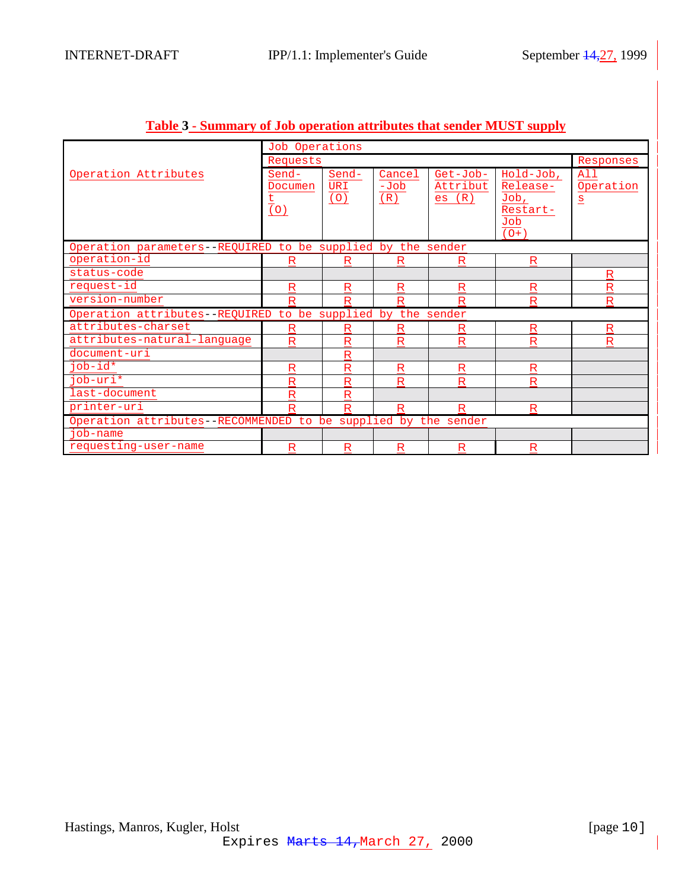<span id="page-9-0"></span>

|                                                                | Job Operations |                  |        |          |              |              |  |  |
|----------------------------------------------------------------|----------------|------------------|--------|----------|--------------|--------------|--|--|
|                                                                | Requests       | Responses        |        |          |              |              |  |  |
| Operation Attributes                                           | Send-          | Send-            | Cancel | Get-Job- | Hold-Job,    | All          |  |  |
|                                                                | Documen        | URI              | $-Jop$ | Attribut | Release-     | Operation    |  |  |
|                                                                |                | $\overline{(0)}$ | (R)    | es(R)    | Job,         | $\mathbf{s}$ |  |  |
|                                                                | (0)            |                  |        |          | Restart-     |              |  |  |
|                                                                |                |                  |        |          | Job          |              |  |  |
|                                                                |                |                  |        |          | $(0+)$       |              |  |  |
| Operation parameters--REQUIRED to be supplied by the sender    |                |                  |        |          |              |              |  |  |
| operation-id                                                   | R              | R                | R      | R        | R            |              |  |  |
| status-code                                                    |                |                  |        |          |              | R            |  |  |
| request-id                                                     | R              | R                | R      | R        | R            | R            |  |  |
| version-number                                                 | R              | R                | R      | R        | $\mathsf{R}$ | $\mathsf{R}$ |  |  |
| Operation attributes--REQUIRED to be supplied by the sender    |                |                  |        |          |              |              |  |  |
| attributes-charset                                             | R              | R                | R      | R        | R            | R            |  |  |
| attributes-natural-language                                    | R              | $\mathsf{R}$     | R      | R        | $\mathsf{R}$ | R            |  |  |
| document-uri                                                   |                | $\mathsf{R}$     |        |          |              |              |  |  |
| job-id*                                                        | R              | $\mathsf{R}$     | R      | R        | R            |              |  |  |
| job-uri*                                                       | R              | R                | R      | R        | R            |              |  |  |
| last-document                                                  | R              | R                |        |          |              |              |  |  |
| printer-uri                                                    | R              | $\mathsf{R}$     | R      | R        | R            |              |  |  |
| Operation attributes--RECOMMENDED to be supplied by the sender |                |                  |        |          |              |              |  |  |
| iob-name                                                       |                |                  |        |          |              |              |  |  |
| requesting-user-name                                           | R              | R                | R      | R        | R            |              |  |  |

## **Table 3 - Summary of Job operation attributes that sender MUST supply**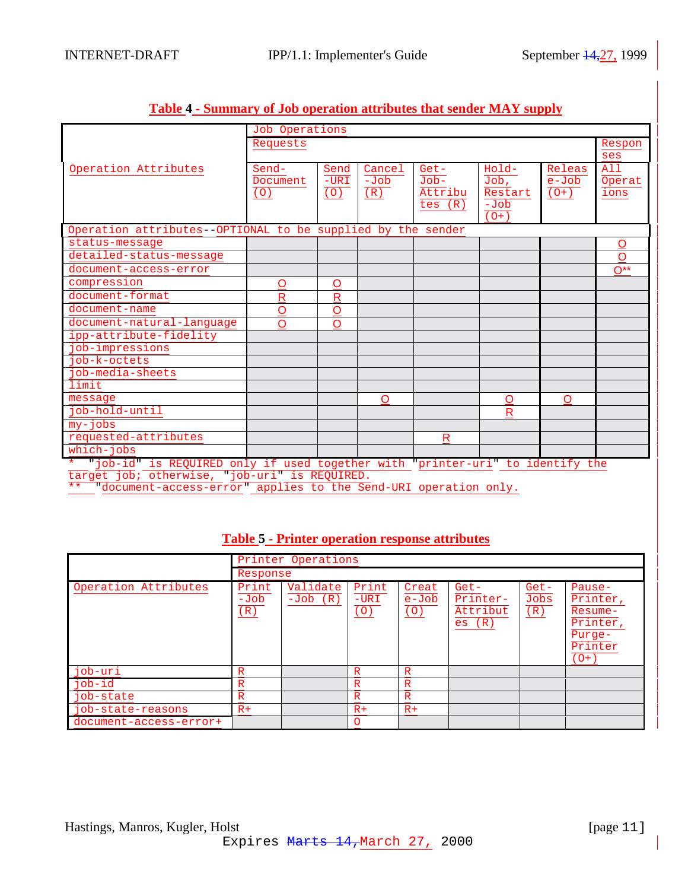<span id="page-10-0"></span>

|                                                                               | Job Operations<br>Respon |              |        |                   |         |         |                  |  |  |
|-------------------------------------------------------------------------------|--------------------------|--------------|--------|-------------------|---------|---------|------------------|--|--|
|                                                                               | Requests                 |              |        |                   |         |         |                  |  |  |
|                                                                               |                          |              |        |                   |         |         |                  |  |  |
| Operation Attributes                                                          | $Send-$                  | Send         | Cancel | $Get-$            | $Hold-$ | Releas  | All              |  |  |
|                                                                               | Document                 | $-URI$       | $-Job$ | $\underline{Job}$ | Job,    | $e-Job$ | Operat           |  |  |
|                                                                               | (0)                      | (0)          | (R)    | Attribu           | Restart | $(0+)$  | ions             |  |  |
|                                                                               |                          |              |        | tes $(R)$         | $-Job$  |         |                  |  |  |
|                                                                               |                          |              |        |                   | $(0+)$  |         |                  |  |  |
| Operation attributes--OPTIONAL to be supplied by the sender                   |                          |              |        |                   |         |         |                  |  |  |
| status-message                                                                |                          |              |        |                   |         |         | O                |  |  |
| detailed-status-message                                                       |                          |              |        |                   |         |         | $\Omega$         |  |  |
| document-access-error                                                         |                          |              |        |                   |         |         | $O^{\star\star}$ |  |  |
| compression                                                                   | O                        | O            |        |                   |         |         |                  |  |  |
| document-format                                                               | $\overline{\mathsf{R}}$  | $\mathsf{R}$ |        |                   |         |         |                  |  |  |
| document-name                                                                 | $\circ$                  | $\circ$      |        |                   |         |         |                  |  |  |
| document-natural-language                                                     | $\overline{O}$           | $\Omega$     |        |                   |         |         |                  |  |  |
| ipp-attribute-fidelity                                                        |                          |              |        |                   |         |         |                  |  |  |
| job-impressions                                                               |                          |              |        |                   |         |         |                  |  |  |
| job-k-octets                                                                  |                          |              |        |                   |         |         |                  |  |  |
| job-media-sheets                                                              |                          |              |        |                   |         |         |                  |  |  |
| limit                                                                         |                          |              |        |                   |         |         |                  |  |  |
| message                                                                       |                          |              | O      |                   | O       | $\circ$ |                  |  |  |
| job-hold-until                                                                |                          |              |        |                   | R       |         |                  |  |  |
| $my-jobs$                                                                     |                          |              |        |                   |         |         |                  |  |  |
| requested-attributes                                                          |                          |              |        | R                 |         |         |                  |  |  |
| which-jobs                                                                    |                          |              |        |                   |         |         |                  |  |  |
| "job-id" is REQUIRED only if used together with "printer-uri" to identify the |                          |              |        |                   |         |         |                  |  |  |
| target job; otherwise, "job-uri" is REQUIRED.                                 |                          |              |        |                   |         |         |                  |  |  |

## **Table 4 - Summary of Job operation attributes that sender MAY supply**

\*\* "document-access-error" applies to the Send-URI operation only.

## **Table 5 - Printer operation response attributes**

|                        |                      | Printer Operations     |                        |                         |                                         |                       |                                                                          |  |  |
|------------------------|----------------------|------------------------|------------------------|-------------------------|-----------------------------------------|-----------------------|--------------------------------------------------------------------------|--|--|
|                        |                      | Response               |                        |                         |                                         |                       |                                                                          |  |  |
| Operation Attributes   | Print<br>-Job<br>(R) | Validate<br>$-Job (R)$ | Print<br>$-URI$<br>(0) | Creat<br>$e-Job$<br>(0) | $Get-$<br>Printer-<br>Attribut<br>es(R) | $Get-$<br>Jobs<br>(R) | Pause-<br>Printer,<br>Resume-<br>Printer,<br>Purge-<br>Printer<br>$(0+)$ |  |  |
| job-uri                | $\mathbb{R}$         |                        | R                      | R                       |                                         |                       |                                                                          |  |  |
| job-id                 | $\mathbb{R}$         |                        | $\mathbb{R}$           | $\mathbb{R}$            |                                         |                       |                                                                          |  |  |
| job-state              | R                    |                        | $\mathbb{R}$           | $\mathbb{R}$            |                                         |                       |                                                                          |  |  |
| job-state-reasons      | $R+$                 |                        | $R+$                   | $R+$                    |                                         |                       |                                                                          |  |  |
| document-access-error+ |                      |                        |                        |                         |                                         |                       |                                                                          |  |  |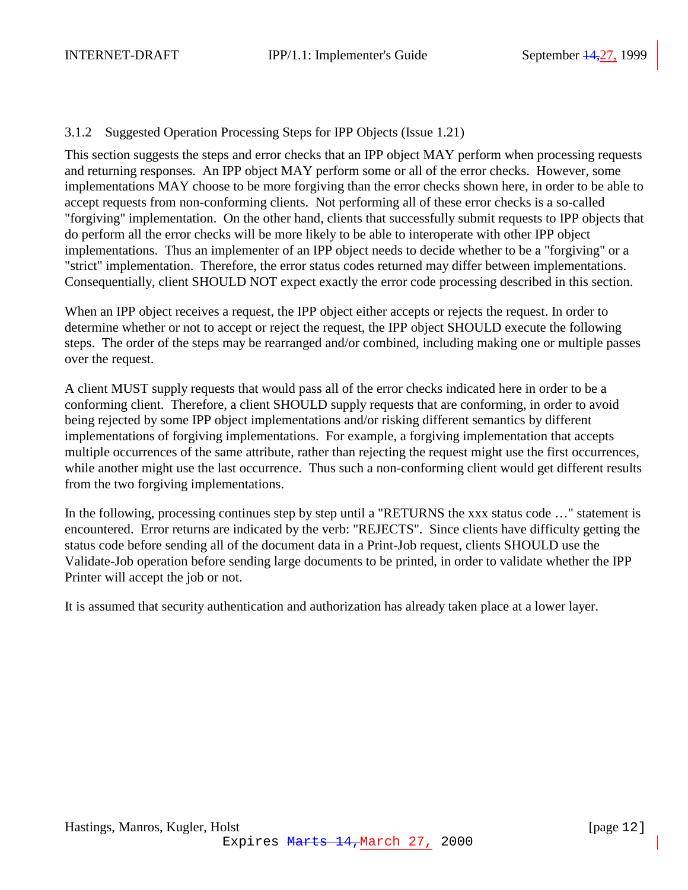## <span id="page-11-0"></span>3.1.2 Suggested Operation Processing Steps for IPP Objects (Issue 1.21)

This section suggests the steps and error checks that an IPP object MAY perform when processing requests and returning responses. An IPP object MAY perform some or all of the error checks. However, some implementations MAY choose to be more forgiving than the error checks shown here, in order to be able to accept requests from non-conforming clients. Not performing all of these error checks is a so-called "forgiving" implementation. On the other hand, clients that successfully submit requests to IPP objects that do perform all the error checks will be more likely to be able to interoperate with other IPP object implementations. Thus an implementer of an IPP object needs to decide whether to be a "forgiving" or a "strict" implementation. Therefore, the error status codes returned may differ between implementations. Consequentially, client SHOULD NOT expect exactly the error code processing described in this section.

When an IPP object receives a request, the IPP object either accepts or rejects the request. In order to determine whether or not to accept or reject the request, the IPP object SHOULD execute the following steps. The order of the steps may be rearranged and/or combined, including making one or multiple passes over the request.

A client MUST supply requests that would pass all of the error checks indicated here in order to be a conforming client. Therefore, a client SHOULD supply requests that are conforming, in order to avoid being rejected by some IPP object implementations and/or risking different semantics by different implementations of forgiving implementations. For example, a forgiving implementation that accepts multiple occurrences of the same attribute, rather than rejecting the request might use the first occurrences, while another might use the last occurrence. Thus such a non-conforming client would get different results from the two forgiving implementations.

In the following, processing continues step by step until a "RETURNS the xxx status code …" statement is encountered. Error returns are indicated by the verb: "REJECTS". Since clients have difficulty getting the status code before sending all of the document data in a Print-Job request, clients SHOULD use the Validate-Job operation before sending large documents to be printed, in order to validate whether the IPP Printer will accept the job or not.

It is assumed that security authentication and authorization has already taken place at a lower layer.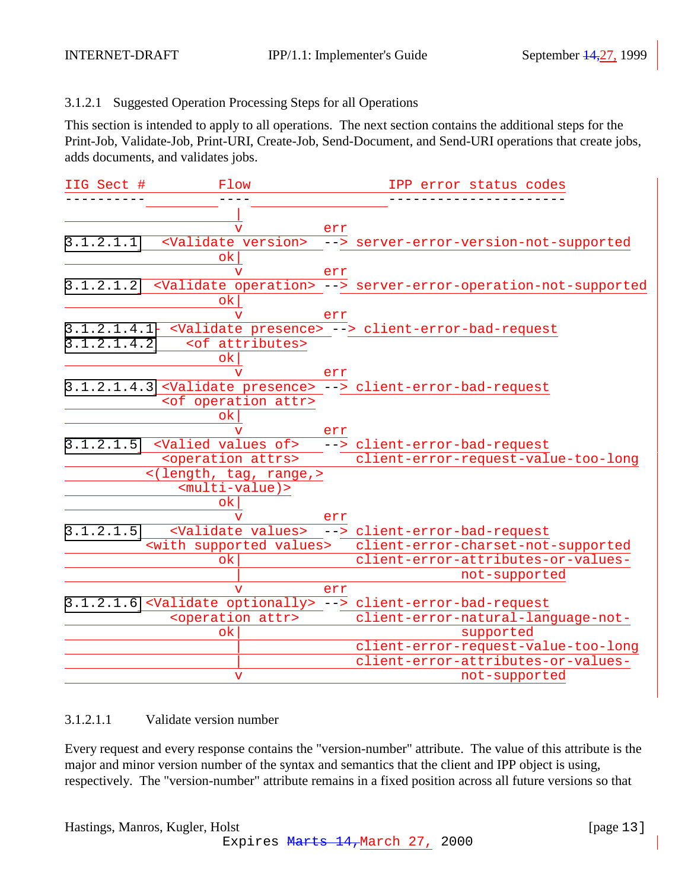#### <span id="page-12-0"></span>3.1.2.1 Suggested Operation Processing Steps for all Operations

This section is intended to apply to all operations. The next section contains the additional steps for the Print-Job, Validate-Job, Print-URI, Create-Job, Send-Document, and Send-URI operations that create jobs, adds documents, and validates jobs.

| IIG Sect #  | Flow                                 |                         |     | IPP error status codes                                                         |
|-------------|--------------------------------------|-------------------------|-----|--------------------------------------------------------------------------------|
|             |                                      |                         |     |                                                                                |
|             |                                      |                         |     |                                                                                |
|             | $\overline{V}$                       |                         | err |                                                                                |
| 3.1.2.1.1   |                                      |                         |     | <validate version=""> --&gt; server-error-version-not-supported</validate>     |
|             | $\mathsf{ok}$                        |                         |     |                                                                                |
|             |                                      |                         | err |                                                                                |
| 3.1.2.1.2   |                                      |                         |     | <validate operation=""> --&gt; server-error-operation-not-supported</validate> |
|             | $\mathsf{ok}$                        |                         |     |                                                                                |
|             |                                      |                         | err |                                                                                |
|             |                                      |                         |     | 3.1.2.1.4.1- <validate presence=""> --&gt; client-error-bad-request</validate> |
| 3.1.2.1.4.2 |                                      | <of attributes=""></of> |     |                                                                                |
|             | ok                                   |                         |     |                                                                                |
|             |                                      |                         | err |                                                                                |
|             |                                      |                         |     | 3.1.2.1.4.3 <validate presence=""> --&gt; client-error-bad-request</validate>  |
|             | <of attr="" operation=""></of>       |                         |     |                                                                                |
|             | ok                                   |                         |     |                                                                                |
|             |                                      |                         | err |                                                                                |
| 3.1.2.1.5   | <valied of="" values=""></valied>    |                         |     | --> client-error-bad-request                                                   |
|             | <operation attrs=""></operation>     |                         |     | client-error-request-value-too-long                                            |
|             | <(length, tag, range,>               |                         |     |                                                                                |
|             | $<$ multi-value) >                   |                         |     |                                                                                |
|             | ok                                   |                         |     |                                                                                |
|             |                                      |                         | err |                                                                                |
| 3.1.2.1.5   |                                      |                         |     | <validate values=""> --&gt; client-error-bad-request</validate>                |
|             | <with supported="" values=""></with> |                         |     | client-error-charset-not-supported                                             |
|             | ok                                   |                         |     | client-error-attributes-or-values-                                             |
|             |                                      |                         |     | not-supported                                                                  |
|             |                                      | $\overline{V}$          | err |                                                                                |
|             |                                      |                         |     | 3.1.2.1.6 <validate optionally=""> --&gt; client-error-bad-request</validate>  |
|             | <operation attr=""></operation>      |                         |     | client-error-natural-language-not-                                             |
|             | ok                                   |                         |     | supported                                                                      |
|             |                                      |                         |     | client-error-request-value-too-long                                            |
|             |                                      |                         |     | client-error-attributes-or-values-                                             |
|             | $\overline{\mathbf{V}}$              |                         |     | not-supported                                                                  |

#### 3.1.2.1.1 Validate version number

Every request and every response contains the "version-number" attribute. The value of this attribute is the major and minor version number of the syntax and semantics that the client and IPP object is using, respectively. The "version-number" attribute remains in a fixed position across all future versions so that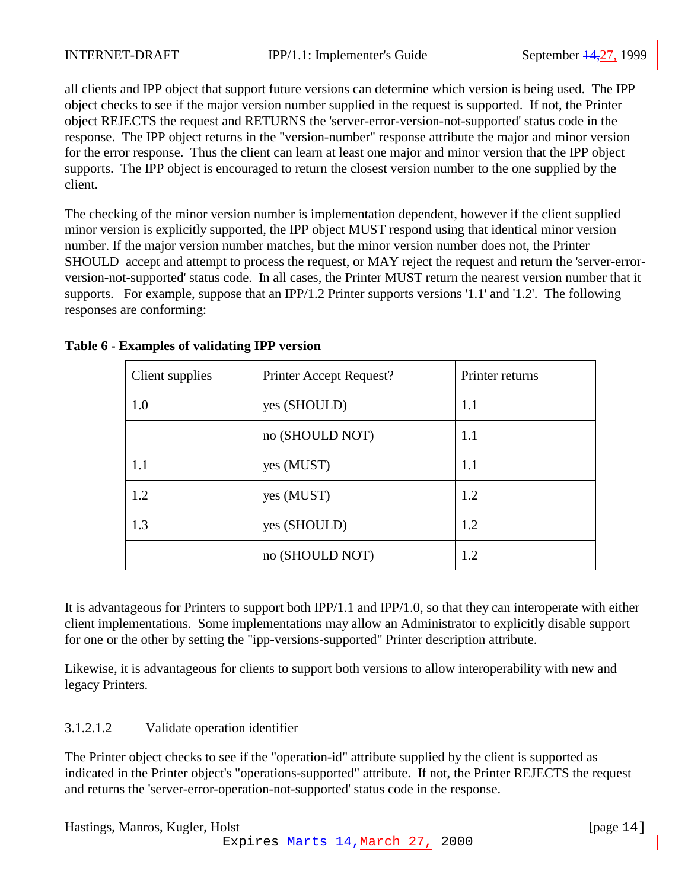<span id="page-13-0"></span>all clients and IPP object that support future versions can determine which version is being used. The IPP object checks to see if the major version number supplied in the request is supported. If not, the Printer object REJECTS the request and RETURNS the 'server-error-version-not-supported' status code in the response. The IPP object returns in the "version-number" response attribute the major and minor version for the error response. Thus the client can learn at least one major and minor version that the IPP object supports. The IPP object is encouraged to return the closest version number to the one supplied by the client.

The checking of the minor version number is implementation dependent, however if the client supplied minor version is explicitly supported, the IPP object MUST respond using that identical minor version number. If the major version number matches, but the minor version number does not, the Printer SHOULD accept and attempt to process the request, or MAY reject the request and return the 'server-errorversion-not-supported' status code. In all cases, the Printer MUST return the nearest version number that it supports. For example, suppose that an IPP/1.2 Printer supports versions '1.1' and '1.2'. The following responses are conforming:

| Client supplies | Printer Accept Request? | Printer returns |
|-----------------|-------------------------|-----------------|
| 1.0             | yes (SHOULD)            | 1.1             |
|                 | no (SHOULD NOT)         | 1.1             |
| 1.1             | yes (MUST)              | 1.1             |
| 1.2             | yes (MUST)              | 1.2             |
| 1.3             | yes (SHOULD)            | 1.2             |
|                 | no (SHOULD NOT)         | 1.2             |

|  |  | Table 6 - Examples of validating IPP version |  |
|--|--|----------------------------------------------|--|
|--|--|----------------------------------------------|--|

It is advantageous for Printers to support both IPP/1.1 and IPP/1.0, so that they can interoperate with either client implementations. Some implementations may allow an Administrator to explicitly disable support for one or the other by setting the "ipp-versions-supported" Printer description attribute.

Likewise, it is advantageous for clients to support both versions to allow interoperability with new and legacy Printers.

## 3.1.2.1.2 Validate operation identifier

The Printer object checks to see if the "operation-id" attribute supplied by the client is supported as indicated in the Printer object's "operations-supported" attribute. If not, the Printer REJECTS the request and returns the 'server-error-operation-not-supported' status code in the response.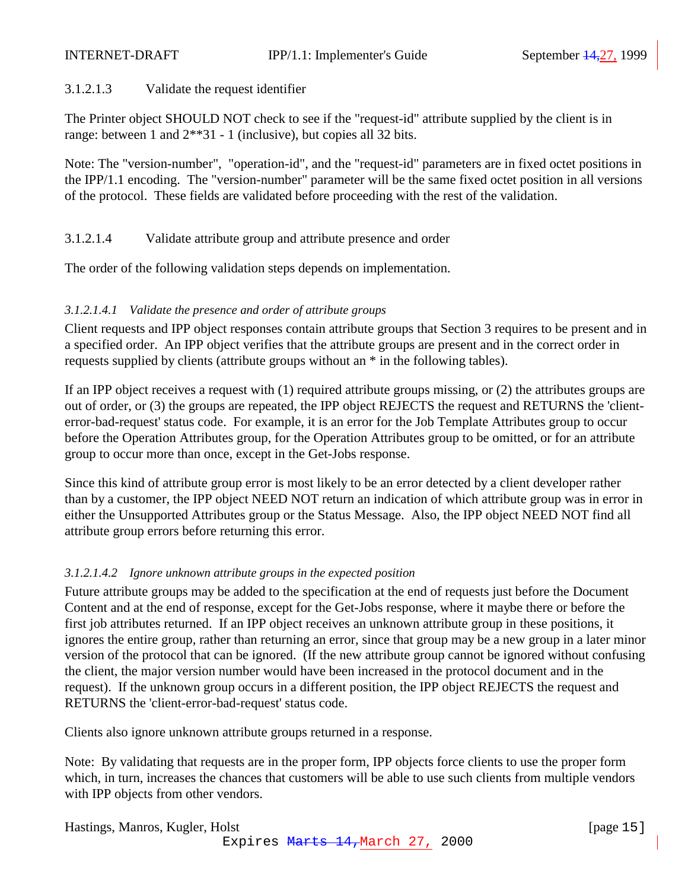## <span id="page-14-0"></span>3.1.2.1.3 Validate the request identifier

The Printer object SHOULD NOT check to see if the "request-id" attribute supplied by the client is in range: between 1 and 2\*\*31 - 1 (inclusive), but copies all 32 bits.

Note: The "version-number", "operation-id", and the "request-id" parameters are in fixed octet positions in the IPP/1.1 encoding. The "version-number" parameter will be the same fixed octet position in all versions of the protocol. These fields are validated before proceeding with the rest of the validation.

## 3.1.2.1.4 Validate attribute group and attribute presence and order

The order of the following validation steps depends on implementation.

## *3.1.2.1.4.1 Validate the presence and order of attribute groups*

Client requests and IPP object responses contain attribute groups that Section 3 requires to be present and in a specified order. An IPP object verifies that the attribute groups are present and in the correct order in requests supplied by clients (attribute groups without an \* in the following tables).

If an IPP object receives a request with (1) required attribute groups missing, or (2) the attributes groups are out of order, or (3) the groups are repeated, the IPP object REJECTS the request and RETURNS the 'clienterror-bad-request' status code. For example, it is an error for the Job Template Attributes group to occur before the Operation Attributes group, for the Operation Attributes group to be omitted, or for an attribute group to occur more than once, except in the Get-Jobs response.

Since this kind of attribute group error is most likely to be an error detected by a client developer rather than by a customer, the IPP object NEED NOT return an indication of which attribute group was in error in either the Unsupported Attributes group or the Status Message. Also, the IPP object NEED NOT find all attribute group errors before returning this error.

## *3.1.2.1.4.2 Ignore unknown attribute groups in the expected position*

Future attribute groups may be added to the specification at the end of requests just before the Document Content and at the end of response, except for the Get-Jobs response, where it maybe there or before the first job attributes returned. If an IPP object receives an unknown attribute group in these positions, it ignores the entire group, rather than returning an error, since that group may be a new group in a later minor version of the protocol that can be ignored. (If the new attribute group cannot be ignored without confusing the client, the major version number would have been increased in the protocol document and in the request). If the unknown group occurs in a different position, the IPP object REJECTS the request and RETURNS the 'client-error-bad-request' status code.

Clients also ignore unknown attribute groups returned in a response.

Note: By validating that requests are in the proper form, IPP objects force clients to use the proper form which, in turn, increases the chances that customers will be able to use such clients from multiple vendors with IPP objects from other vendors.

Hastings, Manros, Kugler, Holst [page 15]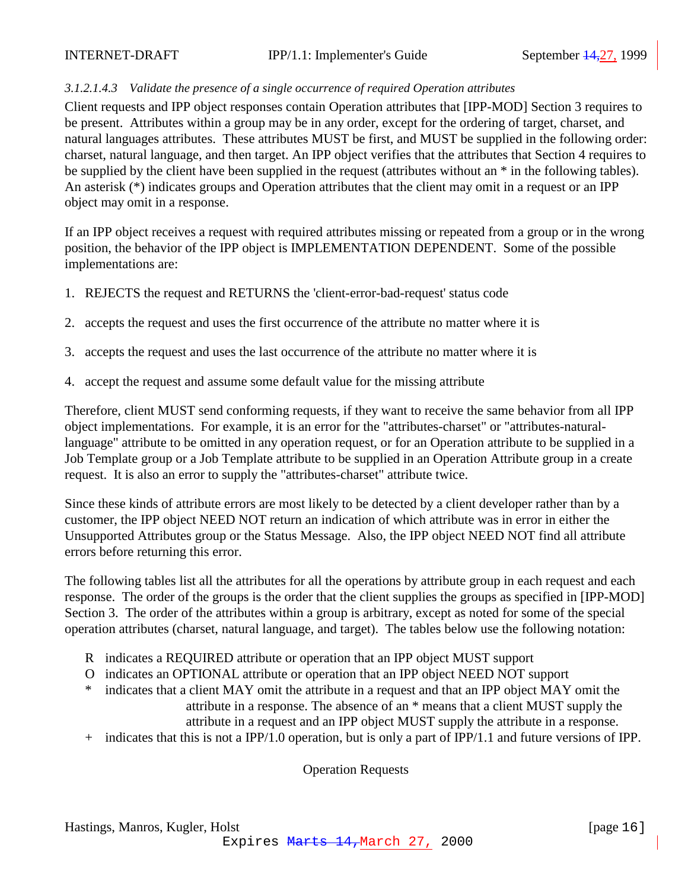## <span id="page-15-0"></span>*3.1.2.1.4.3 Validate the presence of a single occurrence of required Operation attributes*

Client requests and IPP object responses contain Operation attributes that [IPP-MOD] Section 3 requires to be present. Attributes within a group may be in any order, except for the ordering of target, charset, and natural languages attributes. These attributes MUST be first, and MUST be supplied in the following order: charset, natural language, and then target. An IPP object verifies that the attributes that Section 4 requires to be supplied by the client have been supplied in the request (attributes without an \* in the following tables). An asterisk (\*) indicates groups and Operation attributes that the client may omit in a request or an IPP object may omit in a response.

If an IPP object receives a request with required attributes missing or repeated from a group or in the wrong position, the behavior of the IPP object is IMPLEMENTATION DEPENDENT. Some of the possible implementations are:

- 1. REJECTS the request and RETURNS the 'client-error-bad-request' status code
- 2. accepts the request and uses the first occurrence of the attribute no matter where it is
- 3. accepts the request and uses the last occurrence of the attribute no matter where it is
- 4. accept the request and assume some default value for the missing attribute

Therefore, client MUST send conforming requests, if they want to receive the same behavior from all IPP object implementations. For example, it is an error for the "attributes-charset" or "attributes-naturallanguage" attribute to be omitted in any operation request, or for an Operation attribute to be supplied in a Job Template group or a Job Template attribute to be supplied in an Operation Attribute group in a create request. It is also an error to supply the "attributes-charset" attribute twice.

Since these kinds of attribute errors are most likely to be detected by a client developer rather than by a customer, the IPP object NEED NOT return an indication of which attribute was in error in either the Unsupported Attributes group or the Status Message. Also, the IPP object NEED NOT find all attribute errors before returning this error.

The following tables list all the attributes for all the operations by attribute group in each request and each response. The order of the groups is the order that the client supplies the groups as specified in [IPP-MOD] Section 3. The order of the attributes within a group is arbitrary, except as noted for some of the special operation attributes (charset, natural language, and target). The tables below use the following notation:

- R indicates a REQUIRED attribute or operation that an IPP object MUST support
- O indicates an OPTIONAL attribute or operation that an IPP object NEED NOT support
- \* indicates that a client MAY omit the attribute in a request and that an IPP object MAY omit the attribute in a response. The absence of an \* means that a client MUST supply the attribute in a request and an IPP object MUST supply the attribute in a response.
- + indicates that this is not a IPP/1.0 operation, but is only a part of IPP/1.1 and future versions of IPP.

Operation Requests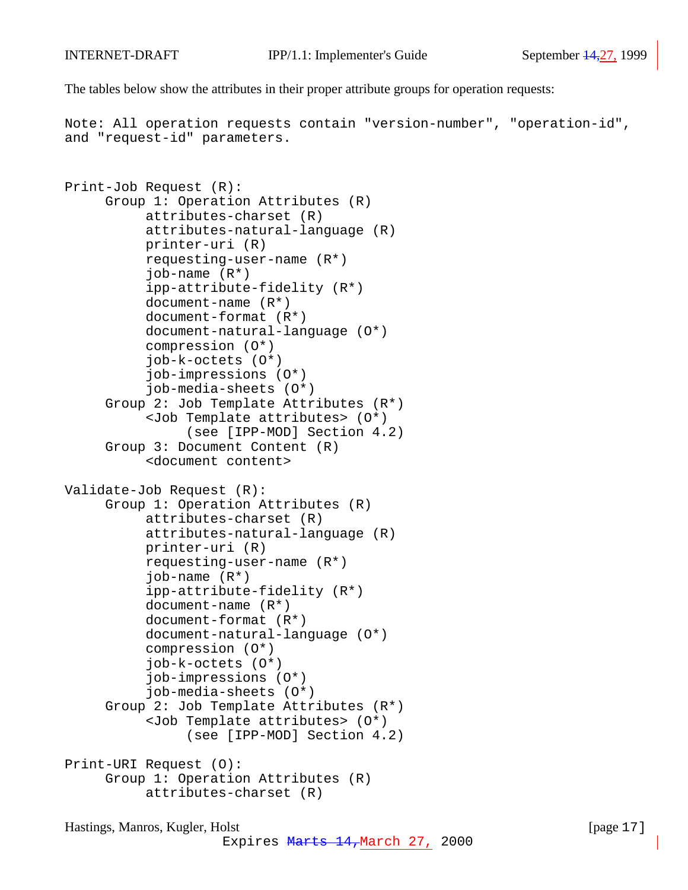The tables below show the attributes in their proper attribute groups for operation requests:

```
Note: All operation requests contain "version-number", "operation-id",
and "request-id" parameters.
Print-Job Request (R):
     Group 1: Operation Attributes (R)
          attributes-charset (R)
          attributes-natural-language (R)
          printer-uri (R)
          requesting-user-name (R*)
          job-name (R*)
          ipp-attribute-fidelity (R*)
          document-name (R*)
          document-format (R*)
          document-natural-language (O*)
          compression (O*)
          job-k-octets (O*)
          job-impressions (O*)
          job-media-sheets (O*)
     Group 2: Job Template Attributes (R*)
          <Job Template attributes> (O*)
               (see [IPP-MOD] Section 4.2)
     Group 3: Document Content (R)
          <document content>
Validate-Job Request (R):
     Group 1: Operation Attributes (R)
          attributes-charset (R)
          attributes-natural-language (R)
          printer-uri (R)
          requesting-user-name (R*)
          job-name (R*)
          ipp-attribute-fidelity (R*)
          document-name (R*)
          document-format (R*)
          document-natural-language (O*)
          compression (O*)
          job-k-octets (O*)
          job-impressions (O*)
          job-media-sheets (O*)
     Group 2: Job Template Attributes (R*)
          <Job Template attributes> (O*)
               (see [IPP-MOD] Section 4.2)
Print-URI Request (O):
     Group 1: Operation Attributes (R)
          attributes-charset (R)
```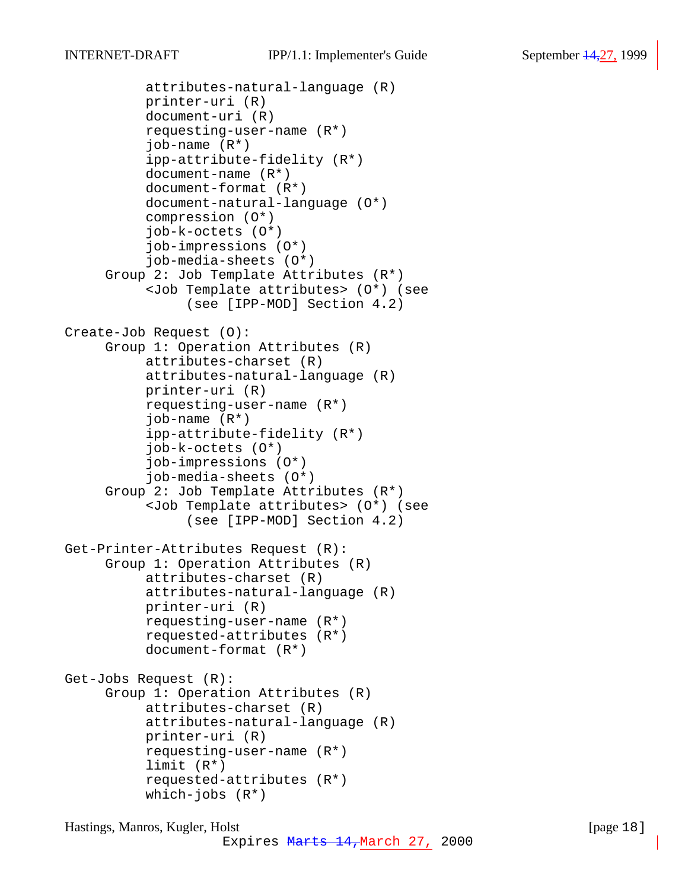```
attributes-natural-language (R)
          printer-uri (R)
          document-uri (R)
          requesting-user-name (R*)
          job-name (R*)
          ipp-attribute-fidelity (R*)
          document-name (R*)
          document-format (R*)
          document-natural-language (O*)
          compression (O*)
          job-k-octets (O*)
          job-impressions (O*)
          job-media-sheets (O*)
     Group 2: Job Template Attributes (R*)
          <Job Template attributes> (O*) (see
               (see [IPP-MOD] Section 4.2)
Create-Job Request (O):
     Group 1: Operation Attributes (R)
          attributes-charset (R)
          attributes-natural-language (R)
          printer-uri (R)
          requesting-user-name (R*)
          job-name (R*)
          ipp-attribute-fidelity (R*)
          job-k-octets (O*)
          job-impressions (O*)
          job-media-sheets (O*)
     Group 2: Job Template Attributes (R*)
          <Job Template attributes> (O*) (see
               (see [IPP-MOD] Section 4.2)
Get-Printer-Attributes Request (R):
     Group 1: Operation Attributes (R)
          attributes-charset (R)
          attributes-natural-language (R)
          printer-uri (R)
          requesting-user-name (R*)
          requested-attributes (R*)
          document-format (R*)
Get-Jobs Request (R):
     Group 1: Operation Attributes (R)
          attributes-charset (R)
          attributes-natural-language (R)
          printer-uri (R)
          requesting-user-name (R*)
          limit (R*)
          requested-attributes (R*)
          which-jobs (R*)
```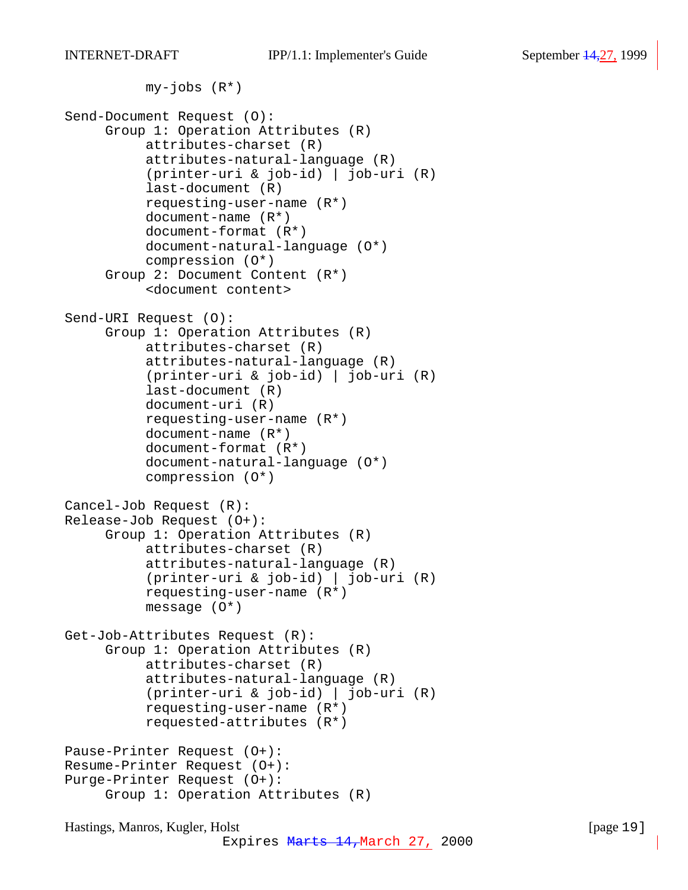```
my-ijobs (R*)Send-Document Request (O):
     Group 1: Operation Attributes (R)
          attributes-charset (R)
          attributes-natural-language (R)
          (printer-uri & job-id) | job-uri (R)
          last-document (R)
          requesting-user-name (R*)
          document-name (R*)
          document-format (R*)
          document-natural-language (O*)
          compression (O*)
     Group 2: Document Content (R*)
          <document content>
Send-URI Request (O):
     Group 1: Operation Attributes (R)
          attributes-charset (R)
          attributes-natural-language (R)
          (printer-uri & job-id) | job-uri (R)
          last-document (R)
          document-uri (R)
          requesting-user-name (R*)
          document-name (R*)
          document-format (R*)
          document-natural-language (O*)
          compression (O*)
Cancel-Job Request (R):
Release-Job Request (O+):
     Group 1: Operation Attributes (R)
          attributes-charset (R)
          attributes-natural-language (R)
          (printer-uri & job-id) | job-uri (R)
          requesting-user-name (R*)
          message (O*)
Get-Job-Attributes Request (R):
     Group 1: Operation Attributes (R)
          attributes-charset (R)
          attributes-natural-language (R)
          (printer-uri & job-id) | job-uri (R)
          requesting-user-name (R*)
          requested-attributes (R*)
Pause-Printer Request (O+):
Resume-Printer Request (O+):
Purge-Printer Request (O+):
     Group 1: Operation Attributes (R)
```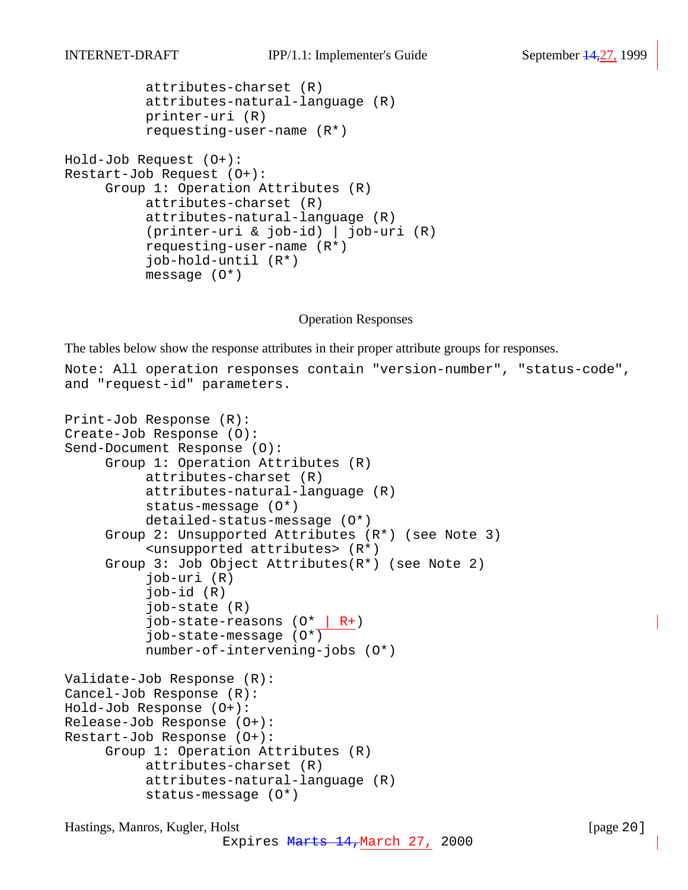attributes-charset (R) attributes-natural-language (R) printer-uri (R) requesting-user-name (R\*)

```
Hold-Job Request (O+):
Restart-Job Request (O+):
     Group 1: Operation Attributes (R)
          attributes-charset (R)
          attributes-natural-language (R)
          (printer-uri & job-id) | job-uri (R)
          requesting-user-name (R*)
          job-hold-until (R*)
          message (O*)
```
Operation Responses

The tables below show the response attributes in their proper attribute groups for responses.

Note: All operation responses contain "version-number", "status-code", and "request-id" parameters.

```
Print-Job Response (R):
Create-Job Response (O):
Send-Document Response (O):
     Group 1: Operation Attributes (R)
          attributes-charset (R)
          attributes-natural-language (R)
          status-message (O*)
          detailed-status-message (O*)
     Group 2: Unsupported Attributes (R*) (see Note 3)
          <unsupported attributes> (R*)
     Group 3: Job Object Attributes(R*) (see Note 2)
          job-uri (R)
          job-id (R)
          job-state (R)
          job-state-reasons (O* | R+)
          job-state-message (O*)
          number-of-intervening-jobs (O*)
Validate-Job Response (R):
Cancel-Job Response (R):
Hold-Job Response (O+):
Release-Job Response (O+):
Restart-Job Response (O+):
     Group 1: Operation Attributes (R)
          attributes-charset (R)
          attributes-natural-language (R)
          status-message (O*)
```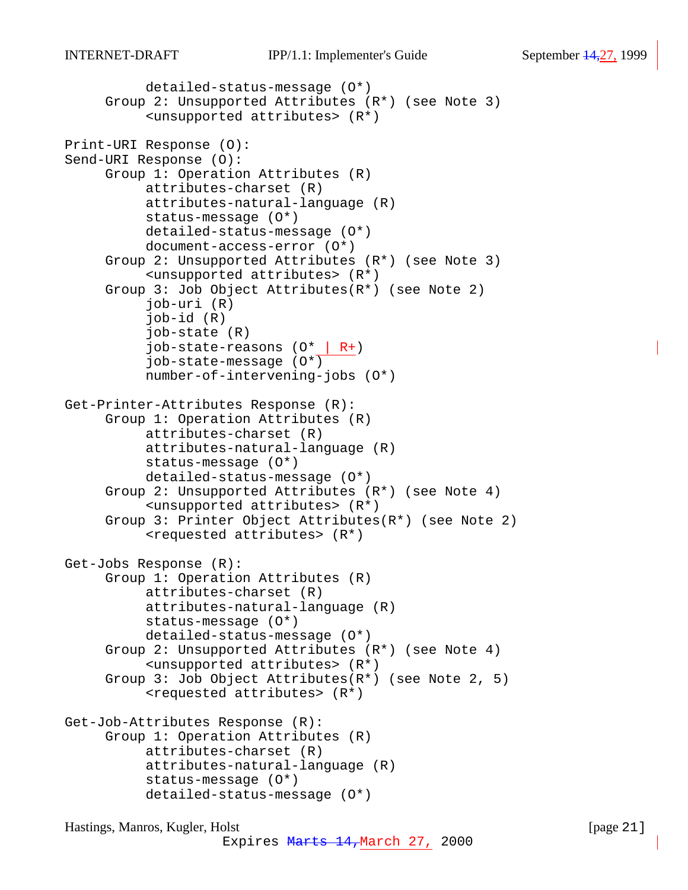detailed-status-message (O\*) Group 2: Unsupported Attributes (R\*) (see Note 3) <unsupported attributes> (R\*) Print-URI Response (O): Send-URI Response (O): Group 1: Operation Attributes (R) attributes-charset (R) attributes-natural-language (R) status-message (O\*) detailed-status-message (O\*) document-access-error (O\*) Group 2: Unsupported Attributes (R\*) (see Note 3) <unsupported attributes> (R\*) Group 3: Job Object Attributes(R\*) (see Note 2) job-uri (R) job-id (R) job-state (R) job-state-reasons (O\* | R+) job-state-message (O\*) number-of-intervening-jobs (O\*) Get-Printer-Attributes Response (R): Group 1: Operation Attributes (R) attributes-charset (R) attributes-natural-language (R) status-message (O\*) detailed-status-message (O\*) Group 2: Unsupported Attributes (R\*) (see Note 4) <unsupported attributes> (R\*) Group 3: Printer Object Attributes(R\*) (see Note 2) <requested attributes> (R\*) Get-Jobs Response (R): Group 1: Operation Attributes (R) attributes-charset (R) attributes-natural-language (R) status-message (O\*) detailed-status-message (O\*) Group 2: Unsupported Attributes (R\*) (see Note 4) <unsupported attributes> (R\*) Group 3: Job Object Attributes(R\*) (see Note 2, 5) <requested attributes> (R\*) Get-Job-Attributes Response (R): Group 1: Operation Attributes (R) attributes-charset (R) attributes-natural-language (R) status-message (O\*) detailed-status-message (O\*)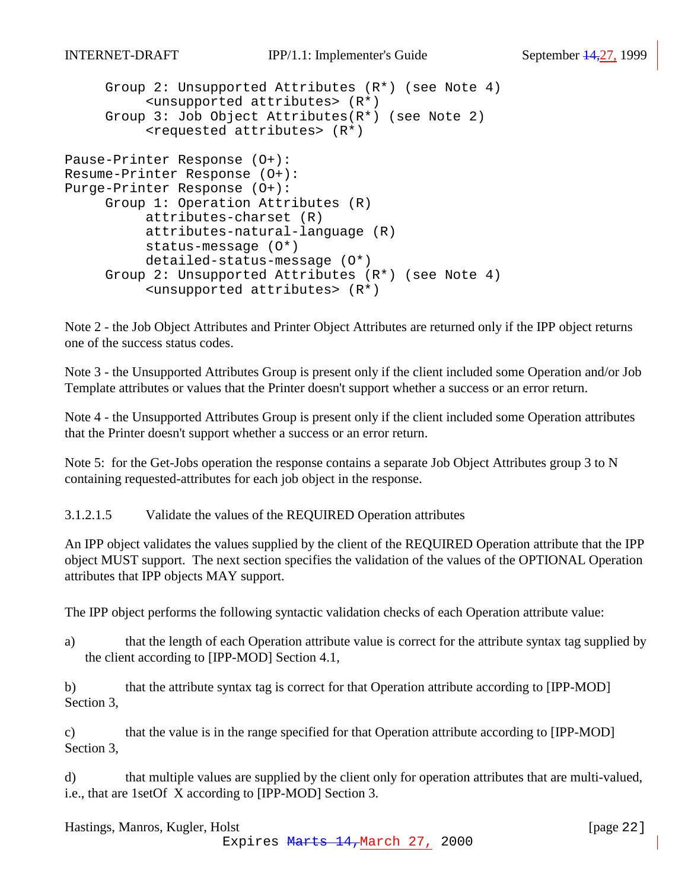<span id="page-21-0"></span>INTERNET-DRAFT IPP/1.1: Implementer's Guide September 44,27, 1999

```
Group 2: Unsupported Attributes (R*) (see Note 4)
          <unsupported attributes> (R*)
     Group 3: Job Object Attributes(R*) (see Note 2)
          <requested attributes> (R*)
Pause-Printer Response (O+):
Resume-Printer Response (O+):
Purge-Printer Response (O+):
     Group 1: Operation Attributes (R)
          attributes-charset (R)
          attributes-natural-language (R)
          status-message (O*)
          detailed-status-message (O*)
     Group 2: Unsupported Attributes (R*) (see Note 4)
          <unsupported attributes> (R*)
```
Note 2 - the Job Object Attributes and Printer Object Attributes are returned only if the IPP object returns one of the success status codes.

Note 3 - the Unsupported Attributes Group is present only if the client included some Operation and/or Job Template attributes or values that the Printer doesn't support whether a success or an error return.

Note 4 - the Unsupported Attributes Group is present only if the client included some Operation attributes that the Printer doesn't support whether a success or an error return.

Note 5: for the Get-Jobs operation the response contains a separate Job Object Attributes group 3 to N containing requested-attributes for each job object in the response.

3.1.2.1.5 Validate the values of the REQUIRED Operation attributes

An IPP object validates the values supplied by the client of the REQUIRED Operation attribute that the IPP object MUST support. The next section specifies the validation of the values of the OPTIONAL Operation attributes that IPP objects MAY support.

The IPP object performs the following syntactic validation checks of each Operation attribute value:

a) that the length of each Operation attribute value is correct for the attribute syntax tag supplied by the client according to [IPP-MOD] Section 4.1,

b) that the attribute syntax tag is correct for that Operation attribute according to [IPP-MOD] Section 3,

c) that the value is in the range specified for that Operation attribute according to [IPP-MOD] Section 3,

d) that multiple values are supplied by the client only for operation attributes that are multi-valued, i.e., that are 1setOf X according to [IPP-MOD] Section 3.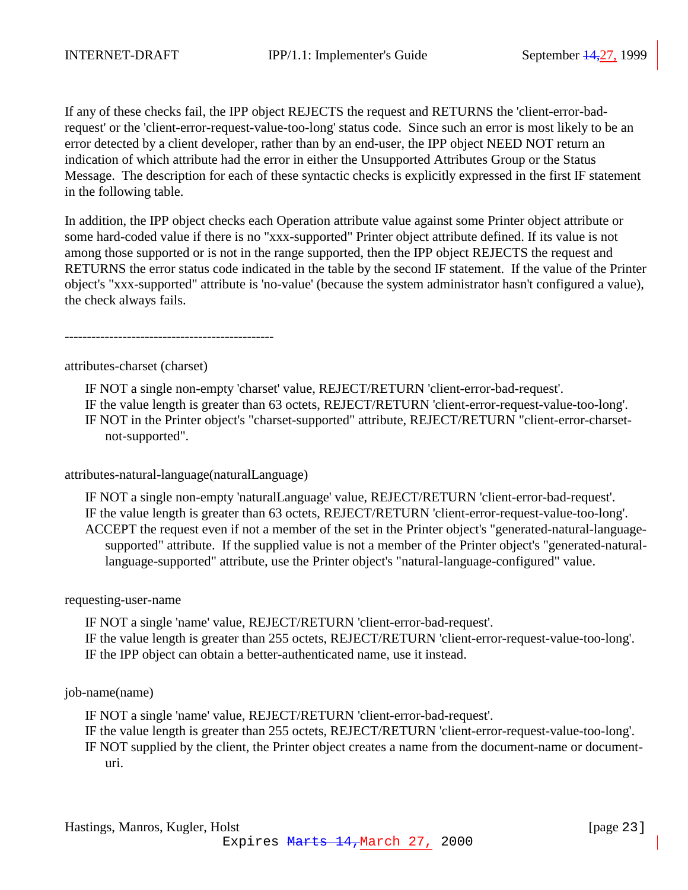If any of these checks fail, the IPP object REJECTS the request and RETURNS the 'client-error-badrequest' or the 'client-error-request-value-too-long' status code. Since such an error is most likely to be an error detected by a client developer, rather than by an end-user, the IPP object NEED NOT return an indication of which attribute had the error in either the Unsupported Attributes Group or the Status Message. The description for each of these syntactic checks is explicitly expressed in the first IF statement in the following table.

In addition, the IPP object checks each Operation attribute value against some Printer object attribute or some hard-coded value if there is no "xxx-supported" Printer object attribute defined. If its value is not among those supported or is not in the range supported, then the IPP object REJECTS the request and RETURNS the error status code indicated in the table by the second IF statement. If the value of the Printer object's "xxx-supported" attribute is 'no-value' (because the system administrator hasn't configured a value), the check always fails.

-----------------------------------------------

attributes-charset (charset)

IF NOT a single non-empty 'charset' value, REJECT/RETURN 'client-error-bad-request'. IF the value length is greater than 63 octets, REJECT/RETURN 'client-error-request-value-too-long'. IF NOT in the Printer object's "charset-supported" attribute, REJECT/RETURN "client-error-charsetnot-supported".

attributes-natural-language(naturalLanguage)

IF NOT a single non-empty 'naturalLanguage' value, REJECT/RETURN 'client-error-bad-request'. IF the value length is greater than 63 octets, REJECT/RETURN 'client-error-request-value-too-long'. ACCEPT the request even if not a member of the set in the Printer object's "generated-natural-languagesupported" attribute. If the supplied value is not a member of the Printer object's "generated-naturallanguage-supported" attribute, use the Printer object's "natural-language-configured" value.

#### requesting-user-name

IF NOT a single 'name' value, REJECT/RETURN 'client-error-bad-request'. IF the value length is greater than 255 octets, REJECT/RETURN 'client-error-request-value-too-long'. IF the IPP object can obtain a better-authenticated name, use it instead.

#### job-name(name)

IF NOT a single 'name' value, REJECT/RETURN 'client-error-bad-request'.

IF the value length is greater than 255 octets, REJECT/RETURN 'client-error-request-value-too-long'. IF NOT supplied by the client, the Printer object creates a name from the document-name or documenturi.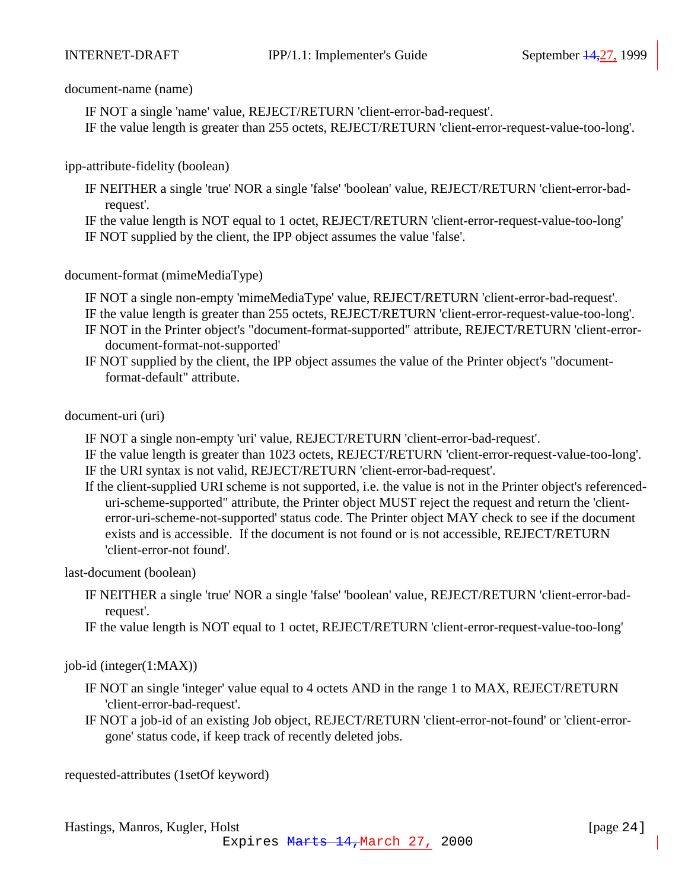document-name (name)

IF NOT a single 'name' value, REJECT/RETURN 'client-error-bad-request'.

IF the value length is greater than 255 octets, REJECT/RETURN 'client-error-request-value-too-long'.

ipp-attribute-fidelity (boolean)

IF NEITHER a single 'true' NOR a single 'false' 'boolean' value, REJECT/RETURN 'client-error-badrequest'.

IF the value length is NOT equal to 1 octet, REJECT/RETURN 'client-error-request-value-too-long' IF NOT supplied by the client, the IPP object assumes the value 'false'.

document-format (mimeMediaType)

IF NOT a single non-empty 'mimeMediaType' value, REJECT/RETURN 'client-error-bad-request'. IF the value length is greater than 255 octets, REJECT/RETURN 'client-error-request-value-too-long'.

- IF NOT in the Printer object's "document-format-supported" attribute, REJECT/RETURN 'client-errordocument-format-not-supported'
- IF NOT supplied by the client, the IPP object assumes the value of the Printer object's "documentformat-default" attribute.

document-uri (uri)

IF NOT a single non-empty 'uri' value, REJECT/RETURN 'client-error-bad-request'.

IF the value length is greater than 1023 octets, REJECT/RETURN 'client-error-request-value-too-long'. IF the URI syntax is not valid, REJECT/RETURN 'client-error-bad-request'.

If the client-supplied URI scheme is not supported, i.e. the value is not in the Printer object's referenceduri-scheme-supported" attribute, the Printer object MUST reject the request and return the 'clienterror-uri-scheme-not-supported' status code. The Printer object MAY check to see if the document exists and is accessible. If the document is not found or is not accessible, REJECT/RETURN 'client-error-not found'.

last-document (boolean)

- IF NEITHER a single 'true' NOR a single 'false' 'boolean' value, REJECT/RETURN 'client-error-badrequest'.
- IF the value length is NOT equal to 1 octet, REJECT/RETURN 'client-error-request-value-too-long'

job-id (integer(1:MAX))

- IF NOT an single 'integer' value equal to 4 octets AND in the range 1 to MAX, REJECT/RETURN 'client-error-bad-request'.
- IF NOT a job-id of an existing Job object, REJECT/RETURN 'client-error-not-found' or 'client-errorgone' status code, if keep track of recently deleted jobs.

requested-attributes (1setOf keyword)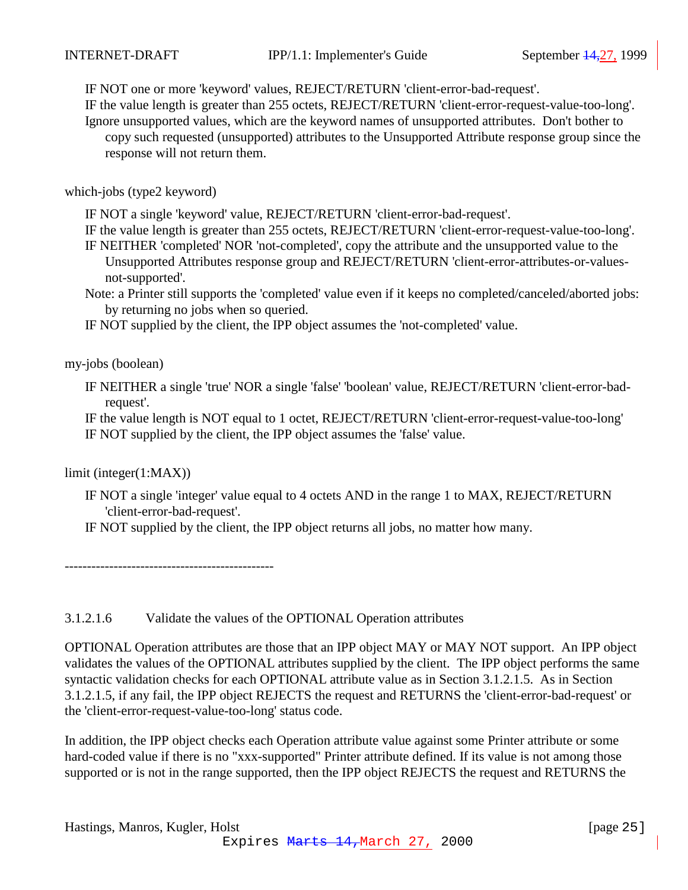<span id="page-24-0"></span>IF NOT one or more 'keyword' values, REJECT/RETURN 'client-error-bad-request'.

IF the value length is greater than 255 octets, REJECT/RETURN 'client-error-request-value-too-long'.

Ignore unsupported values, which are the keyword names of unsupported attributes. Don't bother to copy such requested (unsupported) attributes to the Unsupported Attribute response group since the response will not return them.

which-jobs (type2 keyword)

IF NOT a single 'keyword' value, REJECT/RETURN 'client-error-bad-request'.

- IF the value length is greater than 255 octets, REJECT/RETURN 'client-error-request-value-too-long'.
- IF NEITHER 'completed' NOR 'not-completed', copy the attribute and the unsupported value to the Unsupported Attributes response group and REJECT/RETURN 'client-error-attributes-or-valuesnot-supported'.
- Note: a Printer still supports the 'completed' value even if it keeps no completed/canceled/aborted jobs: by returning no jobs when so queried.

IF NOT supplied by the client, the IPP object assumes the 'not-completed' value.

my-jobs (boolean)

IF NEITHER a single 'true' NOR a single 'false' 'boolean' value, REJECT/RETURN 'client-error-badrequest'.

IF the value length is NOT equal to 1 octet, REJECT/RETURN 'client-error-request-value-too-long' IF NOT supplied by the client, the IPP object assumes the 'false' value.

limit (integer(1:MAX))

- IF NOT a single 'integer' value equal to 4 octets AND in the range 1 to MAX, REJECT/RETURN 'client-error-bad-request'.
- IF NOT supplied by the client, the IPP object returns all jobs, no matter how many.

-----------------------------------------------

## 3.1.2.1.6 Validate the values of the OPTIONAL Operation attributes

OPTIONAL Operation attributes are those that an IPP object MAY or MAY NOT support. An IPP object validates the values of the OPTIONAL attributes supplied by the client. The IPP object performs the same syntactic validation checks for each OPTIONAL attribute value as in Section 3.1.2.1.5. As in Section 3.1.2.1.5, if any fail, the IPP object REJECTS the request and RETURNS the 'client-error-bad-request' or the 'client-error-request-value-too-long' status code.

In addition, the IPP object checks each Operation attribute value against some Printer attribute or some hard-coded value if there is no "xxx-supported" Printer attribute defined. If its value is not among those supported or is not in the range supported, then the IPP object REJECTS the request and RETURNS the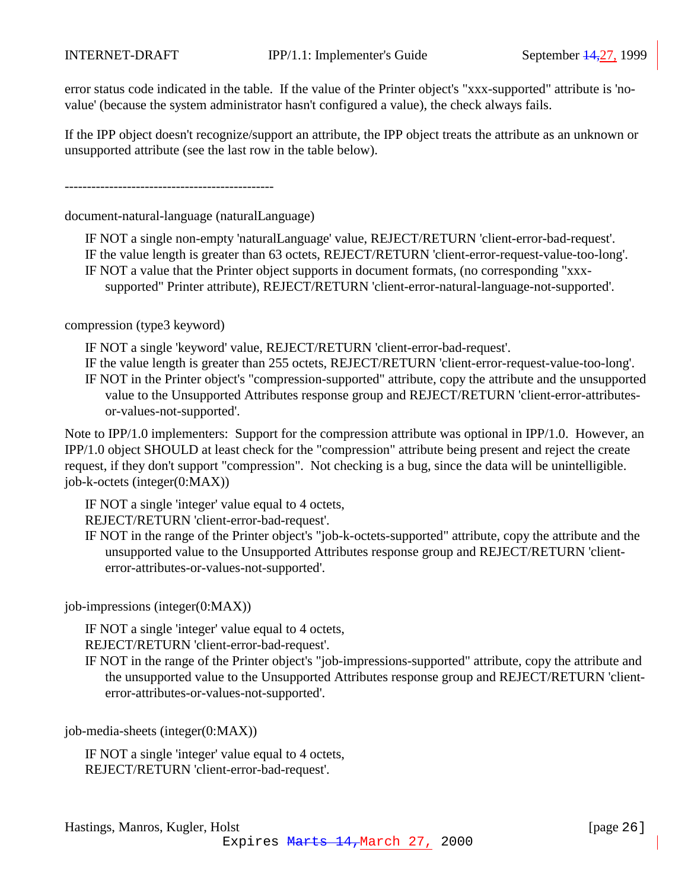error status code indicated in the table. If the value of the Printer object's "xxx-supported" attribute is 'novalue' (because the system administrator hasn't configured a value), the check always fails.

If the IPP object doesn't recognize/support an attribute, the IPP object treats the attribute as an unknown or unsupported attribute (see the last row in the table below).

-----------------------------------------------

document-natural-language (naturalLanguage)

IF NOT a single non-empty 'naturalLanguage' value, REJECT/RETURN 'client-error-bad-request'. IF the value length is greater than 63 octets, REJECT/RETURN 'client-error-request-value-too-long'. IF NOT a value that the Printer object supports in document formats, (no corresponding "xxxsupported" Printer attribute), REJECT/RETURN 'client-error-natural-language-not-supported'.

compression (type3 keyword)

IF NOT a single 'keyword' value, REJECT/RETURN 'client-error-bad-request'.

IF the value length is greater than 255 octets, REJECT/RETURN 'client-error-request-value-too-long'. IF NOT in the Printer object's "compression-supported" attribute, copy the attribute and the unsupported value to the Unsupported Attributes response group and REJECT/RETURN 'client-error-attributesor-values-not-supported'.

Note to IPP/1.0 implementers: Support for the compression attribute was optional in IPP/1.0. However, an IPP/1.0 object SHOULD at least check for the "compression" attribute being present and reject the create request, if they don't support "compression". Not checking is a bug, since the data will be unintelligible. job-k-octets (integer(0:MAX))

IF NOT a single 'integer' value equal to 4 octets,

REJECT/RETURN 'client-error-bad-request'.

IF NOT in the range of the Printer object's "job-k-octets-supported" attribute, copy the attribute and the unsupported value to the Unsupported Attributes response group and REJECT/RETURN 'clienterror-attributes-or-values-not-supported'.

job-impressions (integer(0:MAX))

IF NOT a single 'integer' value equal to 4 octets,

REJECT/RETURN 'client-error-bad-request'.

IF NOT in the range of the Printer object's "job-impressions-supported" attribute, copy the attribute and the unsupported value to the Unsupported Attributes response group and REJECT/RETURN 'clienterror-attributes-or-values-not-supported'.

job-media-sheets (integer(0:MAX))

IF NOT a single 'integer' value equal to 4 octets, REJECT/RETURN 'client-error-bad-request'.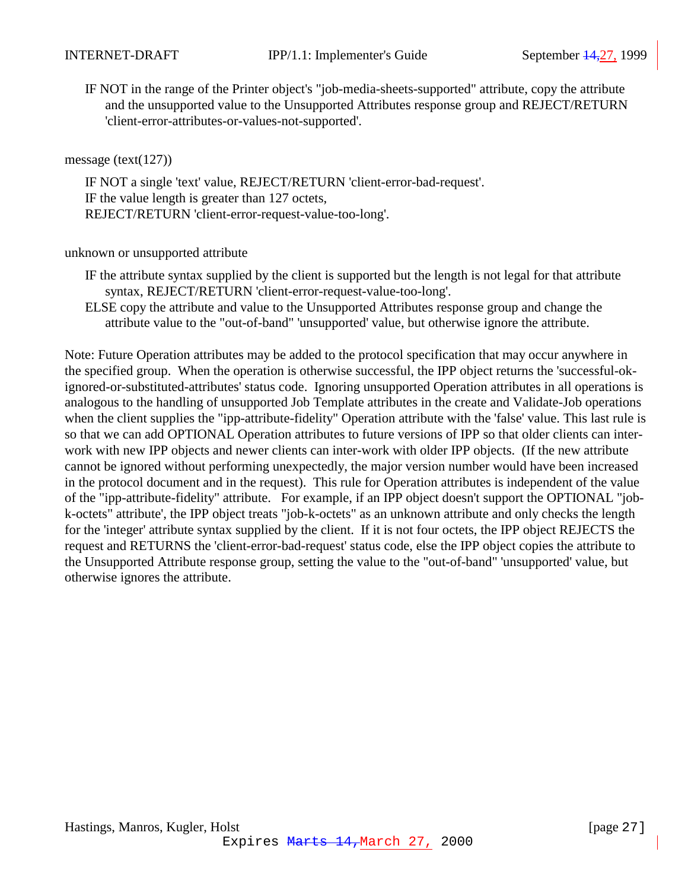IF NOT in the range of the Printer object's "job-media-sheets-supported" attribute, copy the attribute and the unsupported value to the Unsupported Attributes response group and REJECT/RETURN 'client-error-attributes-or-values-not-supported'.

message (text(127))

IF NOT a single 'text' value, REJECT/RETURN 'client-error-bad-request'. IF the value length is greater than 127 octets, REJECT/RETURN 'client-error-request-value-too-long'.

unknown or unsupported attribute

- IF the attribute syntax supplied by the client is supported but the length is not legal for that attribute syntax, REJECT/RETURN 'client-error-request-value-too-long'.
- ELSE copy the attribute and value to the Unsupported Attributes response group and change the attribute value to the "out-of-band" 'unsupported' value, but otherwise ignore the attribute.

Note: Future Operation attributes may be added to the protocol specification that may occur anywhere in the specified group. When the operation is otherwise successful, the IPP object returns the 'successful-okignored-or-substituted-attributes' status code. Ignoring unsupported Operation attributes in all operations is analogous to the handling of unsupported Job Template attributes in the create and Validate-Job operations when the client supplies the "ipp-attribute-fidelity" Operation attribute with the 'false' value. This last rule is so that we can add OPTIONAL Operation attributes to future versions of IPP so that older clients can interwork with new IPP objects and newer clients can inter-work with older IPP objects. (If the new attribute cannot be ignored without performing unexpectedly, the major version number would have been increased in the protocol document and in the request). This rule for Operation attributes is independent of the value of the "ipp-attribute-fidelity" attribute. For example, if an IPP object doesn't support the OPTIONAL "jobk-octets" attribute', the IPP object treats "job-k-octets" as an unknown attribute and only checks the length for the 'integer' attribute syntax supplied by the client. If it is not four octets, the IPP object REJECTS the request and RETURNS the 'client-error-bad-request' status code, else the IPP object copies the attribute to the Unsupported Attribute response group, setting the value to the "out-of-band" 'unsupported' value, but otherwise ignores the attribute.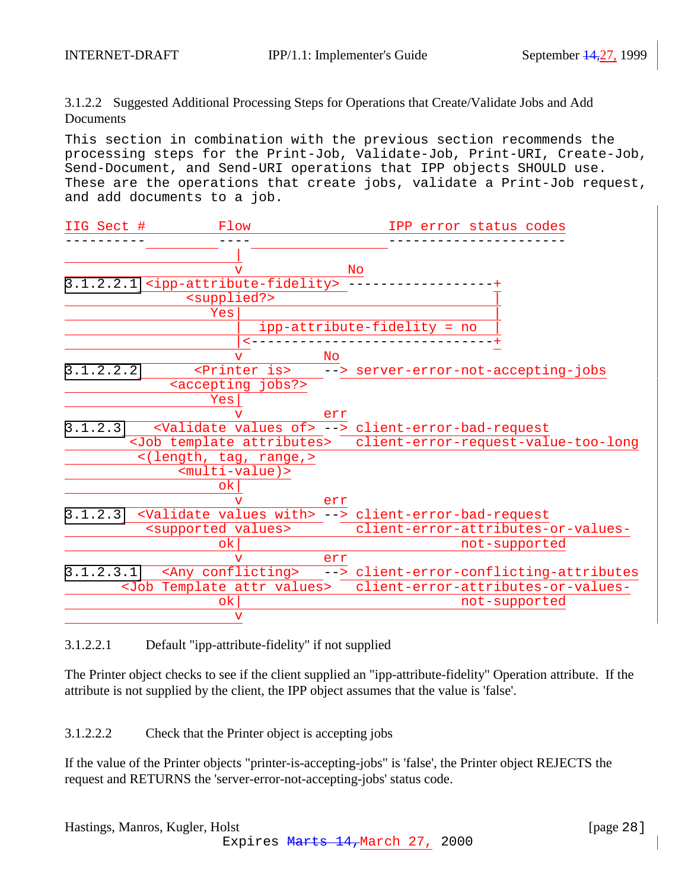## <span id="page-27-0"></span>3.1.2.2 Suggested Additional Processing Steps for Operations that Create/Validate Jobs and Add Documents

This section in combination with the previous section recommends the processing steps for the Print-Job, Validate-Job, Print-URI, Create-Job, Send-Document, and Send-URI operations that IPP objects SHOULD use. These are the operations that create jobs, validate a Print-Job request, and add documents to a job.

| IIG Sect #                                                  | Flow                                      |                           |     | IPP error status codes                                                  |
|-------------------------------------------------------------|-------------------------------------------|---------------------------|-----|-------------------------------------------------------------------------|
|                                                             |                                           |                           |     |                                                                         |
|                                                             |                                           |                           |     |                                                                         |
|                                                             | $\overline{V}$                            |                           |     | No                                                                      |
| 3.1.2.2.1 <ipp-attribute-fidelity></ipp-attribute-fidelity> |                                           |                           |     |                                                                         |
|                                                             | <supplied?></supplied?>                   |                           |     |                                                                         |
|                                                             | Yes                                       |                           |     |                                                                         |
|                                                             |                                           |                           |     | ipp-attribute-fidelity = no                                             |
|                                                             |                                           |                           |     |                                                                         |
|                                                             | ٦T                                        |                           | No  |                                                                         |
| 3.1.2.2.2                                                   |                                           | <printer is=""></printer> |     | --> server-error-not-accepting-jobs                                     |
|                                                             | <accepting jobs?=""></accepting>          |                           |     |                                                                         |
|                                                             | Yes                                       |                           |     |                                                                         |
|                                                             |                                           |                           | err |                                                                         |
| 3.1.2.3                                                     |                                           |                           |     | <validate of="" values=""> --&gt; client-error-bad-request</validate>   |
|                                                             | <job attributes="" template=""></job>     |                           |     | client-error-request-value-too-long                                     |
|                                                             | <(length, tag, range,>                    |                           |     |                                                                         |
|                                                             | $<$ multi-value) >                        |                           |     |                                                                         |
|                                                             | ok                                        |                           |     |                                                                         |
|                                                             |                                           |                           | err |                                                                         |
| 3.1.2.3                                                     |                                           |                           |     | <validate values="" with=""> --&gt; client-error-bad-request</validate> |
|                                                             | <supported values=""></supported>         |                           |     | client-error-attributes-or-values-                                      |
|                                                             | ok                                        |                           |     | not-supported                                                           |
|                                                             | v                                         |                           | err |                                                                         |
| 3.1.2.3.1                                                   | <any conflicting=""></any>                |                           |     | --> client-error-conflicting-attributes                                 |
|                                                             | <job attr="" template="" values=""></job> |                           |     | client-error-attributes-or-values-                                      |
|                                                             | ok                                        |                           |     | not-supported                                                           |
|                                                             | $\overline{\mathbf{V}}$                   |                           |     |                                                                         |

## 3.1.2.2.1 Default "ipp-attribute-fidelity" if not supplied

The Printer object checks to see if the client supplied an "ipp-attribute-fidelity" Operation attribute. If the attribute is not supplied by the client, the IPP object assumes that the value is 'false'.

3.1.2.2.2 Check that the Printer object is accepting jobs

If the value of the Printer objects "printer-is-accepting-jobs" is 'false', the Printer object REJECTS the request and RETURNS the 'server-error-not-accepting-jobs' status code.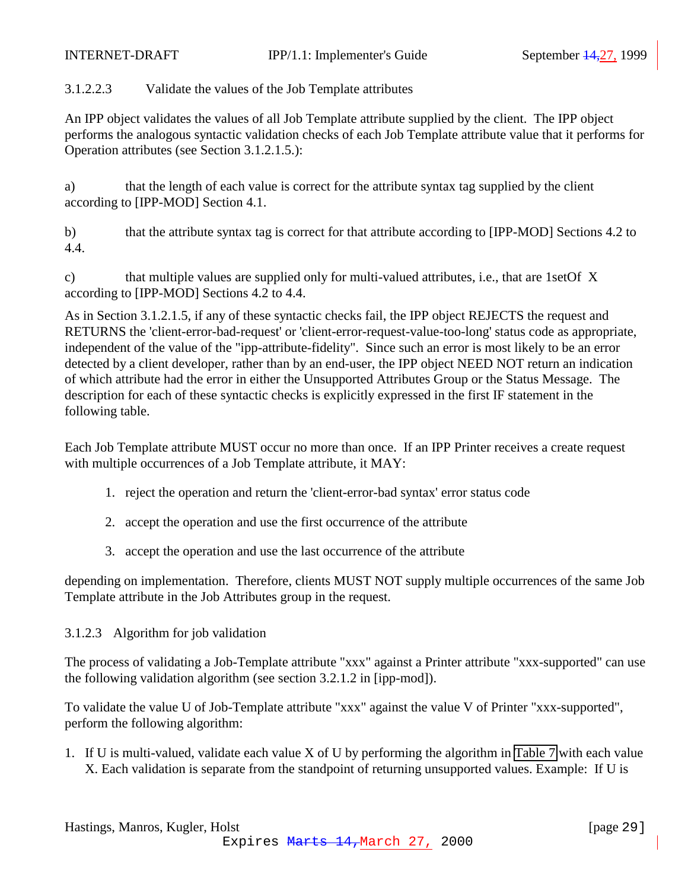## <span id="page-28-0"></span>3.1.2.2.3 Validate the values of the Job Template attributes

An IPP object validates the values of all Job Template attribute supplied by the client. The IPP object performs the analogous syntactic validation checks of each Job Template attribute value that it performs for Operation attributes (see Section 3.1.2.1.5.):

a) that the length of each value is correct for the attribute syntax tag supplied by the client according to [IPP-MOD] Section 4.1.

b) that the attribute syntax tag is correct for that attribute according to [IPP-MOD] Sections 4.2 to 4.4.

c) that multiple values are supplied only for multi-valued attributes, i.e., that are 1setOf X according to [IPP-MOD] Sections 4.2 to 4.4.

As in Section 3.1.2.1.5, if any of these syntactic checks fail, the IPP object REJECTS the request and RETURNS the 'client-error-bad-request' or 'client-error-request-value-too-long' status code as appropriate, independent of the value of the "ipp-attribute-fidelity". Since such an error is most likely to be an error detected by a client developer, rather than by an end-user, the IPP object NEED NOT return an indication of which attribute had the error in either the Unsupported Attributes Group or the Status Message. The description for each of these syntactic checks is explicitly expressed in the first IF statement in the following table.

Each Job Template attribute MUST occur no more than once. If an IPP Printer receives a create request with multiple occurrences of a Job Template attribute, it MAY:

- 1. reject the operation and return the 'client-error-bad syntax' error status code
- 2. accept the operation and use the first occurrence of the attribute
- 3. accept the operation and use the last occurrence of the attribute

depending on implementation. Therefore, clients MUST NOT supply multiple occurrences of the same Job Template attribute in the Job Attributes group in the request.

#### 3.1.2.3 Algorithm for job validation

The process of validating a Job-Template attribute "xxx" against a Printer attribute "xxx-supported" can use the following validation algorithm (see section 3.2.1.2 in [ipp-mod]).

To validate the value U of Job-Template attribute "xxx" against the value V of Printer "xxx-supported", perform the following algorithm:

1. If U is multi-valued, validate each value X of U by performing the algorithm in [Table 7](#page-29-0) with each value X. Each validation is separate from the standpoint of returning unsupported values. Example: If U is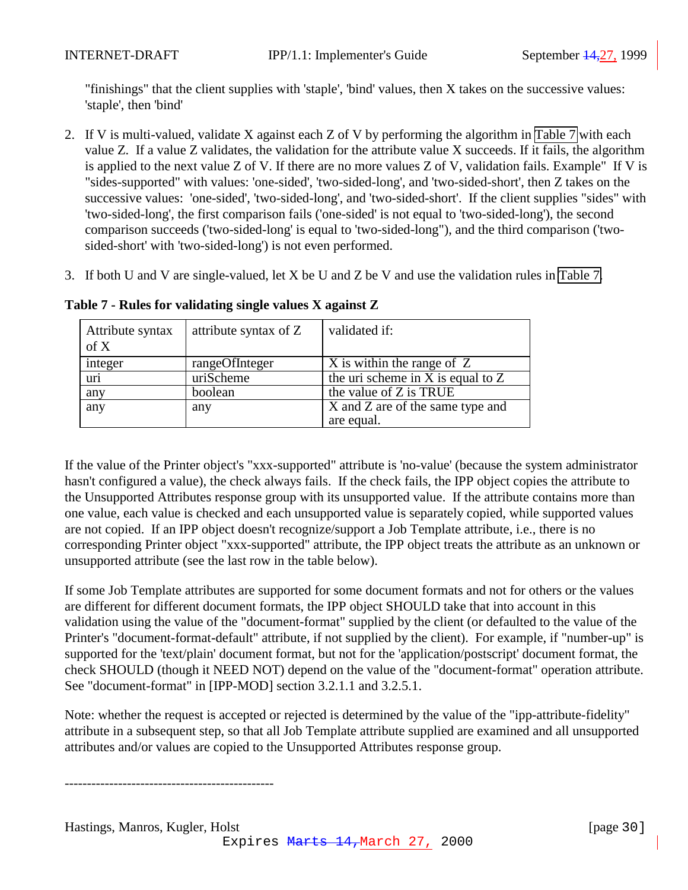<span id="page-29-0"></span>"finishings" that the client supplies with 'staple', 'bind' values, then X takes on the successive values: 'staple', then 'bind'

- 2. If V is multi-valued, validate X against each Z of V by performing the algorithm in Table 7 with each value Z. If a value Z validates, the validation for the attribute value X succeeds. If it fails, the algorithm is applied to the next value Z of V. If there are no more values Z of V, validation fails. Example" If V is "sides-supported" with values: 'one-sided', 'two-sided-long', and 'two-sided-short', then Z takes on the successive values: 'one-sided', 'two-sided-long', and 'two-sided-short'. If the client supplies "sides" with 'two-sided-long', the first comparison fails ('one-sided' is not equal to 'two-sided-long'), the second comparison succeeds ('two-sided-long' is equal to 'two-sided-long"), and the third comparison ('twosided-short' with 'two-sided-long') is not even performed.
- 3. If both U and V are single-valued, let X be U and Z be V and use the validation rules in Table 7.

| Attribute syntax<br>of X | attribute syntax of Z | validated if:                       |
|--------------------------|-----------------------|-------------------------------------|
| integer                  | rangeOfInteger        | X is within the range of Z          |
| uri                      | uriScheme             | the uri scheme in X is equal to $Z$ |
| any                      | boolean               | the value of Z is TRUE              |
| any                      | any                   | X and Z are of the same type and    |
|                          |                       | are equal.                          |

**Table 7 - Rules for validating single values X against Z**

If the value of the Printer object's "xxx-supported" attribute is 'no-value' (because the system administrator hasn't configured a value), the check always fails. If the check fails, the IPP object copies the attribute to the Unsupported Attributes response group with its unsupported value. If the attribute contains more than one value, each value is checked and each unsupported value is separately copied, while supported values are not copied. If an IPP object doesn't recognize/support a Job Template attribute, i.e., there is no corresponding Printer object "xxx-supported" attribute, the IPP object treats the attribute as an unknown or unsupported attribute (see the last row in the table below).

If some Job Template attributes are supported for some document formats and not for others or the values are different for different document formats, the IPP object SHOULD take that into account in this validation using the value of the "document-format" supplied by the client (or defaulted to the value of the Printer's "document-format-default" attribute, if not supplied by the client). For example, if "number-up" is supported for the 'text/plain' document format, but not for the 'application/postscript' document format, the check SHOULD (though it NEED NOT) depend on the value of the "document-format" operation attribute. See "document-format" in [IPP-MOD] section 3.2.1.1 and 3.2.5.1.

Note: whether the request is accepted or rejected is determined by the value of the "ipp-attribute-fidelity" attribute in a subsequent step, so that all Job Template attribute supplied are examined and all unsupported attributes and/or values are copied to the Unsupported Attributes response group.

-----------------------------------------------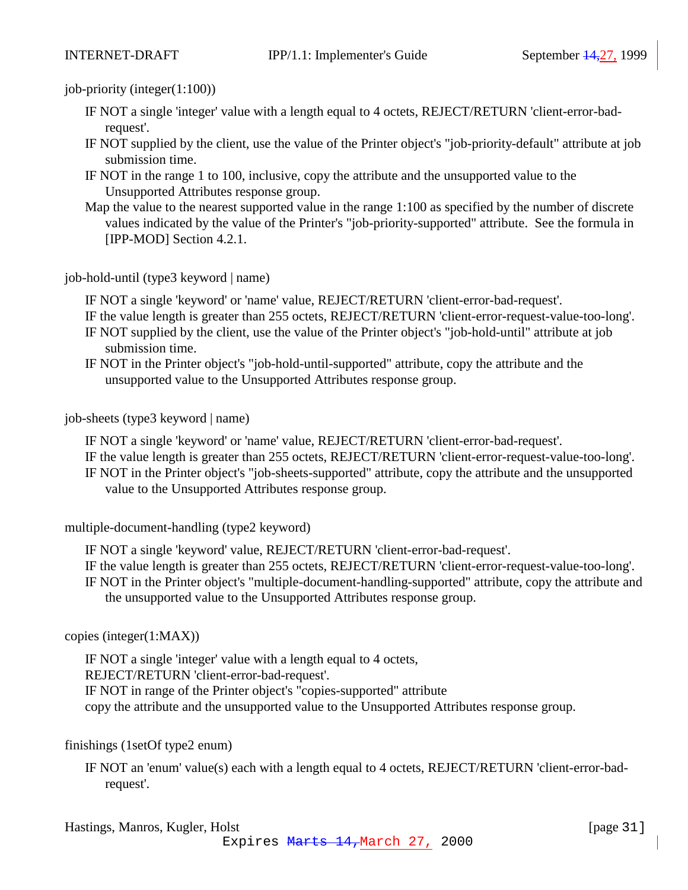job-priority (integer(1:100))

- IF NOT a single 'integer' value with a length equal to 4 octets, REJECT/RETURN 'client-error-badrequest'.
- IF NOT supplied by the client, use the value of the Printer object's "job-priority-default" attribute at job submission time.
- IF NOT in the range 1 to 100, inclusive, copy the attribute and the unsupported value to the Unsupported Attributes response group.
- Map the value to the nearest supported value in the range 1:100 as specified by the number of discrete values indicated by the value of the Printer's "job-priority-supported" attribute. See the formula in [IPP-MOD] Section 4.2.1.

job-hold-until (type3 keyword | name)

IF NOT a single 'keyword' or 'name' value, REJECT/RETURN 'client-error-bad-request'.

IF the value length is greater than 255 octets, REJECT/RETURN 'client-error-request-value-too-long'.

- IF NOT supplied by the client, use the value of the Printer object's "job-hold-until" attribute at job submission time.
- IF NOT in the Printer object's "job-hold-until-supported" attribute, copy the attribute and the unsupported value to the Unsupported Attributes response group.

job-sheets (type3 keyword | name)

IF NOT a single 'keyword' or 'name' value, REJECT/RETURN 'client-error-bad-request'.

IF the value length is greater than 255 octets, REJECT/RETURN 'client-error-request-value-too-long'. IF NOT in the Printer object's "job-sheets-supported" attribute, copy the attribute and the unsupported value to the Unsupported Attributes response group.

multiple-document-handling (type2 keyword)

IF NOT a single 'keyword' value, REJECT/RETURN 'client-error-bad-request'.

IF the value length is greater than 255 octets, REJECT/RETURN 'client-error-request-value-too-long'. IF NOT in the Printer object's "multiple-document-handling-supported" attribute, copy the attribute and

the unsupported value to the Unsupported Attributes response group.

copies (integer(1:MAX))

IF NOT a single 'integer' value with a length equal to 4 octets, REJECT/RETURN 'client-error-bad-request'. IF NOT in range of the Printer object's "copies-supported" attribute copy the attribute and the unsupported value to the Unsupported Attributes response group.

finishings (1setOf type2 enum)

IF NOT an 'enum' value(s) each with a length equal to 4 octets, REJECT/RETURN 'client-error-badrequest'.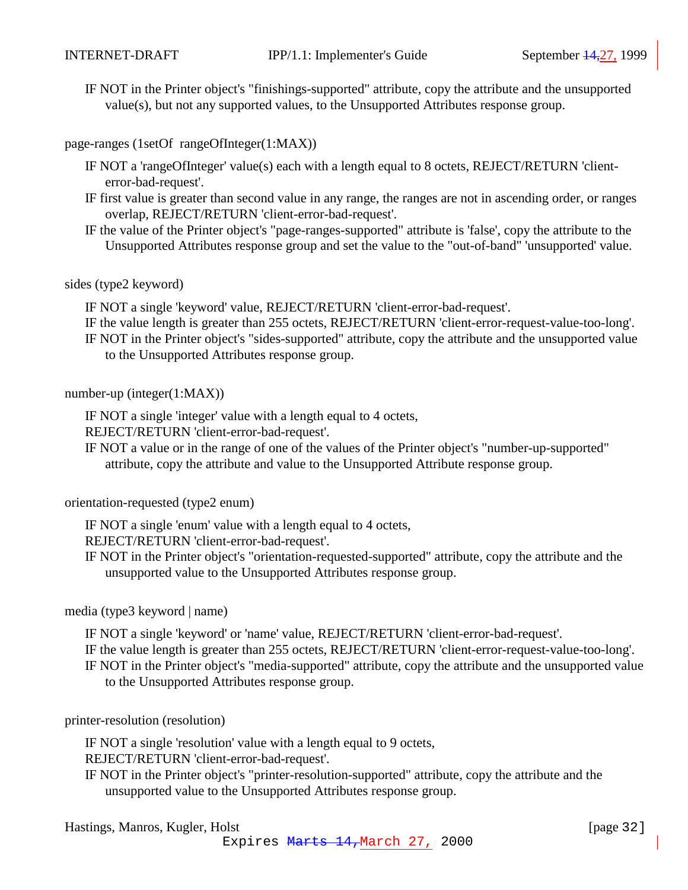IF NOT in the Printer object's "finishings-supported" attribute, copy the attribute and the unsupported value(s), but not any supported values, to the Unsupported Attributes response group.

#### page-ranges (1setOf rangeOfInteger(1:MAX))

- IF NOT a 'rangeOfInteger' value(s) each with a length equal to 8 octets, REJECT/RETURN 'clienterror-bad-request'.
- IF first value is greater than second value in any range, the ranges are not in ascending order, or ranges overlap, REJECT/RETURN 'client-error-bad-request'.
- IF the value of the Printer object's "page-ranges-supported" attribute is 'false', copy the attribute to the Unsupported Attributes response group and set the value to the "out-of-band" 'unsupported' value.

#### sides (type2 keyword)

IF NOT a single 'keyword' value, REJECT/RETURN 'client-error-bad-request'.

IF the value length is greater than 255 octets, REJECT/RETURN 'client-error-request-value-too-long'. IF NOT in the Printer object's "sides-supported" attribute, copy the attribute and the unsupported value to the Unsupported Attributes response group.

#### number-up (integer(1:MAX))

IF NOT a single 'integer' value with a length equal to 4 octets,

REJECT/RETURN 'client-error-bad-request'.

IF NOT a value or in the range of one of the values of the Printer object's "number-up-supported" attribute, copy the attribute and value to the Unsupported Attribute response group.

#### orientation-requested (type2 enum)

IF NOT a single 'enum' value with a length equal to 4 octets,

REJECT/RETURN 'client-error-bad-request'.

IF NOT in the Printer object's "orientation-requested-supported" attribute, copy the attribute and the unsupported value to the Unsupported Attributes response group.

media (type3 keyword | name)

IF NOT a single 'keyword' or 'name' value, REJECT/RETURN 'client-error-bad-request'.

IF the value length is greater than 255 octets, REJECT/RETURN 'client-error-request-value-too-long'.

IF NOT in the Printer object's "media-supported" attribute, copy the attribute and the unsupported value to the Unsupported Attributes response group.

printer-resolution (resolution)

IF NOT a single 'resolution' value with a length equal to 9 octets,

REJECT/RETURN 'client-error-bad-request'.

IF NOT in the Printer object's "printer-resolution-supported" attribute, copy the attribute and the unsupported value to the Unsupported Attributes response group.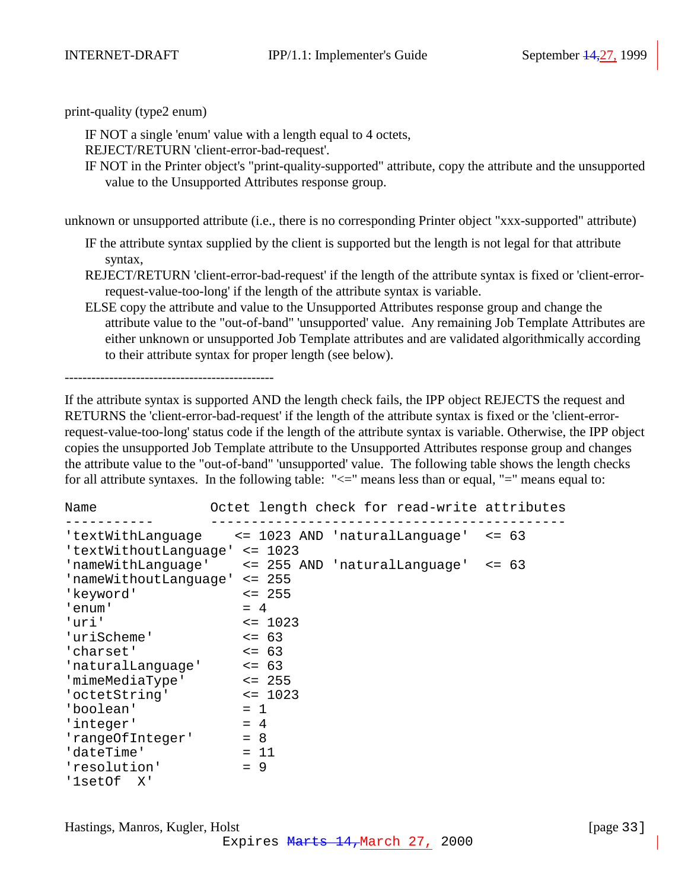print-quality (type2 enum)

IF NOT a single 'enum' value with a length equal to 4 octets,

REJECT/RETURN 'client-error-bad-request'.

IF NOT in the Printer object's "print-quality-supported" attribute, copy the attribute and the unsupported value to the Unsupported Attributes response group.

unknown or unsupported attribute (i.e., there is no corresponding Printer object "xxx-supported" attribute)

IF the attribute syntax supplied by the client is supported but the length is not legal for that attribute syntax,

REJECT/RETURN 'client-error-bad-request' if the length of the attribute syntax is fixed or 'client-errorrequest-value-too-long' if the length of the attribute syntax is variable.

ELSE copy the attribute and value to the Unsupported Attributes response group and change the attribute value to the "out-of-band" 'unsupported' value. Any remaining Job Template Attributes are either unknown or unsupported Job Template attributes and are validated algorithmically according to their attribute syntax for proper length (see below).

-----------------------------------------------

If the attribute syntax is supported AND the length check fails, the IPP object REJECTS the request and RETURNS the 'client-error-bad-request' if the length of the attribute syntax is fixed or the 'client-errorrequest-value-too-long' status code if the length of the attribute syntax is variable. Otherwise, the IPP object copies the unsupported Job Template attribute to the Unsupported Attributes response group and changes the attribute value to the "out-of-band" 'unsupported' value. The following table shows the length checks for all attribute syntaxes. In the following table: "<=" means less than or equal, "=" means equal to:

| Name                             | Octet length check for read-write attributes          |
|----------------------------------|-------------------------------------------------------|
|                                  | 'textWithLanguage <= 1023 AND 'naturalLanguage' <= 63 |
| 'textWithoutLanguage' $\le$ 1023 |                                                       |
|                                  | 'nameWithLanguage' <= 255 AND 'naturalLanguage' <= 63 |
| 'nameWithoutLanguage' $\le$ 255  |                                                       |
| 'keyword'                        | $\leq$ 255                                            |
| 'enum'                           | $= 4$                                                 |
| 'uri'                            | $\leq$ 1023                                           |
| 'uriScheme'                      | $\leq$ 63                                             |
| 'charset'                        | $\leq$ 63                                             |
| $'naturalLanguage'$ <= 63        |                                                       |
| 'mimeMediaType' <= 255           |                                                       |
| $'octetString'$ <= 1023          |                                                       |
| 'boolean'                        | $=$ 1                                                 |
| 'integer'                        | $= 4$                                                 |
| 'rangeOfInteger'                 | $= 8$                                                 |
| 'dateTime'                       | $= 11$                                                |
| 'resolution'                     | $= 9$                                                 |
| '1setOf X'                       |                                                       |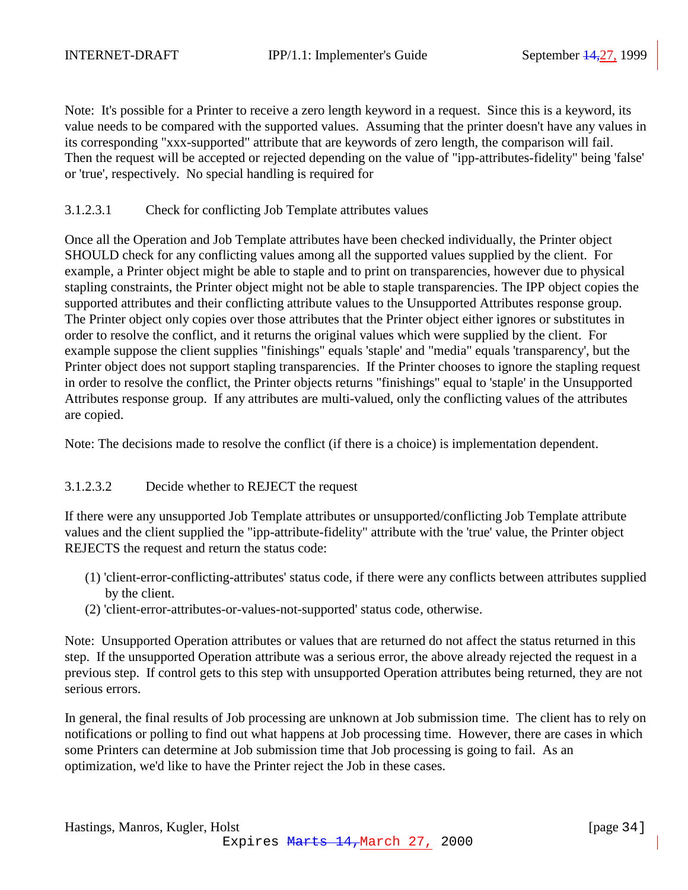<span id="page-33-0"></span>Note: It's possible for a Printer to receive a zero length keyword in a request. Since this is a keyword, its value needs to be compared with the supported values. Assuming that the printer doesn't have any values in its corresponding "xxx-supported" attribute that are keywords of zero length, the comparison will fail. Then the request will be accepted or rejected depending on the value of "ipp-attributes-fidelity" being 'false' or 'true', respectively. No special handling is required for

## 3.1.2.3.1 Check for conflicting Job Template attributes values

Once all the Operation and Job Template attributes have been checked individually, the Printer object SHOULD check for any conflicting values among all the supported values supplied by the client. For example, a Printer object might be able to staple and to print on transparencies, however due to physical stapling constraints, the Printer object might not be able to staple transparencies. The IPP object copies the supported attributes and their conflicting attribute values to the Unsupported Attributes response group. The Printer object only copies over those attributes that the Printer object either ignores or substitutes in order to resolve the conflict, and it returns the original values which were supplied by the client. For example suppose the client supplies "finishings" equals 'staple' and "media" equals 'transparency', but the Printer object does not support stapling transparencies. If the Printer chooses to ignore the stapling request in order to resolve the conflict, the Printer objects returns "finishings" equal to 'staple' in the Unsupported Attributes response group. If any attributes are multi-valued, only the conflicting values of the attributes are copied.

Note: The decisions made to resolve the conflict (if there is a choice) is implementation dependent.

## 3.1.2.3.2 Decide whether to REJECT the request

If there were any unsupported Job Template attributes or unsupported/conflicting Job Template attribute values and the client supplied the "ipp-attribute-fidelity" attribute with the 'true' value, the Printer object REJECTS the request and return the status code:

- (1) 'client-error-conflicting-attributes' status code, if there were any conflicts between attributes supplied by the client.
- (2) 'client-error-attributes-or-values-not-supported' status code, otherwise.

Note: Unsupported Operation attributes or values that are returned do not affect the status returned in this step. If the unsupported Operation attribute was a serious error, the above already rejected the request in a previous step. If control gets to this step with unsupported Operation attributes being returned, they are not serious errors.

In general, the final results of Job processing are unknown at Job submission time. The client has to rely on notifications or polling to find out what happens at Job processing time. However, there are cases in which some Printers can determine at Job submission time that Job processing is going to fail. As an optimization, we'd like to have the Printer reject the Job in these cases.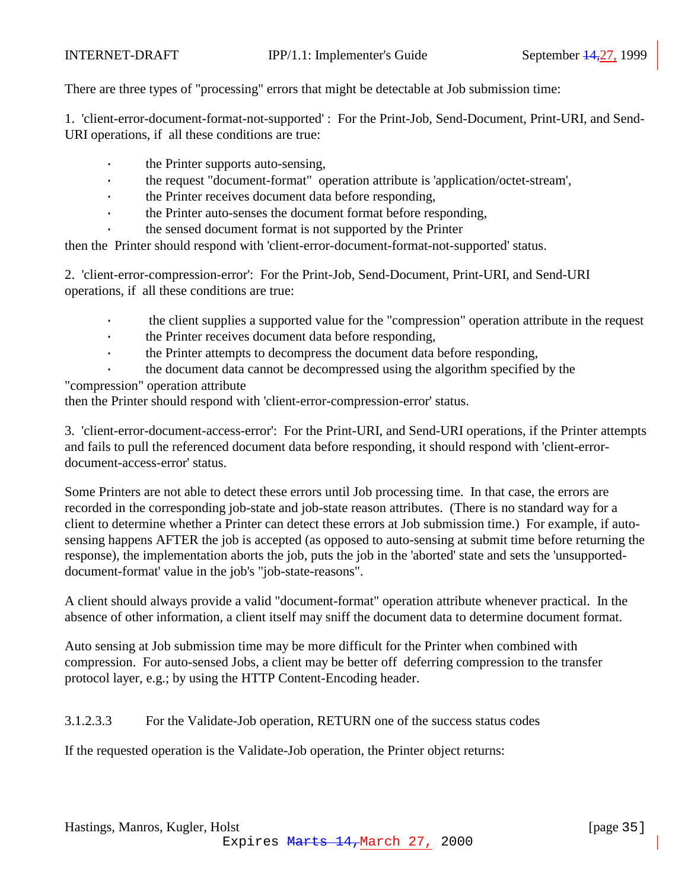<span id="page-34-0"></span>There are three types of "processing" errors that might be detectable at Job submission time:

1. 'client-error-document-format-not-supported' : For the Print-Job, Send-Document, Print-URI, and Send-URI operations, if all these conditions are true:

- the Printer supports auto-sensing,
- · the request "document-format" operation attribute is 'application/octet-stream',
- the Printer receives document data before responding,
- the Printer auto-senses the document format before responding,
- the sensed document format is not supported by the Printer

then the Printer should respond with 'client-error-document-format-not-supported' status.

2. 'client-error-compression-error': For the Print-Job, Send-Document, Print-URI, and Send-URI operations, if all these conditions are true:

- · the client supplies a supported value for the "compression" operation attribute in the request
- the Printer receives document data before responding,
- · the Printer attempts to decompress the document data before responding,
	- · the document data cannot be decompressed using the algorithm specified by the

## "compression" operation attribute

then the Printer should respond with 'client-error-compression-error' status.

3. 'client-error-document-access-error': For the Print-URI, and Send-URI operations, if the Printer attempts and fails to pull the referenced document data before responding, it should respond with 'client-errordocument-access-error' status.

Some Printers are not able to detect these errors until Job processing time. In that case, the errors are recorded in the corresponding job-state and job-state reason attributes. (There is no standard way for a client to determine whether a Printer can detect these errors at Job submission time.) For example, if autosensing happens AFTER the job is accepted (as opposed to auto-sensing at submit time before returning the response), the implementation aborts the job, puts the job in the 'aborted' state and sets the 'unsupporteddocument-format' value in the job's "job-state-reasons".

A client should always provide a valid "document-format" operation attribute whenever practical. In the absence of other information, a client itself may sniff the document data to determine document format.

Auto sensing at Job submission time may be more difficult for the Printer when combined with compression. For auto-sensed Jobs, a client may be better off deferring compression to the transfer protocol layer, e.g.; by using the HTTP Content-Encoding header.

3.1.2.3.3 For the Validate-Job operation, RETURN one of the success status codes

If the requested operation is the Validate-Job operation, the Printer object returns: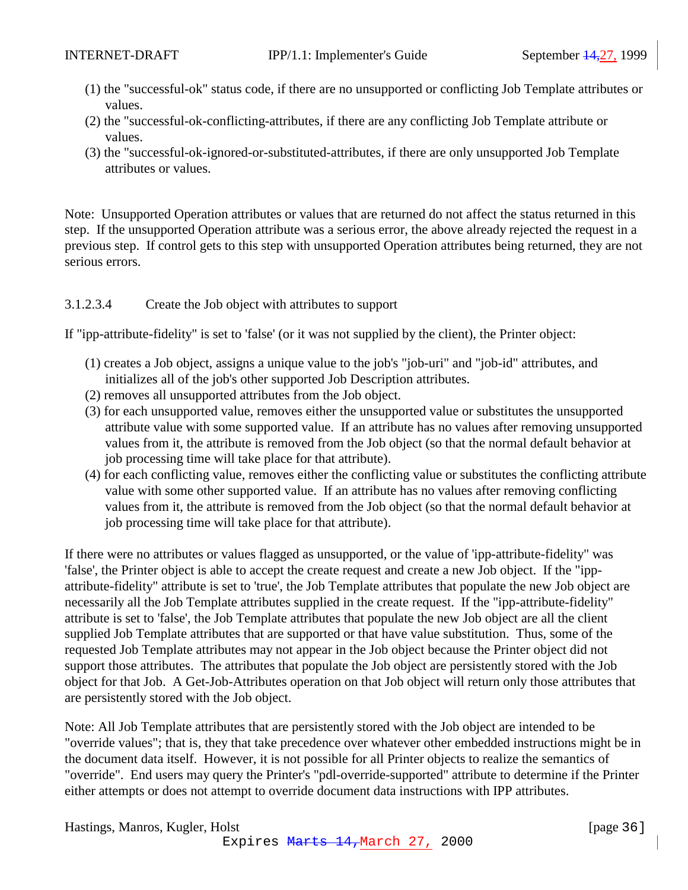- <span id="page-35-0"></span>(1) the "successful-ok" status code, if there are no unsupported or conflicting Job Template attributes or values.
- (2) the "successful-ok-conflicting-attributes, if there are any conflicting Job Template attribute or values.
- (3) the "successful-ok-ignored-or-substituted-attributes, if there are only unsupported Job Template attributes or values.

Note: Unsupported Operation attributes or values that are returned do not affect the status returned in this step. If the unsupported Operation attribute was a serious error, the above already rejected the request in a previous step. If control gets to this step with unsupported Operation attributes being returned, they are not serious errors.

## 3.1.2.3.4 Create the Job object with attributes to support

If "ipp-attribute-fidelity" is set to 'false' (or it was not supplied by the client), the Printer object:

- (1) creates a Job object, assigns a unique value to the job's "job-uri" and "job-id" attributes, and initializes all of the job's other supported Job Description attributes.
- (2) removes all unsupported attributes from the Job object.
- (3) for each unsupported value, removes either the unsupported value or substitutes the unsupported attribute value with some supported value. If an attribute has no values after removing unsupported values from it, the attribute is removed from the Job object (so that the normal default behavior at job processing time will take place for that attribute).
- (4) for each conflicting value, removes either the conflicting value or substitutes the conflicting attribute value with some other supported value. If an attribute has no values after removing conflicting values from it, the attribute is removed from the Job object (so that the normal default behavior at job processing time will take place for that attribute).

If there were no attributes or values flagged as unsupported, or the value of 'ipp-attribute-fidelity" was 'false', the Printer object is able to accept the create request and create a new Job object. If the "ippattribute-fidelity" attribute is set to 'true', the Job Template attributes that populate the new Job object are necessarily all the Job Template attributes supplied in the create request. If the "ipp-attribute-fidelity" attribute is set to 'false', the Job Template attributes that populate the new Job object are all the client supplied Job Template attributes that are supported or that have value substitution. Thus, some of the requested Job Template attributes may not appear in the Job object because the Printer object did not support those attributes. The attributes that populate the Job object are persistently stored with the Job object for that Job. A Get-Job-Attributes operation on that Job object will return only those attributes that are persistently stored with the Job object.

Note: All Job Template attributes that are persistently stored with the Job object are intended to be "override values"; that is, they that take precedence over whatever other embedded instructions might be in the document data itself. However, it is not possible for all Printer objects to realize the semantics of "override". End users may query the Printer's "pdl-override-supported" attribute to determine if the Printer either attempts or does not attempt to override document data instructions with IPP attributes.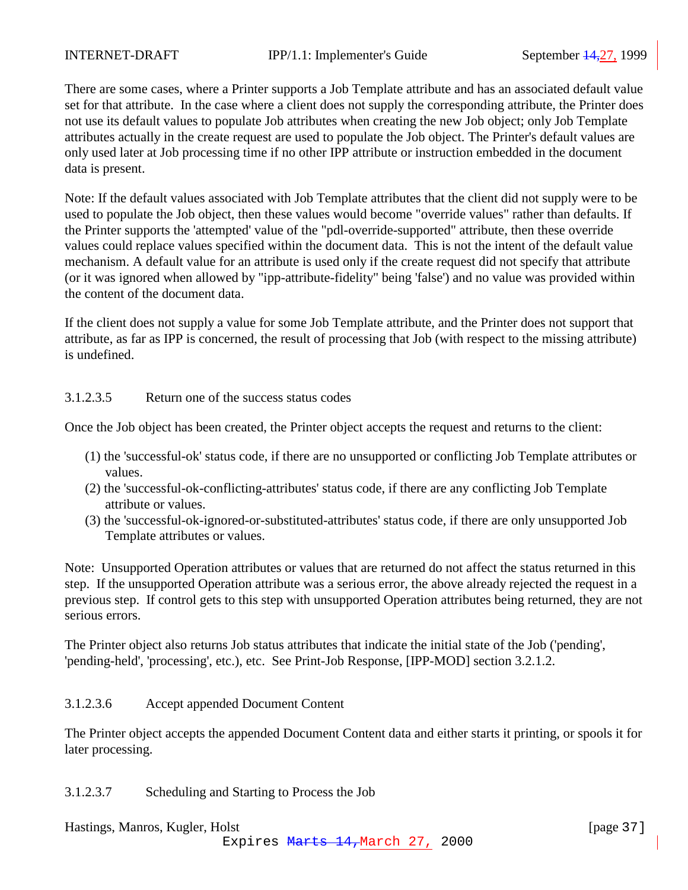<span id="page-36-0"></span>There are some cases, where a Printer supports a Job Template attribute and has an associated default value set for that attribute. In the case where a client does not supply the corresponding attribute, the Printer does not use its default values to populate Job attributes when creating the new Job object; only Job Template attributes actually in the create request are used to populate the Job object. The Printer's default values are only used later at Job processing time if no other IPP attribute or instruction embedded in the document data is present.

Note: If the default values associated with Job Template attributes that the client did not supply were to be used to populate the Job object, then these values would become "override values" rather than defaults. If the Printer supports the 'attempted' value of the "pdl-override-supported" attribute, then these override values could replace values specified within the document data. This is not the intent of the default value mechanism. A default value for an attribute is used only if the create request did not specify that attribute (or it was ignored when allowed by "ipp-attribute-fidelity" being 'false') and no value was provided within the content of the document data.

If the client does not supply a value for some Job Template attribute, and the Printer does not support that attribute, as far as IPP is concerned, the result of processing that Job (with respect to the missing attribute) is undefined.

## 3.1.2.3.5 Return one of the success status codes

Once the Job object has been created, the Printer object accepts the request and returns to the client:

- (1) the 'successful-ok' status code, if there are no unsupported or conflicting Job Template attributes or values.
- (2) the 'successful-ok-conflicting-attributes' status code, if there are any conflicting Job Template attribute or values.
- (3) the 'successful-ok-ignored-or-substituted-attributes' status code, if there are only unsupported Job Template attributes or values.

Note: Unsupported Operation attributes or values that are returned do not affect the status returned in this step. If the unsupported Operation attribute was a serious error, the above already rejected the request in a previous step. If control gets to this step with unsupported Operation attributes being returned, they are not serious errors.

The Printer object also returns Job status attributes that indicate the initial state of the Job ('pending', 'pending-held', 'processing', etc.), etc. See Print-Job Response, [IPP-MOD] section 3.2.1.2.

## 3.1.2.3.6 Accept appended Document Content

The Printer object accepts the appended Document Content data and either starts it printing, or spools it for later processing.

#### 3.1.2.3.7 Scheduling and Starting to Process the Job

#### Hastings, Manros, Kugler, Holst [page 37]

Expires Marts 14, March 27, 2000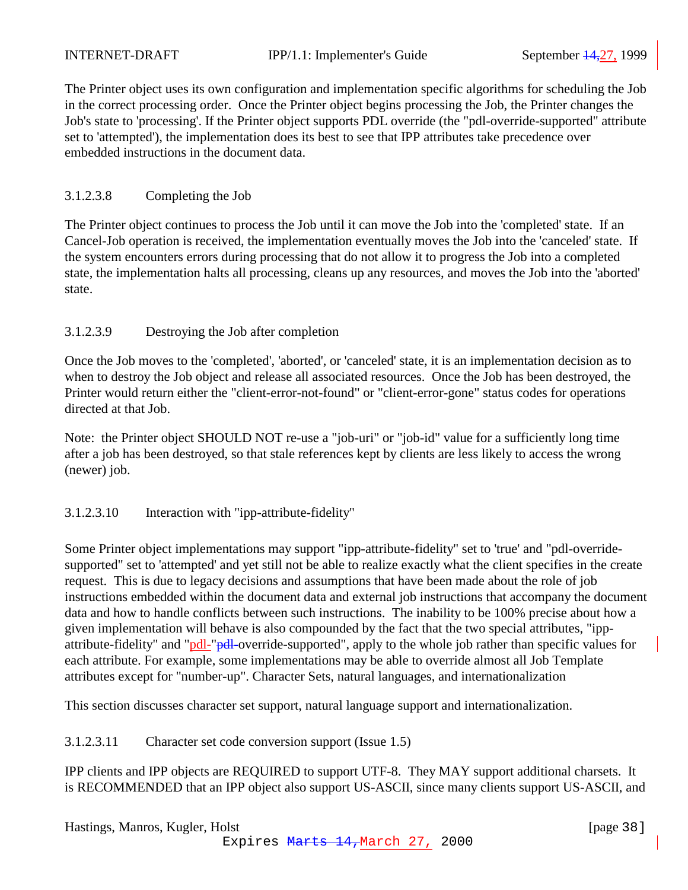<span id="page-37-0"></span>The Printer object uses its own configuration and implementation specific algorithms for scheduling the Job in the correct processing order. Once the Printer object begins processing the Job, the Printer changes the Job's state to 'processing'. If the Printer object supports PDL override (the "pdl-override-supported" attribute set to 'attempted'), the implementation does its best to see that IPP attributes take precedence over embedded instructions in the document data.

## 3.1.2.3.8 Completing the Job

The Printer object continues to process the Job until it can move the Job into the 'completed' state. If an Cancel-Job operation is received, the implementation eventually moves the Job into the 'canceled' state. If the system encounters errors during processing that do not allow it to progress the Job into a completed state, the implementation halts all processing, cleans up any resources, and moves the Job into the 'aborted' state.

## 3.1.2.3.9 Destroying the Job after completion

Once the Job moves to the 'completed', 'aborted', or 'canceled' state, it is an implementation decision as to when to destroy the Job object and release all associated resources. Once the Job has been destroyed, the Printer would return either the "client-error-not-found" or "client-error-gone" status codes for operations directed at that Job.

Note: the Printer object SHOULD NOT re-use a "job-uri" or "job-id" value for a sufficiently long time after a job has been destroyed, so that stale references kept by clients are less likely to access the wrong (newer) job.

## 3.1.2.3.10 Interaction with "ipp-attribute-fidelity"

Some Printer object implementations may support "ipp-attribute-fidelity" set to 'true' and "pdl-overridesupported" set to 'attempted' and yet still not be able to realize exactly what the client specifies in the create request. This is due to legacy decisions and assumptions that have been made about the role of job instructions embedded within the document data and external job instructions that accompany the document data and how to handle conflicts between such instructions. The inability to be 100% precise about how a given implementation will behave is also compounded by the fact that the two special attributes, "ippattribute-fidelity" and "pdl-"pdl-override-supported", apply to the whole job rather than specific values for each attribute. For example, some implementations may be able to override almost all Job Template attributes except for "number-up". Character Sets, natural languages, and internationalization

This section discusses character set support, natural language support and internationalization.

## 3.1.2.3.11 Character set code conversion support (Issue 1.5)

IPP clients and IPP objects are REQUIRED to support UTF-8. They MAY support additional charsets. It is RECOMMENDED that an IPP object also support US-ASCII, since many clients support US-ASCII, and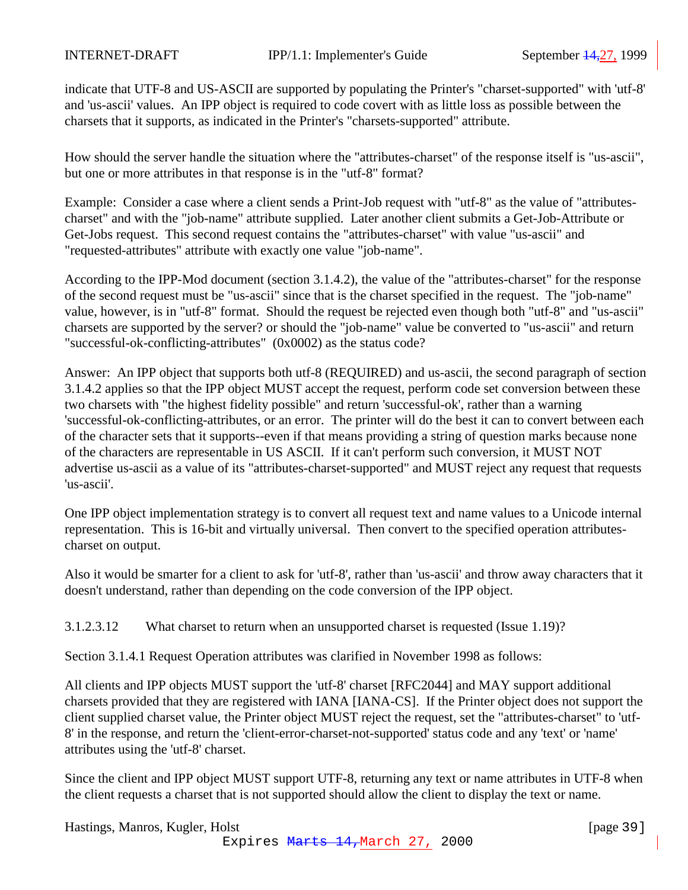<span id="page-38-0"></span>indicate that UTF-8 and US-ASCII are supported by populating the Printer's "charset-supported" with 'utf-8' and 'us-ascii' values. An IPP object is required to code covert with as little loss as possible between the charsets that it supports, as indicated in the Printer's "charsets-supported" attribute.

How should the server handle the situation where the "attributes-charset" of the response itself is "us-ascii", but one or more attributes in that response is in the "utf-8" format?

Example: Consider a case where a client sends a Print-Job request with "utf-8" as the value of "attributescharset" and with the "job-name" attribute supplied. Later another client submits a Get-Job-Attribute or Get-Jobs request. This second request contains the "attributes-charset" with value "us-ascii" and "requested-attributes" attribute with exactly one value "job-name".

According to the IPP-Mod document (section 3.1.4.2), the value of the "attributes-charset" for the response of the second request must be "us-ascii" since that is the charset specified in the request. The "job-name" value, however, is in "utf-8" format. Should the request be rejected even though both "utf-8" and "us-ascii" charsets are supported by the server? or should the "job-name" value be converted to "us-ascii" and return "successful-ok-conflicting-attributes" (0x0002) as the status code?

Answer: An IPP object that supports both utf-8 (REQUIRED) and us-ascii, the second paragraph of section 3.1.4.2 applies so that the IPP object MUST accept the request, perform code set conversion between these two charsets with "the highest fidelity possible" and return 'successful-ok', rather than a warning 'successful-ok-conflicting-attributes, or an error. The printer will do the best it can to convert between each of the character sets that it supports--even if that means providing a string of question marks because none of the characters are representable in US ASCII. If it can't perform such conversion, it MUST NOT advertise us-ascii as a value of its "attributes-charset-supported" and MUST reject any request that requests 'us-ascii'.

One IPP object implementation strategy is to convert all request text and name values to a Unicode internal representation. This is 16-bit and virtually universal. Then convert to the specified operation attributescharset on output.

Also it would be smarter for a client to ask for 'utf-8', rather than 'us-ascii' and throw away characters that it doesn't understand, rather than depending on the code conversion of the IPP object.

3.1.2.3.12 What charset to return when an unsupported charset is requested (Issue 1.19)?

Section 3.1.4.1 Request Operation attributes was clarified in November 1998 as follows:

All clients and IPP objects MUST support the 'utf-8' charset [RFC2044] and MAY support additional charsets provided that they are registered with IANA [IANA-CS]. If the Printer object does not support the client supplied charset value, the Printer object MUST reject the request, set the "attributes-charset" to 'utf-8' in the response, and return the 'client-error-charset-not-supported' status code and any 'text' or 'name' attributes using the 'utf-8' charset.

Since the client and IPP object MUST support UTF-8, returning any text or name attributes in UTF-8 when the client requests a charset that is not supported should allow the client to display the text or name.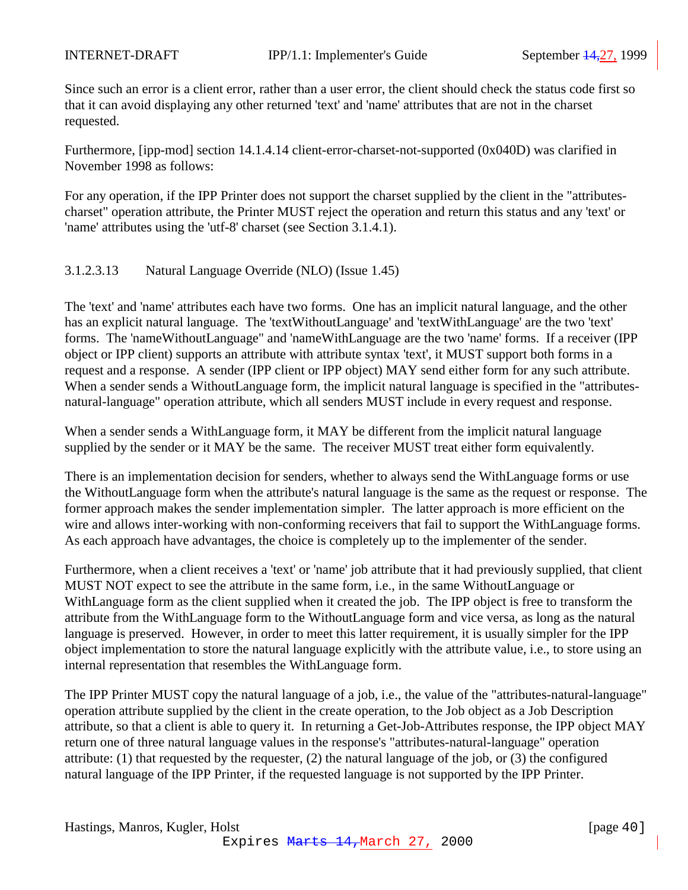<span id="page-39-0"></span>Since such an error is a client error, rather than a user error, the client should check the status code first so that it can avoid displaying any other returned 'text' and 'name' attributes that are not in the charset requested.

Furthermore, [ipp-mod] section 14.1.4.14 client-error-charset-not-supported (0x040D) was clarified in November 1998 as follows:

For any operation, if the IPP Printer does not support the charset supplied by the client in the "attributescharset" operation attribute, the Printer MUST reject the operation and return this status and any 'text' or 'name' attributes using the 'utf-8' charset (see Section 3.1.4.1).

## 3.1.2.3.13 Natural Language Override (NLO) (Issue 1.45)

The 'text' and 'name' attributes each have two forms. One has an implicit natural language, and the other has an explicit natural language. The 'textWithoutLanguage' and 'textWithLanguage' are the two 'text' forms. The 'nameWithoutLanguage" and 'nameWithLanguage are the two 'name' forms. If a receiver (IPP object or IPP client) supports an attribute with attribute syntax 'text', it MUST support both forms in a request and a response. A sender (IPP client or IPP object) MAY send either form for any such attribute. When a sender sends a WithoutLanguage form, the implicit natural language is specified in the "attributesnatural-language" operation attribute, which all senders MUST include in every request and response.

When a sender sends a WithLanguage form, it MAY be different from the implicit natural language supplied by the sender or it MAY be the same. The receiver MUST treat either form equivalently.

There is an implementation decision for senders, whether to always send the WithLanguage forms or use the WithoutLanguage form when the attribute's natural language is the same as the request or response. The former approach makes the sender implementation simpler. The latter approach is more efficient on the wire and allows inter-working with non-conforming receivers that fail to support the WithLanguage forms. As each approach have advantages, the choice is completely up to the implementer of the sender.

Furthermore, when a client receives a 'text' or 'name' job attribute that it had previously supplied, that client MUST NOT expect to see the attribute in the same form, i.e., in the same WithoutLanguage or WithLanguage form as the client supplied when it created the job. The IPP object is free to transform the attribute from the WithLanguage form to the WithoutLanguage form and vice versa, as long as the natural language is preserved. However, in order to meet this latter requirement, it is usually simpler for the IPP object implementation to store the natural language explicitly with the attribute value, i.e., to store using an internal representation that resembles the WithLanguage form.

The IPP Printer MUST copy the natural language of a job, i.e., the value of the "attributes-natural-language" operation attribute supplied by the client in the create operation, to the Job object as a Job Description attribute, so that a client is able to query it. In returning a Get-Job-Attributes response, the IPP object MAY return one of three natural language values in the response's "attributes-natural-language" operation attribute:  $(1)$  that requested by the requester,  $(2)$  the natural language of the job, or  $(3)$  the configured natural language of the IPP Printer, if the requested language is not supported by the IPP Printer.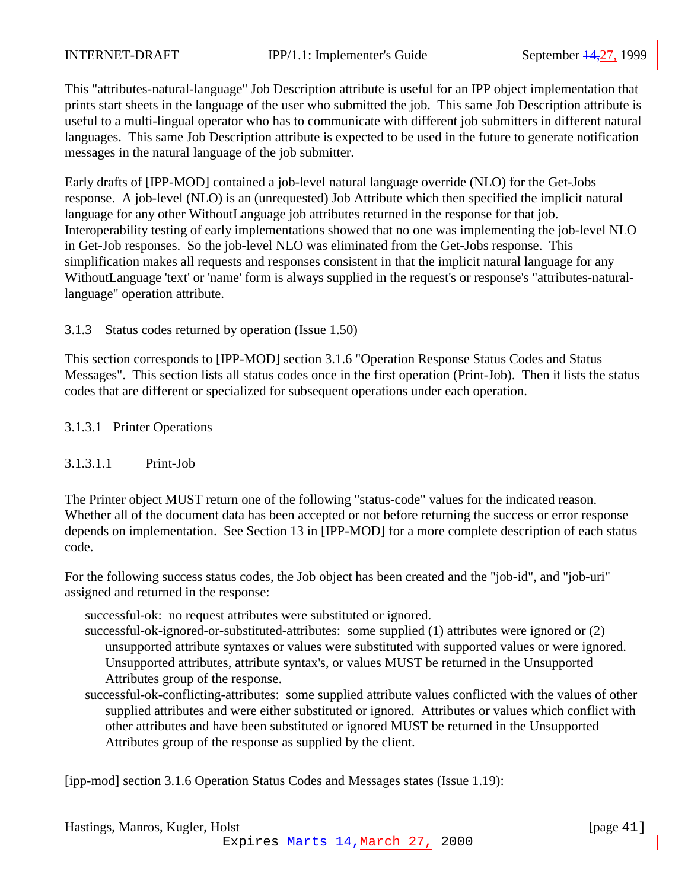<span id="page-40-0"></span>This "attributes-natural-language" Job Description attribute is useful for an IPP object implementation that prints start sheets in the language of the user who submitted the job. This same Job Description attribute is useful to a multi-lingual operator who has to communicate with different job submitters in different natural languages. This same Job Description attribute is expected to be used in the future to generate notification messages in the natural language of the job submitter.

Early drafts of [IPP-MOD] contained a job-level natural language override (NLO) for the Get-Jobs response. A job-level (NLO) is an (unrequested) Job Attribute which then specified the implicit natural language for any other WithoutLanguage job attributes returned in the response for that job. Interoperability testing of early implementations showed that no one was implementing the job-level NLO in Get-Job responses. So the job-level NLO was eliminated from the Get-Jobs response. This simplification makes all requests and responses consistent in that the implicit natural language for any WithoutLanguage 'text' or 'name' form is always supplied in the request's or response's "attributes-naturallanguage" operation attribute.

3.1.3 Status codes returned by operation (Issue 1.50)

This section corresponds to [IPP-MOD] section 3.1.6 "Operation Response Status Codes and Status Messages". This section lists all status codes once in the first operation (Print-Job). Then it lists the status codes that are different or specialized for subsequent operations under each operation.

3.1.3.1 Printer Operations

## 3.1.3.1.1 Print-Job

The Printer object MUST return one of the following "status-code" values for the indicated reason. Whether all of the document data has been accepted or not before returning the success or error response depends on implementation. See Section 13 in [IPP-MOD] for a more complete description of each status code.

For the following success status codes, the Job object has been created and the "job-id", and "job-uri" assigned and returned in the response:

successful-ok: no request attributes were substituted or ignored.

- successful-ok-ignored-or-substituted-attributes: some supplied (1) attributes were ignored or (2) unsupported attribute syntaxes or values were substituted with supported values or were ignored. Unsupported attributes, attribute syntax's, or values MUST be returned in the Unsupported Attributes group of the response.
- successful-ok-conflicting-attributes: some supplied attribute values conflicted with the values of other supplied attributes and were either substituted or ignored. Attributes or values which conflict with other attributes and have been substituted or ignored MUST be returned in the Unsupported Attributes group of the response as supplied by the client.

[ipp-mod] section 3.1.6 Operation Status Codes and Messages states (Issue 1.19):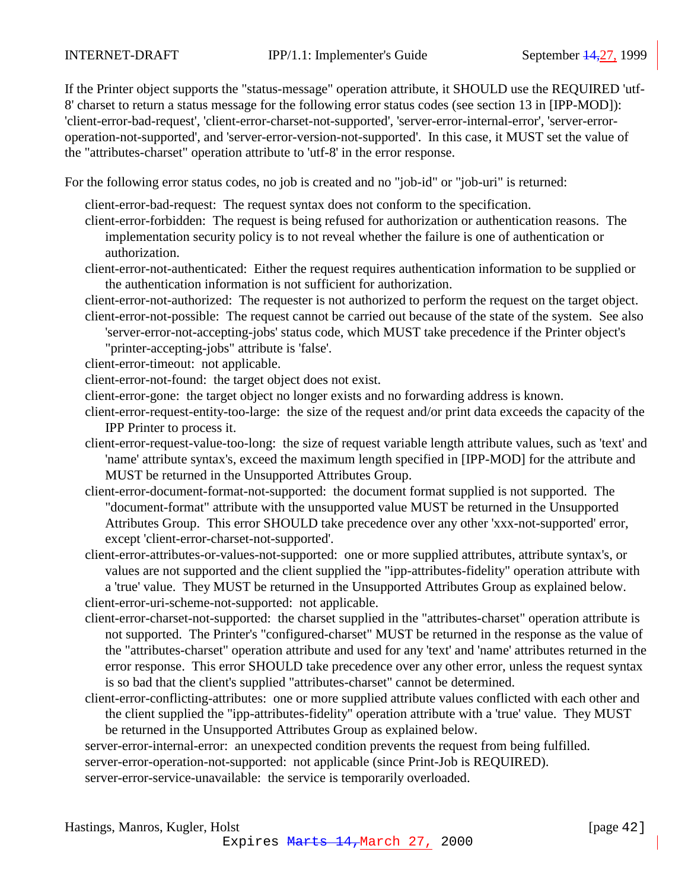If the Printer object supports the "status-message" operation attribute, it SHOULD use the REQUIRED 'utf-8' charset to return a status message for the following error status codes (see section 13 in [IPP-MOD]): 'client-error-bad-request', 'client-error-charset-not-supported', 'server-error-internal-error', 'server-erroroperation-not-supported', and 'server-error-version-not-supported'. In this case, it MUST set the value of the "attributes-charset" operation attribute to 'utf-8' in the error response.

For the following error status codes, no job is created and no "job-id" or "job-uri" is returned:

client-error-bad-request: The request syntax does not conform to the specification.

client-error-forbidden: The request is being refused for authorization or authentication reasons. The implementation security policy is to not reveal whether the failure is one of authentication or authorization.

client-error-not-authenticated: Either the request requires authentication information to be supplied or the authentication information is not sufficient for authorization.

client-error-not-authorized: The requester is not authorized to perform the request on the target object. client-error-not-possible: The request cannot be carried out because of the state of the system. See also

'server-error-not-accepting-jobs' status code, which MUST take precedence if the Printer object's "printer-accepting-jobs" attribute is 'false'.

client-error-timeout: not applicable.

client-error-not-found: the target object does not exist.

client-error-gone: the target object no longer exists and no forwarding address is known.

client-error-request-entity-too-large: the size of the request and/or print data exceeds the capacity of the IPP Printer to process it.

client-error-request-value-too-long: the size of request variable length attribute values, such as 'text' and 'name' attribute syntax's, exceed the maximum length specified in [IPP-MOD] for the attribute and

MUST be returned in the Unsupported Attributes Group.

client-error-document-format-not-supported: the document format supplied is not supported. The "document-format" attribute with the unsupported value MUST be returned in the Unsupported Attributes Group. This error SHOULD take precedence over any other 'xxx-not-supported' error, except 'client-error-charset-not-supported'.

client-error-attributes-or-values-not-supported: one or more supplied attributes, attribute syntax's, or values are not supported and the client supplied the "ipp-attributes-fidelity" operation attribute with a 'true' value. They MUST be returned in the Unsupported Attributes Group as explained below.

client-error-uri-scheme-not-supported: not applicable.

- client-error-charset-not-supported: the charset supplied in the "attributes-charset" operation attribute is not supported. The Printer's "configured-charset" MUST be returned in the response as the value of the "attributes-charset" operation attribute and used for any 'text' and 'name' attributes returned in the error response. This error SHOULD take precedence over any other error, unless the request syntax is so bad that the client's supplied "attributes-charset" cannot be determined.
- client-error-conflicting-attributes: one or more supplied attribute values conflicted with each other and the client supplied the "ipp-attributes-fidelity" operation attribute with a 'true' value. They MUST be returned in the Unsupported Attributes Group as explained below.

server-error-internal-error: an unexpected condition prevents the request from being fulfilled.

server-error-operation-not-supported: not applicable (since Print-Job is REQUIRED).

server-error-service-unavailable: the service is temporarily overloaded.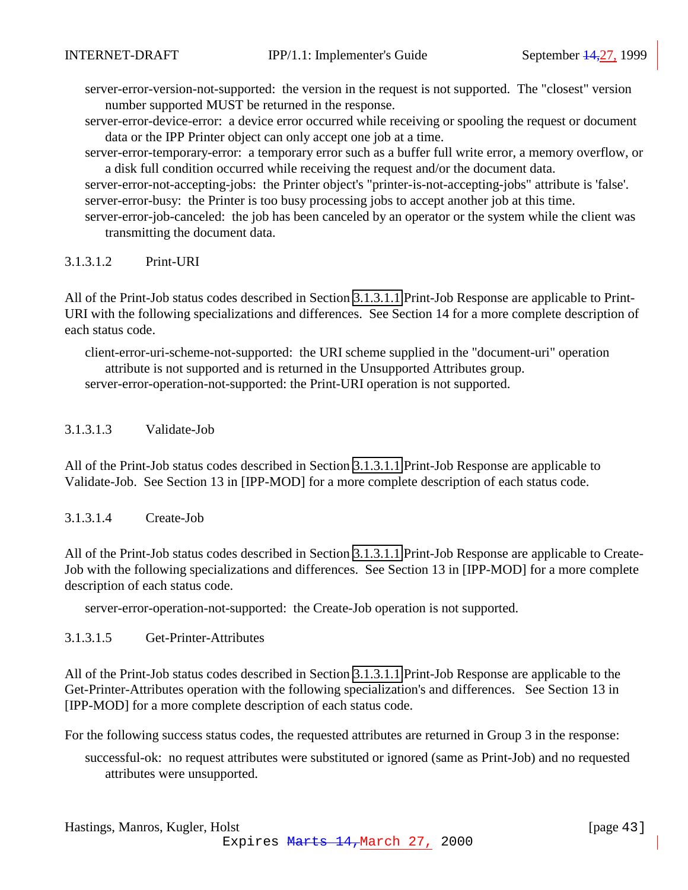- <span id="page-42-0"></span>server-error-version-not-supported: the version in the request is not supported. The "closest" version number supported MUST be returned in the response.
- server-error-device-error: a device error occurred while receiving or spooling the request or document data or the IPP Printer object can only accept one job at a time.

server-error-temporary-error: a temporary error such as a buffer full write error, a memory overflow, or a disk full condition occurred while receiving the request and/or the document data.

server-error-not-accepting-jobs: the Printer object's "printer-is-not-accepting-jobs" attribute is 'false'. server-error-busy: the Printer is too busy processing jobs to accept another job at this time.

server-error-job-canceled: the job has been canceled by an operator or the system while the client was transmitting the document data.

#### 3.1.3.1.2 Print-URI

All of the Print-Job status codes described in Section [3.1.3.1.1](#page-40-0) Print-Job Response are applicable to Print-URI with the following specializations and differences. See Section 14 for a more complete description of each status code.

client-error-uri-scheme-not-supported: the URI scheme supplied in the "document-uri" operation attribute is not supported and is returned in the Unsupported Attributes group. server-error-operation-not-supported: the Print-URI operation is not supported.

#### 3.1.3.1.3 Validate-Job

All of the Print-Job status codes described in Section [3.1.3.1.1](#page-40-0) Print-Job Response are applicable to Validate-Job. See Section 13 in [IPP-MOD] for a more complete description of each status code.

#### 3.1.3.1.4 Create-Job

All of the Print-Job status codes described in Section [3.1.3.1.1](#page-40-0) Print-Job Response are applicable to Create-Job with the following specializations and differences. See Section 13 in [IPP-MOD] for a more complete description of each status code.

server-error-operation-not-supported: the Create-Job operation is not supported.

## 3.1.3.1.5 Get-Printer-Attributes

All of the Print-Job status codes described in Section [3.1.3.1.1](#page-40-0) Print-Job Response are applicable to the Get-Printer-Attributes operation with the following specialization's and differences. See Section 13 in [IPP-MOD] for a more complete description of each status code.

For the following success status codes, the requested attributes are returned in Group 3 in the response:

successful-ok: no request attributes were substituted or ignored (same as Print-Job) and no requested attributes were unsupported.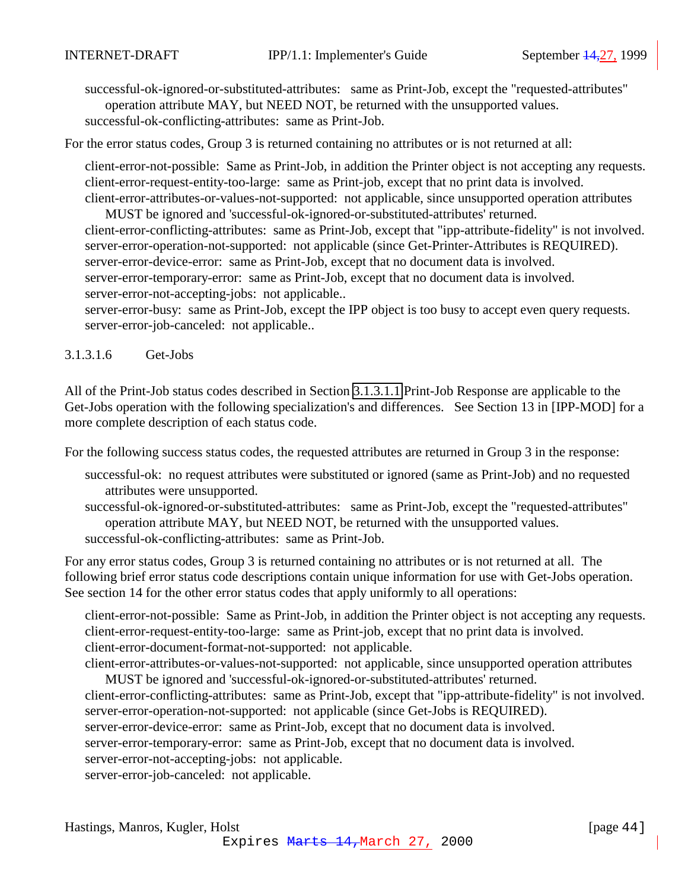<span id="page-43-0"></span>successful-ok-ignored-or-substituted-attributes: same as Print-Job, except the "requested-attributes" operation attribute MAY, but NEED NOT, be returned with the unsupported values. successful-ok-conflicting-attributes: same as Print-Job.

For the error status codes, Group 3 is returned containing no attributes or is not returned at all:

client-error-not-possible: Same as Print-Job, in addition the Printer object is not accepting any requests. client-error-request-entity-too-large: same as Print-job, except that no print data is involved. client-error-attributes-or-values-not-supported: not applicable, since unsupported operation attributes

MUST be ignored and 'successful-ok-ignored-or-substituted-attributes' returned. client-error-conflicting-attributes: same as Print-Job, except that "ipp-attribute-fidelity" is not involved. server-error-operation-not-supported: not applicable (since Get-Printer-Attributes is REQUIRED). server-error-device-error: same as Print-Job, except that no document data is involved. server-error-temporary-error: same as Print-Job, except that no document data is involved. server-error-not-accepting-jobs: not applicable.. server-error-busy: same as Print-Job, except the IPP object is too busy to accept even query requests.

server-error-job-canceled: not applicable..

## 3.1.3.1.6 Get-Jobs

All of the Print-Job status codes described in Section [3.1.3.1.1](#page-40-0) Print-Job Response are applicable to the Get-Jobs operation with the following specialization's and differences. See Section 13 in [IPP-MOD] for a more complete description of each status code.

For the following success status codes, the requested attributes are returned in Group 3 in the response:

- successful-ok: no request attributes were substituted or ignored (same as Print-Job) and no requested attributes were unsupported.
- successful-ok-ignored-or-substituted-attributes: same as Print-Job, except the "requested-attributes" operation attribute MAY, but NEED NOT, be returned with the unsupported values. successful-ok-conflicting-attributes: same as Print-Job.

For any error status codes, Group 3 is returned containing no attributes or is not returned at all. The following brief error status code descriptions contain unique information for use with Get-Jobs operation. See section 14 for the other error status codes that apply uniformly to all operations:

client-error-not-possible: Same as Print-Job, in addition the Printer object is not accepting any requests. client-error-request-entity-too-large: same as Print-job, except that no print data is involved. client-error-document-format-not-supported: not applicable.

client-error-attributes-or-values-not-supported: not applicable, since unsupported operation attributes MUST be ignored and 'successful-ok-ignored-or-substituted-attributes' returned.

client-error-conflicting-attributes: same as Print-Job, except that "ipp-attribute-fidelity" is not involved. server-error-operation-not-supported: not applicable (since Get-Jobs is REQUIRED).

server-error-device-error: same as Print-Job, except that no document data is involved.

server-error-temporary-error: same as Print-Job, except that no document data is involved.

server-error-not-accepting-jobs: not applicable.

server-error-job-canceled: not applicable.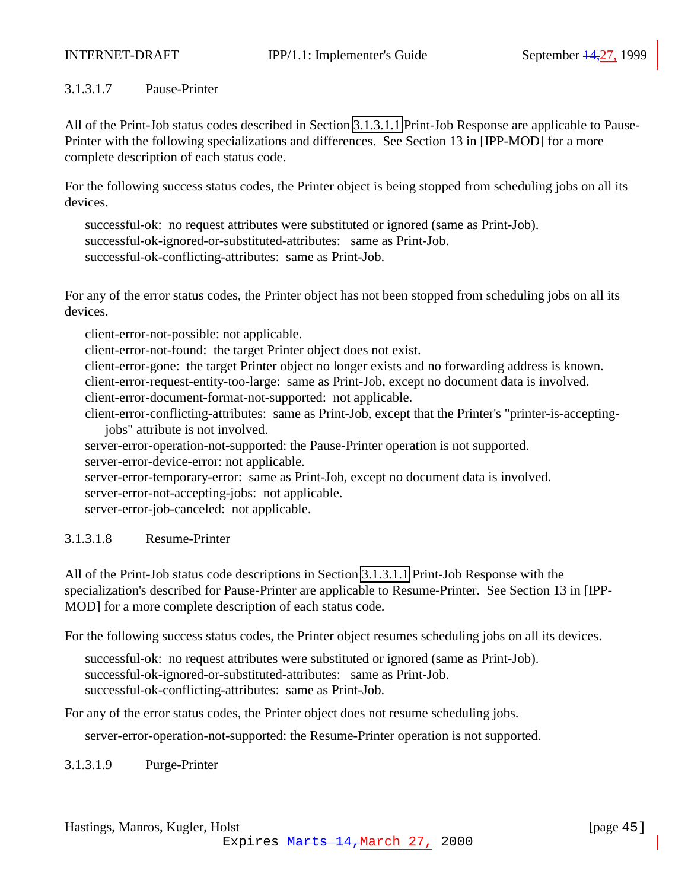## <span id="page-44-0"></span>3.1.3.1.7 Pause-Printer

All of the Print-Job status codes described in Section [3.1.3.1.1](#page-40-0) Print-Job Response are applicable to Pause-Printer with the following specializations and differences. See Section 13 in [IPP-MOD] for a more complete description of each status code.

For the following success status codes, the Printer object is being stopped from scheduling jobs on all its devices.

successful-ok: no request attributes were substituted or ignored (same as Print-Job). successful-ok-ignored-or-substituted-attributes: same as Print-Job. successful-ok-conflicting-attributes: same as Print-Job.

For any of the error status codes, the Printer object has not been stopped from scheduling jobs on all its devices.

client-error-not-possible: not applicable.

client-error-not-found: the target Printer object does not exist.

client-error-gone: the target Printer object no longer exists and no forwarding address is known. client-error-request-entity-too-large: same as Print-Job, except no document data is involved.

client-error-document-format-not-supported: not applicable.

client-error-conflicting-attributes: same as Print-Job, except that the Printer's "printer-is-acceptingjobs" attribute is not involved.

server-error-operation-not-supported: the Pause-Printer operation is not supported. server-error-device-error: not applicable.

server-error-temporary-error: same as Print-Job, except no document data is involved. server-error-not-accepting-jobs: not applicable.

server-error-job-canceled: not applicable.

## 3.1.3.1.8 Resume-Printer

All of the Print-Job status code descriptions in Section [3.1.3.1.1](#page-40-0) Print-Job Response with the specialization's described for Pause-Printer are applicable to Resume-Printer. See Section 13 in [IPP-MOD] for a more complete description of each status code.

For the following success status codes, the Printer object resumes scheduling jobs on all its devices.

successful-ok: no request attributes were substituted or ignored (same as Print-Job). successful-ok-ignored-or-substituted-attributes: same as Print-Job. successful-ok-conflicting-attributes: same as Print-Job.

For any of the error status codes, the Printer object does not resume scheduling jobs.

server-error-operation-not-supported: the Resume-Printer operation is not supported.

3.1.3.1.9 Purge-Printer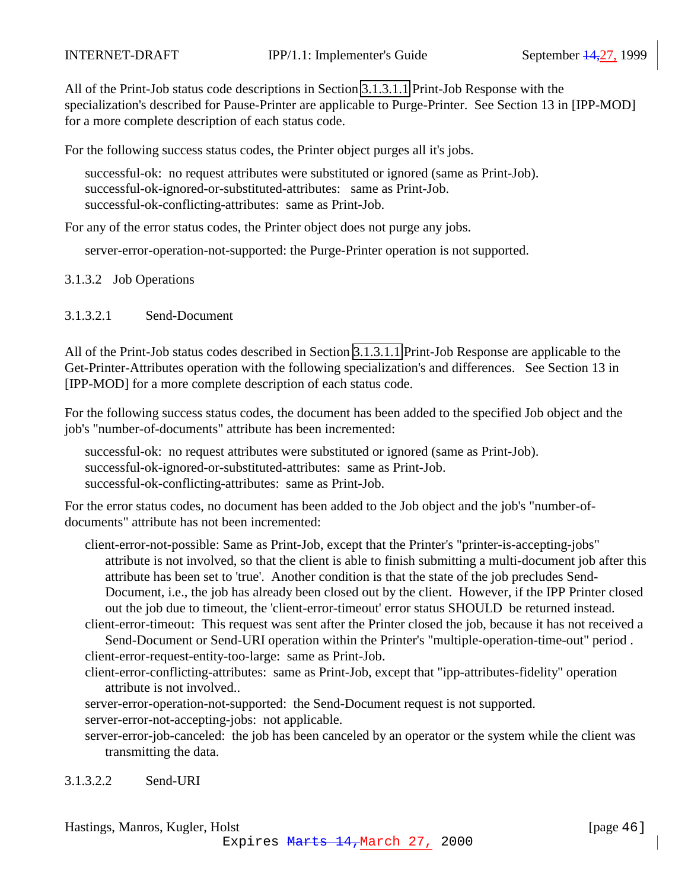<span id="page-45-0"></span>All of the Print-Job status code descriptions in Section [3.1.3.1.1](#page-40-0) Print-Job Response with the specialization's described for Pause-Printer are applicable to Purge-Printer. See Section 13 in [IPP-MOD] for a more complete description of each status code.

For the following success status codes, the Printer object purges all it's jobs.

successful-ok: no request attributes were substituted or ignored (same as Print-Job). successful-ok-ignored-or-substituted-attributes: same as Print-Job. successful-ok-conflicting-attributes: same as Print-Job.

For any of the error status codes, the Printer object does not purge any jobs.

server-error-operation-not-supported: the Purge-Printer operation is not supported.

3.1.3.2 Job Operations

3.1.3.2.1 Send-Document

All of the Print-Job status codes described in Section [3.1.3.1.1](#page-40-0) Print-Job Response are applicable to the Get-Printer-Attributes operation with the following specialization's and differences. See Section 13 in [IPP-MOD] for a more complete description of each status code.

For the following success status codes, the document has been added to the specified Job object and the job's "number-of-documents" attribute has been incremented:

successful-ok: no request attributes were substituted or ignored (same as Print-Job). successful-ok-ignored-or-substituted-attributes: same as Print-Job. successful-ok-conflicting-attributes: same as Print-Job.

For the error status codes, no document has been added to the Job object and the job's "number-ofdocuments" attribute has not been incremented:

client-error-not-possible: Same as Print-Job, except that the Printer's "printer-is-accepting-jobs" attribute is not involved, so that the client is able to finish submitting a multi-document job after this attribute has been set to 'true'. Another condition is that the state of the job precludes Send-Document, i.e., the job has already been closed out by the client. However, if the IPP Printer closed out the job due to timeout, the 'client-error-timeout' error status SHOULD be returned instead. client-error-timeout: This request was sent after the Printer closed the job, because it has not received a

Send-Document or Send-URI operation within the Printer's "multiple-operation-time-out" period . client-error-request-entity-too-large: same as Print-Job.

client-error-conflicting-attributes: same as Print-Job, except that "ipp-attributes-fidelity" operation attribute is not involved..

server-error-operation-not-supported: the Send-Document request is not supported. server-error-not-accepting-jobs: not applicable.

server-error-job-canceled: the job has been canceled by an operator or the system while the client was transmitting the data.

3.1.3.2.2 Send-URI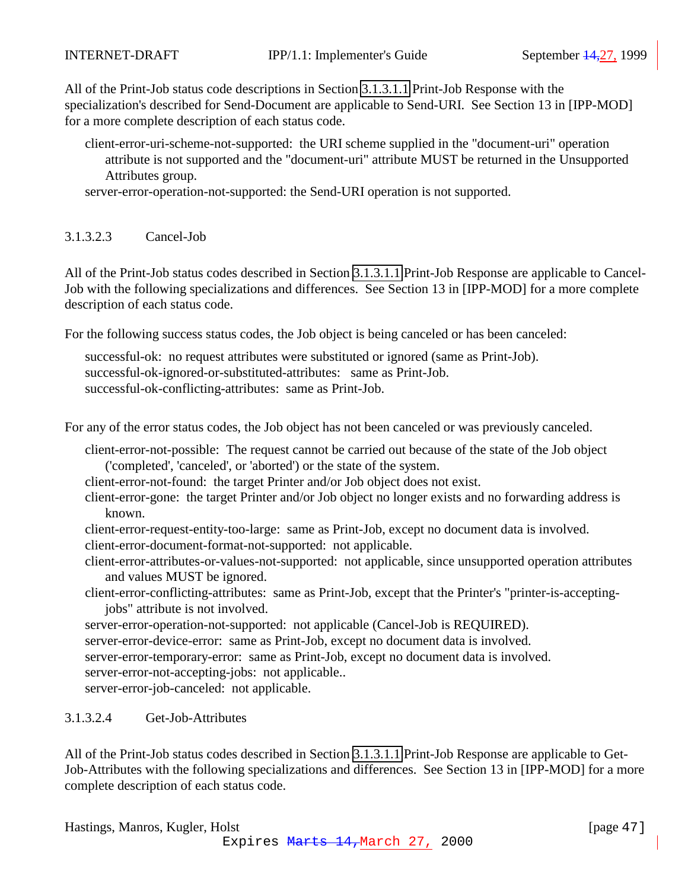<span id="page-46-0"></span>All of the Print-Job status code descriptions in Section [3.1.3.1.1](#page-40-0) Print-Job Response with the specialization's described for Send-Document are applicable to Send-URI. See Section 13 in [IPP-MOD] for a more complete description of each status code.

client-error-uri-scheme-not-supported: the URI scheme supplied in the "document-uri" operation attribute is not supported and the "document-uri" attribute MUST be returned in the Unsupported Attributes group.

server-error-operation-not-supported: the Send-URI operation is not supported.

#### 3.1.3.2.3 Cancel-Job

All of the Print-Job status codes described in Section [3.1.3.1.1](#page-40-0) Print-Job Response are applicable to Cancel-Job with the following specializations and differences. See Section 13 in [IPP-MOD] for a more complete description of each status code.

For the following success status codes, the Job object is being canceled or has been canceled:

successful-ok: no request attributes were substituted or ignored (same as Print-Job). successful-ok-ignored-or-substituted-attributes: same as Print-Job. successful-ok-conflicting-attributes: same as Print-Job.

For any of the error status codes, the Job object has not been canceled or was previously canceled.

client-error-not-possible: The request cannot be carried out because of the state of the Job object ('completed', 'canceled', or 'aborted') or the state of the system.

client-error-not-found: the target Printer and/or Job object does not exist.

- client-error-gone: the target Printer and/or Job object no longer exists and no forwarding address is known.
- client-error-request-entity-too-large: same as Print-Job, except no document data is involved.
- client-error-document-format-not-supported: not applicable.
- client-error-attributes-or-values-not-supported: not applicable, since unsupported operation attributes and values MUST be ignored.
- client-error-conflicting-attributes: same as Print-Job, except that the Printer's "printer-is-acceptingjobs" attribute is not involved.
- server-error-operation-not-supported: not applicable (Cancel-Job is REQUIRED).
- server-error-device-error: same as Print-Job, except no document data is involved.
- server-error-temporary-error: same as Print-Job, except no document data is involved.
- server-error-not-accepting-jobs: not applicable..

server-error-job-canceled: not applicable.

## 3.1.3.2.4 Get-Job-Attributes

All of the Print-Job status codes described in Section [3.1.3.1.1](#page-40-0) Print-Job Response are applicable to Get-Job-Attributes with the following specializations and differences. See Section 13 in [IPP-MOD] for a more complete description of each status code.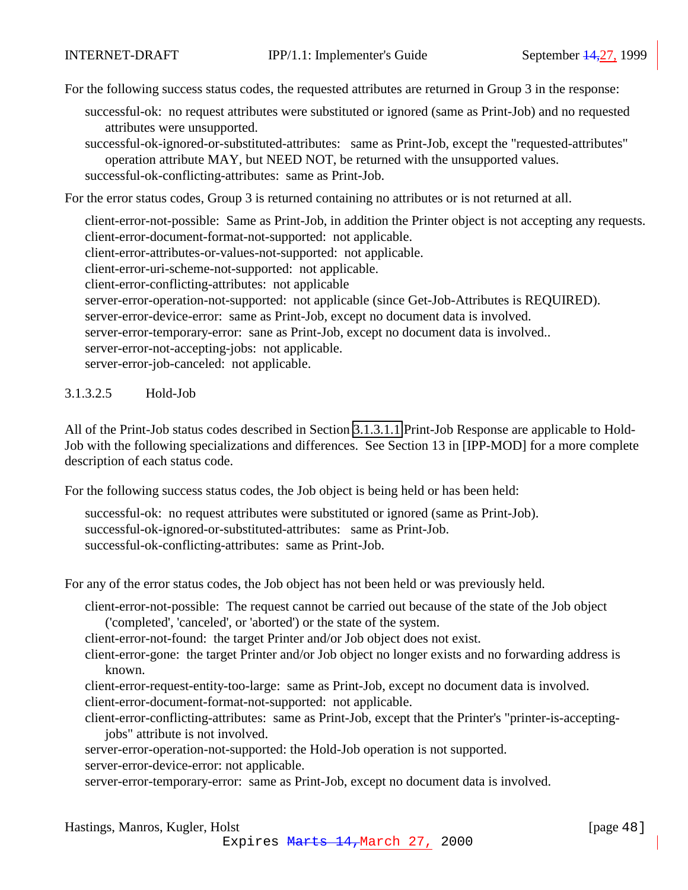<span id="page-47-0"></span>For the following success status codes, the requested attributes are returned in Group 3 in the response:

successful-ok: no request attributes were substituted or ignored (same as Print-Job) and no requested attributes were unsupported.

successful-ok-ignored-or-substituted-attributes: same as Print-Job, except the "requested-attributes" operation attribute MAY, but NEED NOT, be returned with the unsupported values. successful-ok-conflicting-attributes: same as Print-Job.

For the error status codes, Group 3 is returned containing no attributes or is not returned at all.

client-error-not-possible: Same as Print-Job, in addition the Printer object is not accepting any requests. client-error-document-format-not-supported: not applicable. client-error-attributes-or-values-not-supported: not applicable. client-error-uri-scheme-not-supported: not applicable. client-error-conflicting-attributes: not applicable server-error-operation-not-supported: not applicable (since Get-Job-Attributes is REQUIRED). server-error-device-error: same as Print-Job, except no document data is involved. server-error-temporary-error: sane as Print-Job, except no document data is involved.. server-error-not-accepting-jobs: not applicable. server-error-job-canceled: not applicable.

#### 3.1.3.2.5 Hold-Job

All of the Print-Job status codes described in Section [3.1.3.1.1](#page-40-0) Print-Job Response are applicable to Hold-Job with the following specializations and differences. See Section 13 in [IPP-MOD] for a more complete description of each status code.

For the following success status codes, the Job object is being held or has been held:

successful-ok: no request attributes were substituted or ignored (same as Print-Job). successful-ok-ignored-or-substituted-attributes: same as Print-Job. successful-ok-conflicting-attributes: same as Print-Job.

For any of the error status codes, the Job object has not been held or was previously held.

client-error-not-possible: The request cannot be carried out because of the state of the Job object ('completed', 'canceled', or 'aborted') or the state of the system.

client-error-not-found: the target Printer and/or Job object does not exist.

- client-error-gone: the target Printer and/or Job object no longer exists and no forwarding address is known.
- client-error-request-entity-too-large: same as Print-Job, except no document data is involved. client-error-document-format-not-supported: not applicable.
- client-error-conflicting-attributes: same as Print-Job, except that the Printer's "printer-is-acceptingjobs" attribute is not involved.

server-error-operation-not-supported: the Hold-Job operation is not supported.

server-error-device-error: not applicable.

server-error-temporary-error: same as Print-Job, except no document data is involved.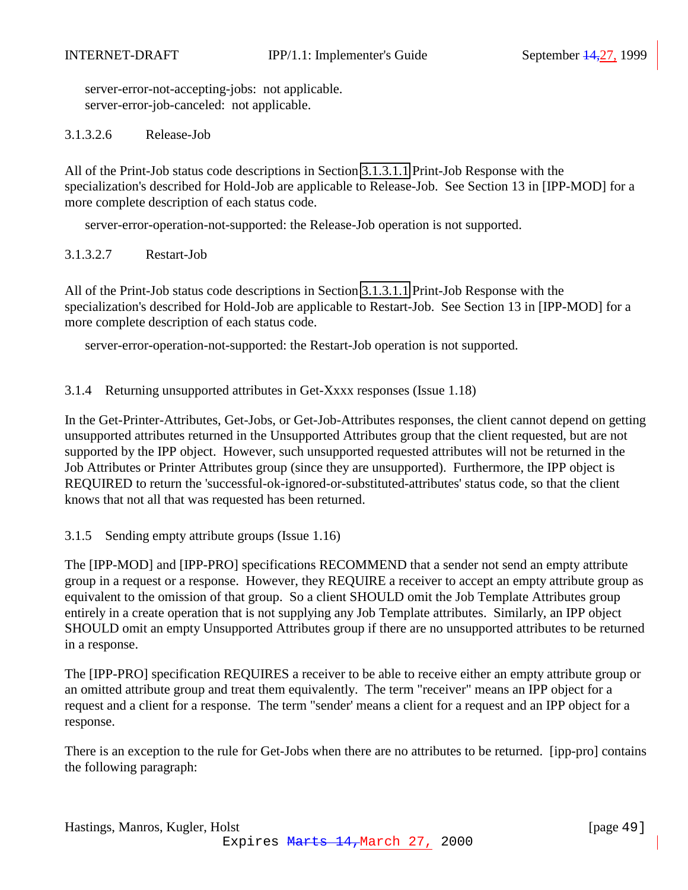<span id="page-48-0"></span>server-error-not-accepting-jobs: not applicable. server-error-job-canceled: not applicable.

3.1.3.2.6 Release-Job

All of the Print-Job status code descriptions in Section [3.1.3.1.1](#page-40-0) Print-Job Response with the specialization's described for Hold-Job are applicable to Release-Job. See Section 13 in [IPP-MOD] for a more complete description of each status code.

server-error-operation-not-supported: the Release-Job operation is not supported.

3.1.3.2.7 Restart-Job

All of the Print-Job status code descriptions in Section [3.1.3.1.1](#page-40-0) Print-Job Response with the specialization's described for Hold-Job are applicable to Restart-Job. See Section 13 in [IPP-MOD] for a more complete description of each status code.

server-error-operation-not-supported: the Restart-Job operation is not supported.

3.1.4 Returning unsupported attributes in Get-Xxxx responses (Issue 1.18)

In the Get-Printer-Attributes, Get-Jobs, or Get-Job-Attributes responses, the client cannot depend on getting unsupported attributes returned in the Unsupported Attributes group that the client requested, but are not supported by the IPP object. However, such unsupported requested attributes will not be returned in the Job Attributes or Printer Attributes group (since they are unsupported). Furthermore, the IPP object is REQUIRED to return the 'successful-ok-ignored-or-substituted-attributes' status code, so that the client knows that not all that was requested has been returned.

3.1.5 Sending empty attribute groups (Issue 1.16)

The [IPP-MOD] and [IPP-PRO] specifications RECOMMEND that a sender not send an empty attribute group in a request or a response. However, they REQUIRE a receiver to accept an empty attribute group as equivalent to the omission of that group. So a client SHOULD omit the Job Template Attributes group entirely in a create operation that is not supplying any Job Template attributes. Similarly, an IPP object SHOULD omit an empty Unsupported Attributes group if there are no unsupported attributes to be returned in a response.

The [IPP-PRO] specification REQUIRES a receiver to be able to receive either an empty attribute group or an omitted attribute group and treat them equivalently. The term "receiver" means an IPP object for a request and a client for a response. The term "sender' means a client for a request and an IPP object for a response.

There is an exception to the rule for Get-Jobs when there are no attributes to be returned. [ipp-pro] contains the following paragraph: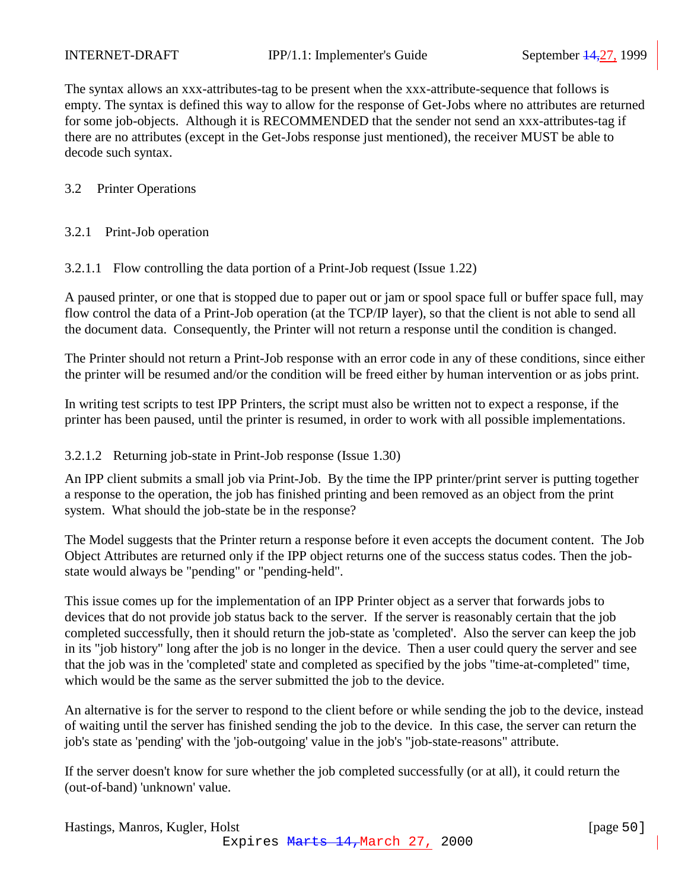<span id="page-49-0"></span>The syntax allows an xxx-attributes-tag to be present when the xxx-attribute-sequence that follows is empty. The syntax is defined this way to allow for the response of Get-Jobs where no attributes are returned for some job-objects. Although it is RECOMMENDED that the sender not send an xxx-attributes-tag if there are no attributes (except in the Get-Jobs response just mentioned), the receiver MUST be able to decode such syntax.

3.2 Printer Operations

#### 3.2.1 Print-Job operation

3.2.1.1 Flow controlling the data portion of a Print-Job request (Issue 1.22)

A paused printer, or one that is stopped due to paper out or jam or spool space full or buffer space full, may flow control the data of a Print-Job operation (at the TCP/IP layer), so that the client is not able to send all the document data. Consequently, the Printer will not return a response until the condition is changed.

The Printer should not return a Print-Job response with an error code in any of these conditions, since either the printer will be resumed and/or the condition will be freed either by human intervention or as jobs print.

In writing test scripts to test IPP Printers, the script must also be written not to expect a response, if the printer has been paused, until the printer is resumed, in order to work with all possible implementations.

3.2.1.2 Returning job-state in Print-Job response (Issue 1.30)

An IPP client submits a small job via Print-Job. By the time the IPP printer/print server is putting together a response to the operation, the job has finished printing and been removed as an object from the print system. What should the job-state be in the response?

The Model suggests that the Printer return a response before it even accepts the document content. The Job Object Attributes are returned only if the IPP object returns one of the success status codes. Then the jobstate would always be "pending" or "pending-held".

This issue comes up for the implementation of an IPP Printer object as a server that forwards jobs to devices that do not provide job status back to the server. If the server is reasonably certain that the job completed successfully, then it should return the job-state as 'completed'. Also the server can keep the job in its "job history" long after the job is no longer in the device. Then a user could query the server and see that the job was in the 'completed' state and completed as specified by the jobs "time-at-completed" time, which would be the same as the server submitted the job to the device.

An alternative is for the server to respond to the client before or while sending the job to the device, instead of waiting until the server has finished sending the job to the device. In this case, the server can return the job's state as 'pending' with the 'job-outgoing' value in the job's "job-state-reasons" attribute.

If the server doesn't know for sure whether the job completed successfully (or at all), it could return the (out-of-band) 'unknown' value.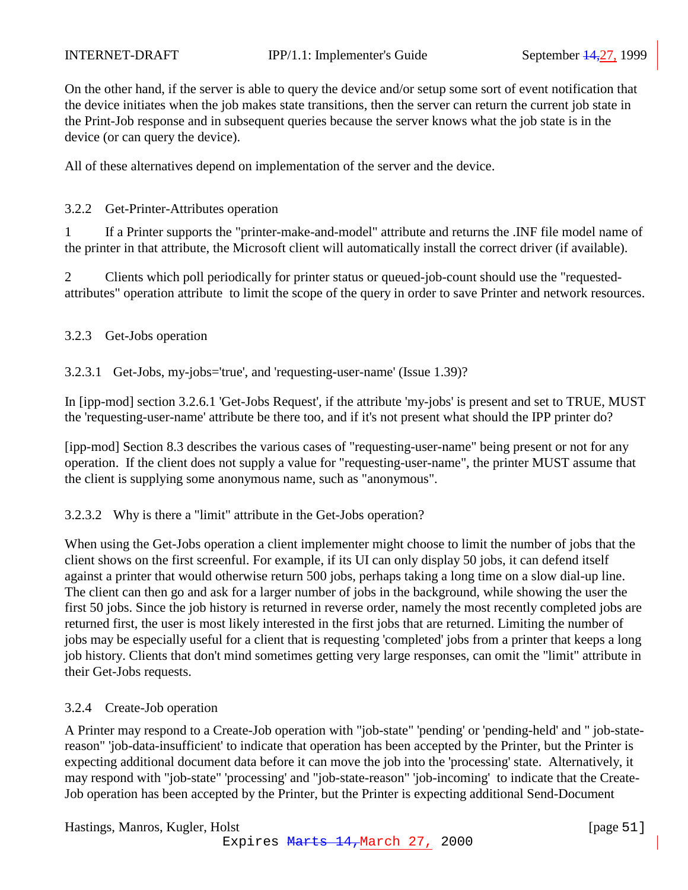<span id="page-50-0"></span>On the other hand, if the server is able to query the device and/or setup some sort of event notification that the device initiates when the job makes state transitions, then the server can return the current job state in the Print-Job response and in subsequent queries because the server knows what the job state is in the device (or can query the device).

All of these alternatives depend on implementation of the server and the device.

## 3.2.2 Get-Printer-Attributes operation

1 If a Printer supports the "printer-make-and-model" attribute and returns the .INF file model name of the printer in that attribute, the Microsoft client will automatically install the correct driver (if available).

2 Clients which poll periodically for printer status or queued-job-count should use the "requestedattributes" operation attribute to limit the scope of the query in order to save Printer and network resources.

## 3.2.3 Get-Jobs operation

3.2.3.1 Get-Jobs, my-jobs='true', and 'requesting-user-name' (Issue 1.39)?

In [ipp-mod] section 3.2.6.1 'Get-Jobs Request', if the attribute 'my-jobs' is present and set to TRUE, MUST the 'requesting-user-name' attribute be there too, and if it's not present what should the IPP printer do?

[ipp-mod] Section 8.3 describes the various cases of "requesting-user-name" being present or not for any operation. If the client does not supply a value for "requesting-user-name", the printer MUST assume that the client is supplying some anonymous name, such as "anonymous".

3.2.3.2 Why is there a "limit" attribute in the Get-Jobs operation?

When using the Get-Jobs operation a client implementer might choose to limit the number of jobs that the client shows on the first screenful. For example, if its UI can only display 50 jobs, it can defend itself against a printer that would otherwise return 500 jobs, perhaps taking a long time on a slow dial-up line. The client can then go and ask for a larger number of jobs in the background, while showing the user the first 50 jobs. Since the job history is returned in reverse order, namely the most recently completed jobs are returned first, the user is most likely interested in the first jobs that are returned. Limiting the number of jobs may be especially useful for a client that is requesting 'completed' jobs from a printer that keeps a long job history. Clients that don't mind sometimes getting very large responses, can omit the "limit" attribute in their Get-Jobs requests.

#### 3.2.4 Create-Job operation

A Printer may respond to a Create-Job operation with "job-state" 'pending' or 'pending-held' and " job-statereason" 'job-data-insufficient' to indicate that operation has been accepted by the Printer, but the Printer is expecting additional document data before it can move the job into the 'processing' state. Alternatively, it may respond with "job-state" 'processing' and "job-state-reason" 'job-incoming' to indicate that the Create-Job operation has been accepted by the Printer, but the Printer is expecting additional Send-Document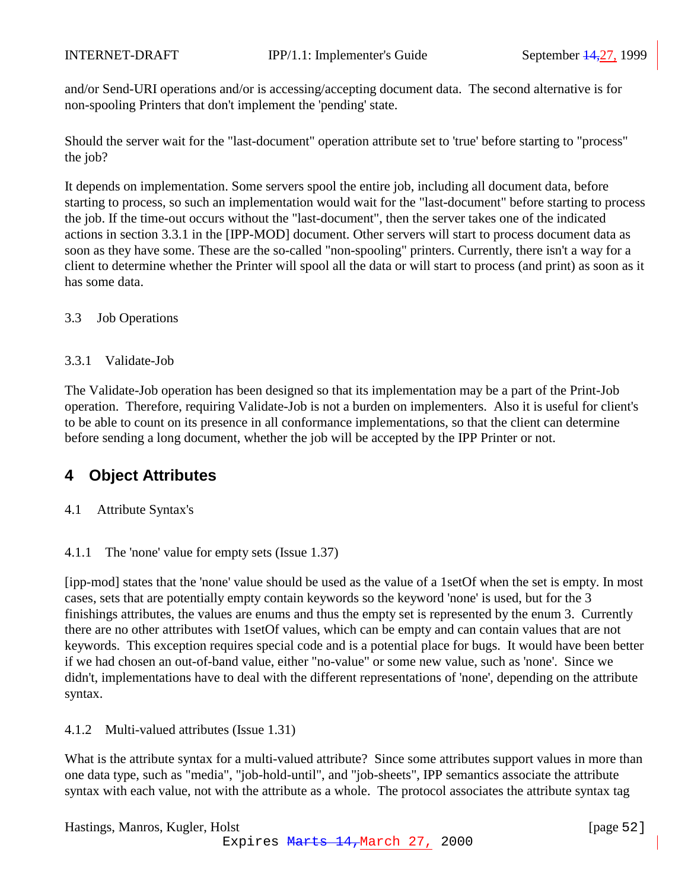<span id="page-51-0"></span>and/or Send-URI operations and/or is accessing/accepting document data. The second alternative is for non-spooling Printers that don't implement the 'pending' state.

Should the server wait for the "last-document" operation attribute set to 'true' before starting to "process" the job?

It depends on implementation. Some servers spool the entire job, including all document data, before starting to process, so such an implementation would wait for the "last-document" before starting to process the job. If the time-out occurs without the "last-document", then the server takes one of the indicated actions in section 3.3.1 in the [IPP-MOD] document. Other servers will start to process document data as soon as they have some. These are the so-called "non-spooling" printers. Currently, there isn't a way for a client to determine whether the Printer will spool all the data or will start to process (and print) as soon as it has some data.

## 3.3 Job Operations

## 3.3.1 Validate-Job

The Validate-Job operation has been designed so that its implementation may be a part of the Print-Job operation. Therefore, requiring Validate-Job is not a burden on implementers. Also it is useful for client's to be able to count on its presence in all conformance implementations, so that the client can determine before sending a long document, whether the job will be accepted by the IPP Printer or not.

# **4 Object Attributes**

## 4.1 Attribute Syntax's

#### 4.1.1 The 'none' value for empty sets (Issue 1.37)

[ipp-mod] states that the 'none' value should be used as the value of a 1setOf when the set is empty. In most cases, sets that are potentially empty contain keywords so the keyword 'none' is used, but for the 3 finishings attributes, the values are enums and thus the empty set is represented by the enum 3. Currently there are no other attributes with 1setOf values, which can be empty and can contain values that are not keywords. This exception requires special code and is a potential place for bugs. It would have been better if we had chosen an out-of-band value, either "no-value" or some new value, such as 'none'. Since we didn't, implementations have to deal with the different representations of 'none', depending on the attribute syntax.

4.1.2 Multi-valued attributes (Issue 1.31)

What is the attribute syntax for a multi-valued attribute? Since some attributes support values in more than one data type, such as "media", "job-hold-until", and "job-sheets", IPP semantics associate the attribute syntax with each value, not with the attribute as a whole. The protocol associates the attribute syntax tag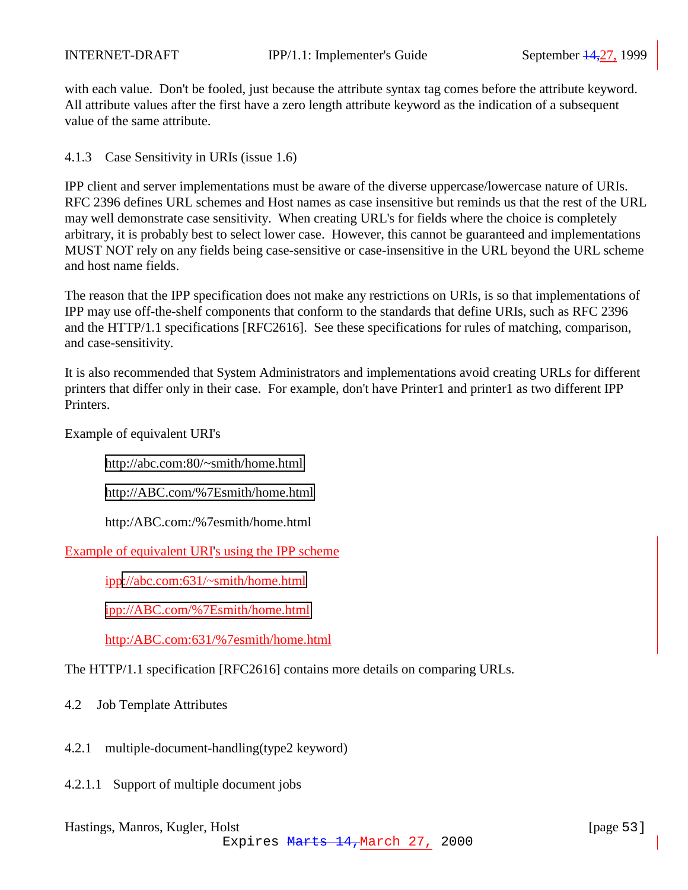<span id="page-52-0"></span>with each value. Don't be fooled, just because the attribute syntax tag comes before the attribute keyword. All attribute values after the first have a zero length attribute keyword as the indication of a subsequent value of the same attribute.

4.1.3 Case Sensitivity in URIs (issue 1.6)

IPP client and server implementations must be aware of the diverse uppercase/lowercase nature of URIs. RFC 2396 defines URL schemes and Host names as case insensitive but reminds us that the rest of the URL may well demonstrate case sensitivity. When creating URL's for fields where the choice is completely arbitrary, it is probably best to select lower case. However, this cannot be guaranteed and implementations MUST NOT rely on any fields being case-sensitive or case-insensitive in the URL beyond the URL scheme and host name fields.

The reason that the IPP specification does not make any restrictions on URIs, is so that implementations of IPP may use off-the-shelf components that conform to the standards that define URIs, such as RFC 2396 and the HTTP/1.1 specifications [RFC2616]. See these specifications for rules of matching, comparison, and case-sensitivity.

It is also recommended that System Administrators and implementations avoid creating URLs for different printers that differ only in their case. For example, don't have Printer1 and printer1 as two different IPP Printers.

Example of equivalent URI's

[http://abc.com:80/~smith/home.html](http://abc.com/~smith/home.html)

[http://ABC.com/%7Esmith/home.html](http://abc.com/%7Esmith/home.html)

http:/ABC.com:/%7esmith/home.html

Example of equivalent URI's using the IPP scheme

ipp[://abc.com:631/~smith/home.html](http://abc.com/~smith/home.html)

[ipp://ABC.com/%7Esmith/home.html](http://abc.com/%7Esmith/home.html)

http:/ABC.com:631/%7esmith/home.html

The HTTP/1.1 specification [RFC2616] contains more details on comparing URLs.

- 4.2 Job Template Attributes
- 4.2.1 multiple-document-handling(type2 keyword)
- 4.2.1.1 Support of multiple document jobs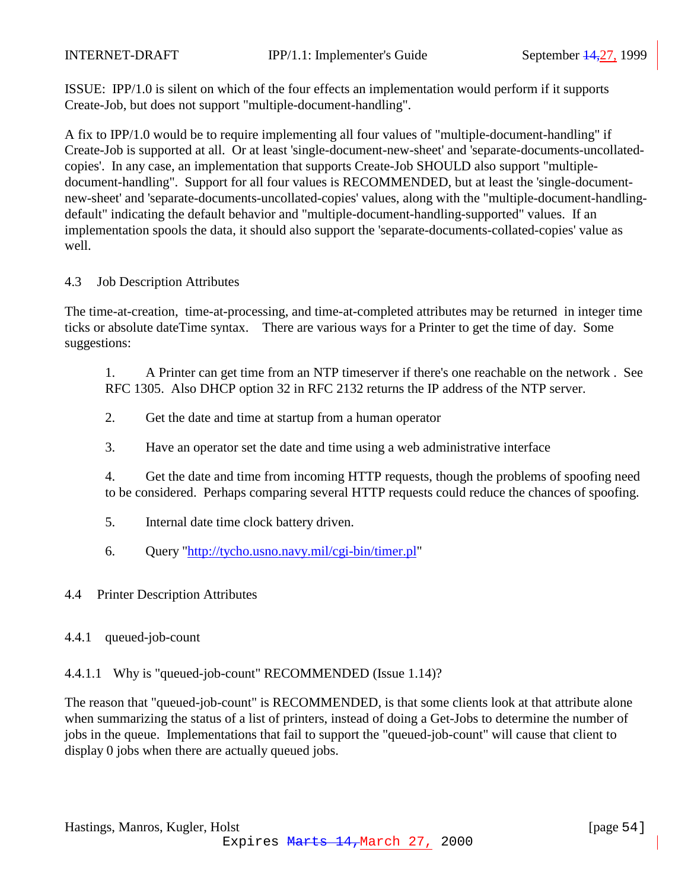<span id="page-53-0"></span>

ISSUE: IPP/1.0 is silent on which of the four effects an implementation would perform if it supports Create-Job, but does not support "multiple-document-handling".

A fix to IPP/1.0 would be to require implementing all four values of "multiple-document-handling" if Create-Job is supported at all. Or at least 'single-document-new-sheet' and 'separate-documents-uncollatedcopies'. In any case, an implementation that supports Create-Job SHOULD also support "multipledocument-handling". Support for all four values is RECOMMENDED, but at least the 'single-documentnew-sheet' and 'separate-documents-uncollated-copies' values, along with the "multiple-document-handlingdefault" indicating the default behavior and "multiple-document-handling-supported" values. If an implementation spools the data, it should also support the 'separate-documents-collated-copies' value as well.

## 4.3 Job Description Attributes

The time-at-creation, time-at-processing, and time-at-completed attributes may be returned in integer time ticks or absolute dateTime syntax. There are various ways for a Printer to get the time of day. Some suggestions:

1. A Printer can get time from an NTP timeserver if there's one reachable on the network . See RFC 1305. Also DHCP option 32 in RFC 2132 returns the IP address of the NTP server.

- 2. Get the date and time at startup from a human operator
- 3. Have an operator set the date and time using a web administrative interface

4. Get the date and time from incoming HTTP requests, though the problems of spoofing need to be considered. Perhaps comparing several HTTP requests could reduce the chances of spoofing.

- 5. Internal date time clock battery driven.
- 6. Query "http://tycho.usno.navy.mil/cgi-bin/timer.pl"

## 4.4 Printer Description Attributes

## 4.4.1 queued-job-count

## 4.4.1.1 Why is "queued-job-count" RECOMMENDED (Issue 1.14)?

The reason that "queued-job-count" is RECOMMENDED, is that some clients look at that attribute alone when summarizing the status of a list of printers, instead of doing a Get-Jobs to determine the number of jobs in the queue. Implementations that fail to support the "queued-job-count" will cause that client to display 0 jobs when there are actually queued jobs.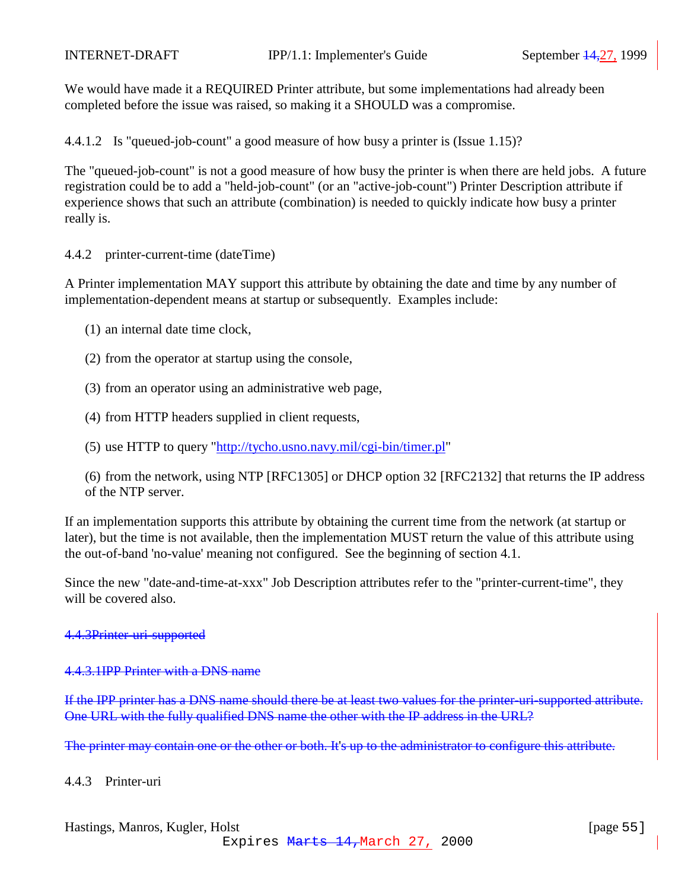<span id="page-54-0"></span>We would have made it a REQUIRED Printer attribute, but some implementations had already been completed before the issue was raised, so making it a SHOULD was a compromise.

4.4.1.2 Is "queued-job-count" a good measure of how busy a printer is (Issue 1.15)?

The "queued-job-count" is not a good measure of how busy the printer is when there are held jobs. A future registration could be to add a "held-job-count" (or an "active-job-count") Printer Description attribute if experience shows that such an attribute (combination) is needed to quickly indicate how busy a printer really is.

4.4.2 printer-current-time (dateTime)

A Printer implementation MAY support this attribute by obtaining the date and time by any number of implementation-dependent means at startup or subsequently. Examples include:

(1) an internal date time clock,

- (2) from the operator at startup using the console,
- (3) from an operator using an administrative web page,
- (4) from HTTP headers supplied in client requests,
- (5) use HTTP to query "http://tycho.usno.navy.mil/cgi-bin/timer.pl"

(6) from the network, using NTP [RFC1305] or DHCP option 32 [RFC2132] that returns the IP address of the NTP server.

If an implementation supports this attribute by obtaining the current time from the network (at startup or later), but the time is not available, then the implementation MUST return the value of this attribute using the out-of-band 'no-value' meaning not configured. See the beginning of section 4.1.

Since the new "date-and-time-at-xxx" Job Description attributes refer to the "printer-current-time", they will be covered also.

#### 4.4.3Printer-uri-supported

#### 4.4.3.1IPP Printer with a DNS name

If the IPP printer has a DNS name should there be at least two values for the printer-uri-supported attribute. One URL with the fully qualified DNS name the other with the IP address in the URL?

The printer may contain one or the other or both. It's up to the administrator to configure this attribute.

4.4.3 Printer-uri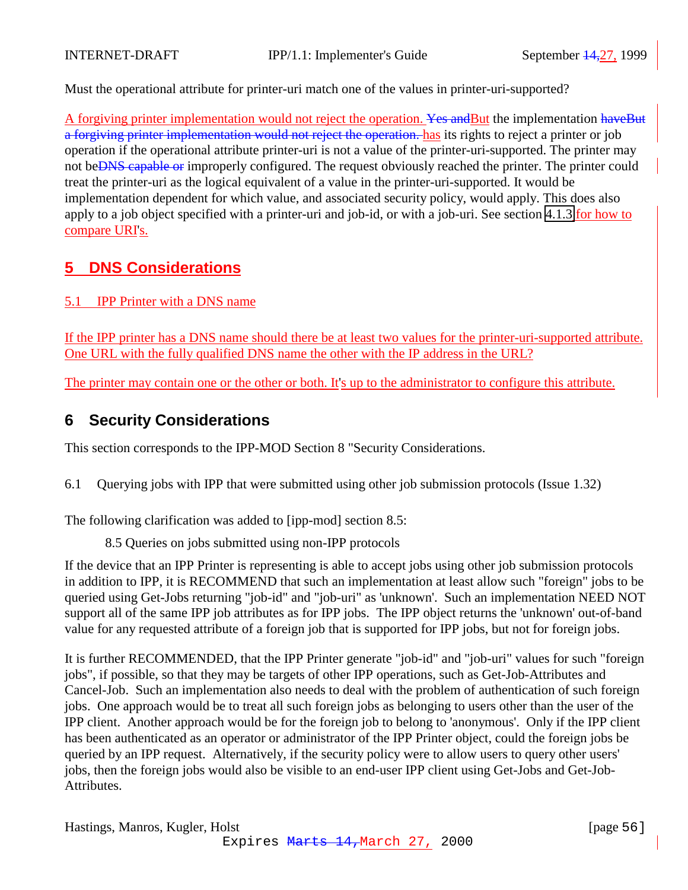<span id="page-55-0"></span>Must the operational attribute for printer-uri match one of the values in printer-uri-supported?

A forgiving printer implementation would not reject the operation. Yes and But the implementation have But a forgiving printer implementation would not reject the operation. has its rights to reject a printer or job operation if the operational attribute printer-uri is not a value of the printer-uri-supported. The printer may not be<del>DNS capable or</del> improperly configured. The request obviously reached the printer. The printer could treat the printer-uri as the logical equivalent of a value in the printer-uri-supported. It would be implementation dependent for which value, and associated security policy, would apply. This does also apply to a job object specified with a printer-uri and job-id, or with a job-uri. See section [4.1.3](#page-52-0) for how to compare URI's.

# **5 DNS Considerations**

## 5.1 IPP Printer with a DNS name

If the IPP printer has a DNS name should there be at least two values for the printer-uri-supported attribute. One URL with the fully qualified DNS name the other with the IP address in the URL?

The printer may contain one or the other or both. It's up to the administrator to configure this attribute.

# **6 Security Considerations**

This section corresponds to the IPP-MOD Section 8 "Security Considerations.

6.1 Querying jobs with IPP that were submitted using other job submission protocols (Issue 1.32)

The following clarification was added to [ipp-mod] section 8.5:

8.5 Queries on jobs submitted using non-IPP protocols

If the device that an IPP Printer is representing is able to accept jobs using other job submission protocols in addition to IPP, it is RECOMMEND that such an implementation at least allow such "foreign" jobs to be queried using Get-Jobs returning "job-id" and "job-uri" as 'unknown'. Such an implementation NEED NOT support all of the same IPP job attributes as for IPP jobs. The IPP object returns the 'unknown' out-of-band value for any requested attribute of a foreign job that is supported for IPP jobs, but not for foreign jobs.

It is further RECOMMENDED, that the IPP Printer generate "job-id" and "job-uri" values for such "foreign jobs", if possible, so that they may be targets of other IPP operations, such as Get-Job-Attributes and Cancel-Job. Such an implementation also needs to deal with the problem of authentication of such foreign jobs. One approach would be to treat all such foreign jobs as belonging to users other than the user of the IPP client. Another approach would be for the foreign job to belong to 'anonymous'. Only if the IPP client has been authenticated as an operator or administrator of the IPP Printer object, could the foreign jobs be queried by an IPP request. Alternatively, if the security policy were to allow users to query other users' jobs, then the foreign jobs would also be visible to an end-user IPP client using Get-Jobs and Get-Job-Attributes.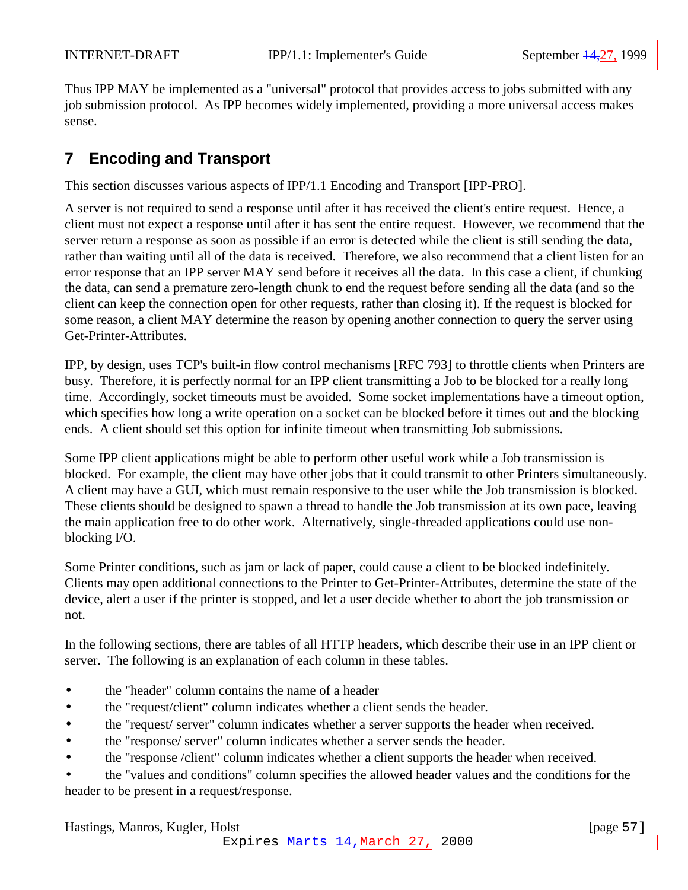<span id="page-56-0"></span>Thus IPP MAY be implemented as a "universal" protocol that provides access to jobs submitted with any job submission protocol. As IPP becomes widely implemented, providing a more universal access makes sense.

# **7 Encoding and Transport**

This section discusses various aspects of IPP/1.1 Encoding and Transport [IPP-PRO].

A server is not required to send a response until after it has received the client's entire request. Hence, a client must not expect a response until after it has sent the entire request. However, we recommend that the server return a response as soon as possible if an error is detected while the client is still sending the data, rather than waiting until all of the data is received. Therefore, we also recommend that a client listen for an error response that an IPP server MAY send before it receives all the data. In this case a client, if chunking the data, can send a premature zero-length chunk to end the request before sending all the data (and so the client can keep the connection open for other requests, rather than closing it). If the request is blocked for some reason, a client MAY determine the reason by opening another connection to query the server using Get-Printer-Attributes.

IPP, by design, uses TCP's built-in flow control mechanisms [RFC 793] to throttle clients when Printers are busy. Therefore, it is perfectly normal for an IPP client transmitting a Job to be blocked for a really long time. Accordingly, socket timeouts must be avoided. Some socket implementations have a timeout option, which specifies how long a write operation on a socket can be blocked before it times out and the blocking ends. A client should set this option for infinite timeout when transmitting Job submissions.

Some IPP client applications might be able to perform other useful work while a Job transmission is blocked. For example, the client may have other jobs that it could transmit to other Printers simultaneously. A client may have a GUI, which must remain responsive to the user while the Job transmission is blocked. These clients should be designed to spawn a thread to handle the Job transmission at its own pace, leaving the main application free to do other work. Alternatively, single-threaded applications could use nonblocking I/O.

Some Printer conditions, such as jam or lack of paper, could cause a client to be blocked indefinitely. Clients may open additional connections to the Printer to Get-Printer-Attributes, determine the state of the device, alert a user if the printer is stopped, and let a user decide whether to abort the job transmission or not.

In the following sections, there are tables of all HTTP headers, which describe their use in an IPP client or server. The following is an explanation of each column in these tables.

- the "header" column contains the name of a header
- the "request/client" column indicates whether a client sends the header.
- the "request' server" column indicates whether a server supports the header when received.
- the "response/ server" column indicates whether a server sends the header.
- the "response /client" column indicates whether a client supports the header when received.

• the "values and conditions" column specifies the allowed header values and the conditions for the header to be present in a request/response.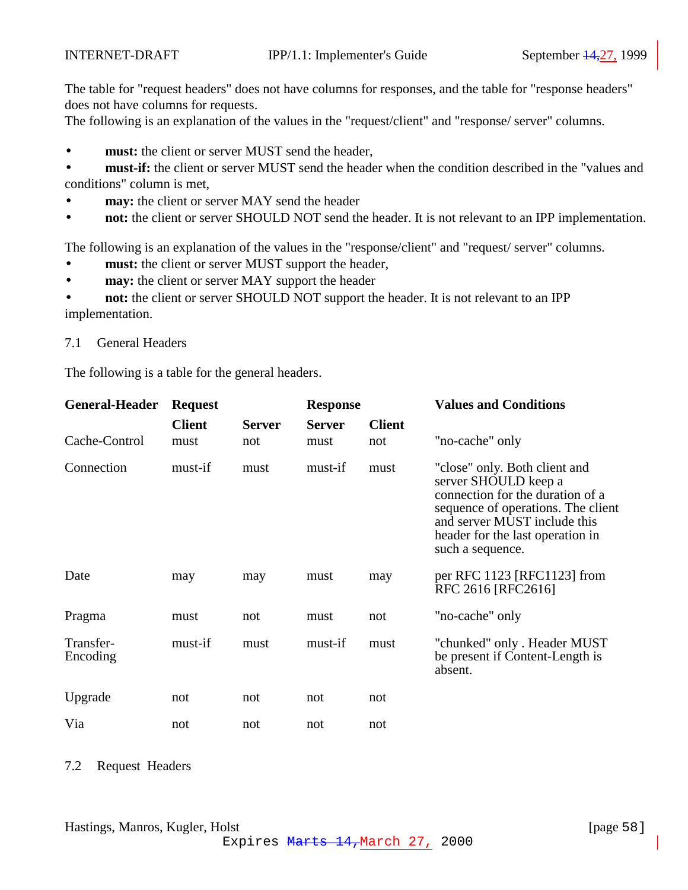<span id="page-57-0"></span>The table for "request headers" does not have columns for responses, and the table for "response headers" does not have columns for requests.

The following is an explanation of the values in the "request/client" and "response/ server" columns.

- **must:** the client or server MUST send the header,
- **must-if:** the client or server MUST send the header when the condition described in the "values and conditions" column is met,
- may: the client or server MAY send the header
- not: the client or server SHOULD NOT send the header. It is not relevant to an IPP implementation.

The following is an explanation of the values in the "response/client" and "request/ server" columns.

- must: the client or server MUST support the header,
- **may:** the client or server MAY support the header

not: the client or server SHOULD NOT support the header. It is not relevant to an IPP implementation.

## 7.1 General Headers

The following is a table for the general headers.

| <b>General-Header</b> | <b>Request</b>        |                      | <b>Response</b>       |                      | <b>Values and Conditions</b>                                                                                                                                                                                            |  |
|-----------------------|-----------------------|----------------------|-----------------------|----------------------|-------------------------------------------------------------------------------------------------------------------------------------------------------------------------------------------------------------------------|--|
| Cache-Control         | <b>Client</b><br>must | <b>Server</b><br>not | <b>Server</b><br>must | <b>Client</b><br>not | "no-cache" only                                                                                                                                                                                                         |  |
| Connection            | must-if               | must                 | must-if               | must                 | "close" only. Both client and<br>server SHOULD keep a<br>connection for the duration of a<br>sequence of operations. The client<br>and server MUST include this<br>header for the last operation in<br>such a sequence. |  |
| Date                  | may                   | may                  | must                  | may                  | per RFC 1123 [RFC1123] from<br>RFC 2616 [RFC2616]                                                                                                                                                                       |  |
| Pragma                | must                  | not                  | must                  | not                  | "no-cache" only                                                                                                                                                                                                         |  |
| Transfer-<br>Encoding | must-if               | must                 | must-if               | must                 | "chunked" only . Header MUST<br>be present if Content-Length is<br>absent.                                                                                                                                              |  |
| Upgrade               | not                   | not                  | not                   | not                  |                                                                                                                                                                                                                         |  |
| Via                   | not                   | not                  | not                   | not                  |                                                                                                                                                                                                                         |  |

7.2 Request Headers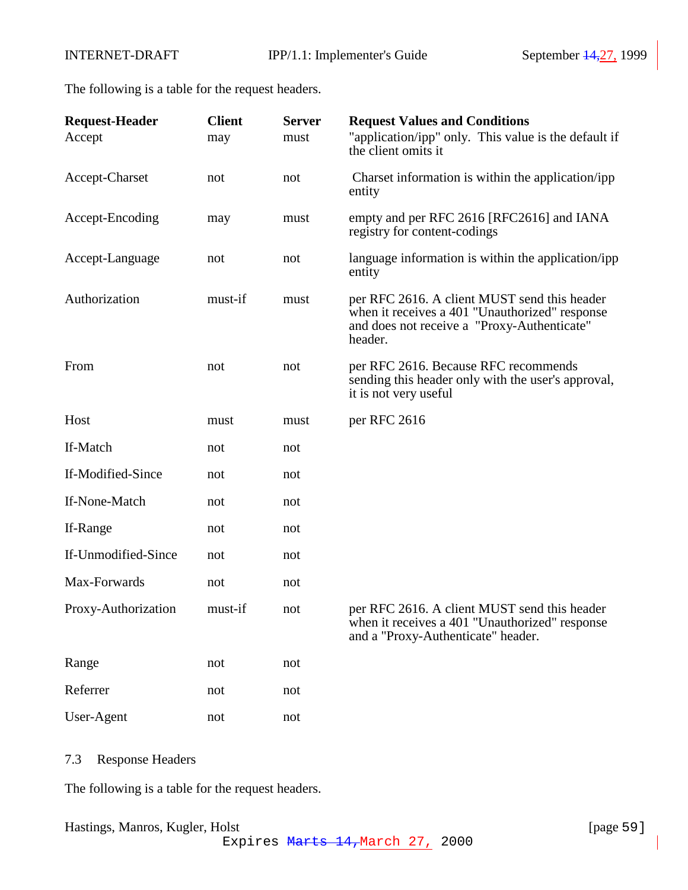<span id="page-58-0"></span>The following is a table for the request headers.

| <b>Request-Header</b><br>Accept | <b>Client</b><br>may | <b>Server</b><br>must | <b>Request Values and Conditions</b><br>"application/ipp" only. This value is the default if<br>the client omits it                                      |
|---------------------------------|----------------------|-----------------------|----------------------------------------------------------------------------------------------------------------------------------------------------------|
| Accept-Charset                  | not                  | not                   | Charset information is within the application/ipp<br>entity                                                                                              |
| Accept-Encoding                 | may                  | must                  | empty and per RFC 2616 [RFC2616] and IANA<br>registry for content-codings                                                                                |
| Accept-Language                 | not                  | not                   | language information is within the application/ipp<br>entity                                                                                             |
| Authorization                   | must-if              | must                  | per RFC 2616. A client MUST send this header<br>when it receives a 401 "Unauthorized" response<br>and does not receive a "Proxy-Authenticate"<br>header. |
| From                            | not                  | not                   | per RFC 2616. Because RFC recommends<br>sending this header only with the user's approval,<br>it is not very useful                                      |
| Host                            | must                 | must                  | per RFC 2616                                                                                                                                             |
| If-Match                        | not                  | not                   |                                                                                                                                                          |
| If-Modified-Since               | not                  | not                   |                                                                                                                                                          |
| If-None-Match                   | not                  | not                   |                                                                                                                                                          |
| If-Range                        | not                  | not                   |                                                                                                                                                          |
| If-Unmodified-Since             | not                  | not                   |                                                                                                                                                          |
| Max-Forwards                    | not                  | not                   |                                                                                                                                                          |
| Proxy-Authorization             | must-if              | not                   | per RFC 2616. A client MUST send this header<br>when it receives a 401 "Unauthorized" response<br>and a "Proxy-Authenticate" header.                     |
| Range                           | not                  | not                   |                                                                                                                                                          |
| Referrer                        | not                  | not                   |                                                                                                                                                          |
| User-Agent                      | not                  | not                   |                                                                                                                                                          |

## 7.3 Response Headers

The following is a table for the request headers.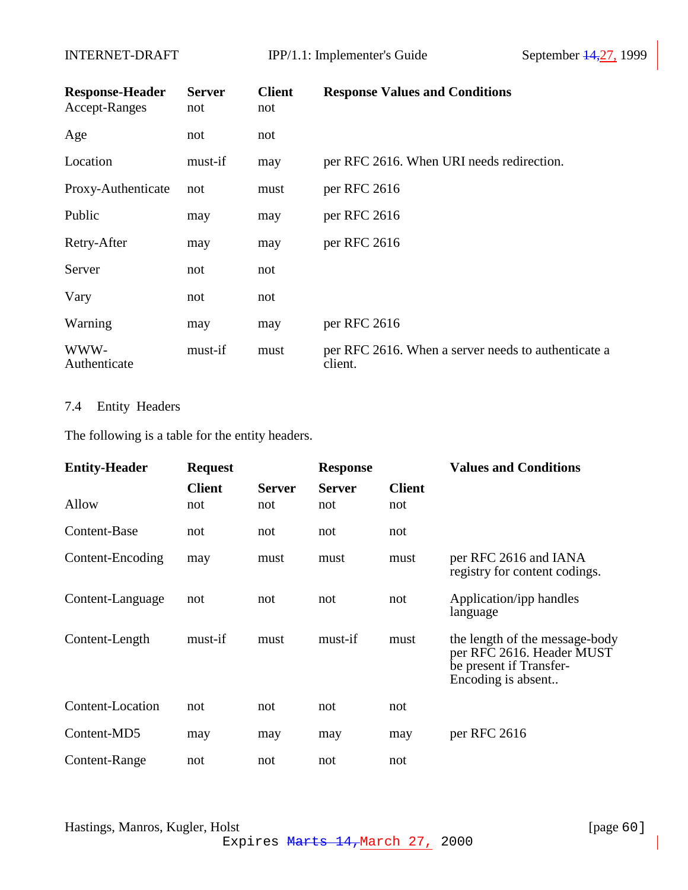<span id="page-59-0"></span>

| <b>Response-Header</b><br>Accept-Ranges | <b>Server</b><br>not | <b>Client</b><br>not | <b>Response Values and Conditions</b>                          |
|-----------------------------------------|----------------------|----------------------|----------------------------------------------------------------|
| Age                                     | not                  | not                  |                                                                |
| Location                                | must-if              | may                  | per RFC 2616. When URI needs redirection.                      |
| Proxy-Authenticate                      | not                  | must                 | per RFC 2616                                                   |
| Public                                  | may                  | may                  | per RFC 2616                                                   |
| Retry-After                             | may                  | may                  | per RFC 2616                                                   |
| Server                                  | not                  | not                  |                                                                |
| Vary                                    | not                  | not                  |                                                                |
| Warning                                 | may                  | may                  | per RFC 2616                                                   |
| WWW-<br>Authenticate                    | must-if              | must                 | per RFC 2616. When a server needs to authenticate a<br>client. |

## 7.4 Entity Headers

The following is a table for the entity headers.

| <b>Entity-Header</b> | <b>Request</b> |               | <b>Response</b> |               | <b>Values and Conditions</b>                                                                                 |  |
|----------------------|----------------|---------------|-----------------|---------------|--------------------------------------------------------------------------------------------------------------|--|
|                      | <b>Client</b>  | <b>Server</b> | <b>Server</b>   | <b>Client</b> |                                                                                                              |  |
| Allow                | not            | not           | not             | not           |                                                                                                              |  |
| Content-Base         | not            | not           | not             | not           |                                                                                                              |  |
| Content-Encoding     | may            | must          | must            | must          | per RFC 2616 and IANA<br>registry for content codings.                                                       |  |
| Content-Language     | not            | not           | not             | not           | Application/ipp handles<br>language                                                                          |  |
| Content-Length       | must-if        | must          | must-if         | must          | the length of the message-body<br>per RFC 2616. Header MUST<br>be present if Transfer-<br>Encoding is absent |  |
| Content-Location     | not            | not           | not             | not           |                                                                                                              |  |
| Content-MD5          | may            | may           | may             | may           | per RFC 2616                                                                                                 |  |
| Content-Range        | not            | not           | not             | not           |                                                                                                              |  |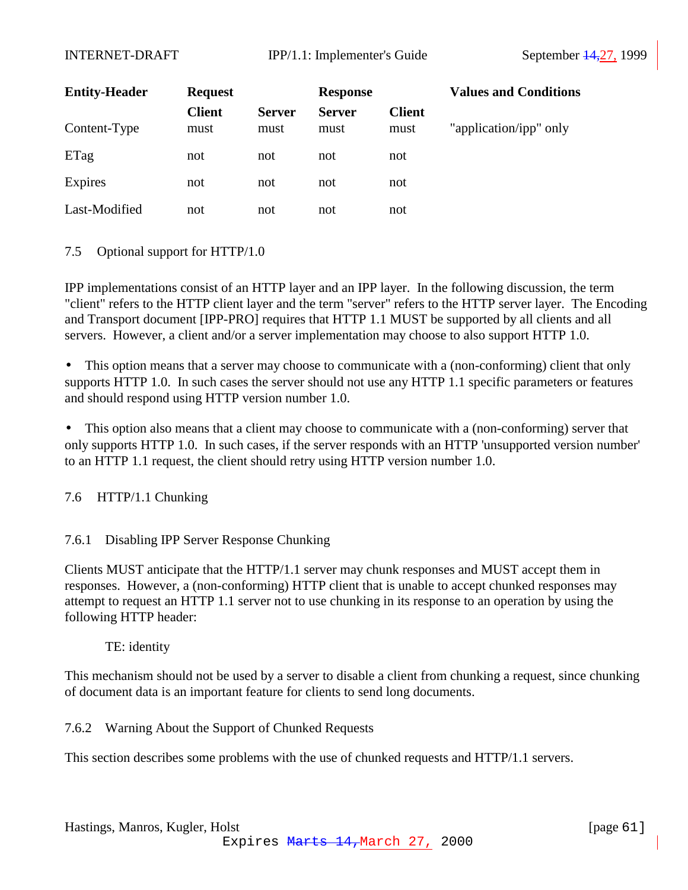<span id="page-60-0"></span>

| <b>Entity-Header</b> | <b>Request</b>        |                       | <b>Response</b>       |                       | <b>Values and Conditions</b> |  |
|----------------------|-----------------------|-----------------------|-----------------------|-----------------------|------------------------------|--|
| Content-Type         | <b>Client</b><br>must | <b>Server</b><br>must | <b>Server</b><br>must | <b>Client</b><br>must | "application/ipp" only       |  |
| ETag                 | not                   | not                   | not                   | not                   |                              |  |
| Expires              | not                   | not                   | not                   | not                   |                              |  |
| Last-Modified        | not                   | not                   | not                   | not                   |                              |  |

#### 7.5 Optional support for HTTP/1.0

IPP implementations consist of an HTTP layer and an IPP layer. In the following discussion, the term "client" refers to the HTTP client layer and the term "server" refers to the HTTP server layer. The Encoding and Transport document [IPP-PRO] requires that HTTP 1.1 MUST be supported by all clients and all servers. However, a client and/or a server implementation may choose to also support HTTP 1.0.

• This option means that a server may choose to communicate with a (non-conforming) client that only supports HTTP 1.0. In such cases the server should not use any HTTP 1.1 specific parameters or features and should respond using HTTP version number 1.0.

• This option also means that a client may choose to communicate with a (non-conforming) server that only supports HTTP 1.0. In such cases, if the server responds with an HTTP 'unsupported version number' to an HTTP 1.1 request, the client should retry using HTTP version number 1.0.

7.6 HTTP/1.1 Chunking

## 7.6.1 Disabling IPP Server Response Chunking

Clients MUST anticipate that the HTTP/1.1 server may chunk responses and MUST accept them in responses. However, a (non-conforming) HTTP client that is unable to accept chunked responses may attempt to request an HTTP 1.1 server not to use chunking in its response to an operation by using the following HTTP header:

TE: identity

This mechanism should not be used by a server to disable a client from chunking a request, since chunking of document data is an important feature for clients to send long documents.

7.6.2 Warning About the Support of Chunked Requests

This section describes some problems with the use of chunked requests and HTTP/1.1 servers.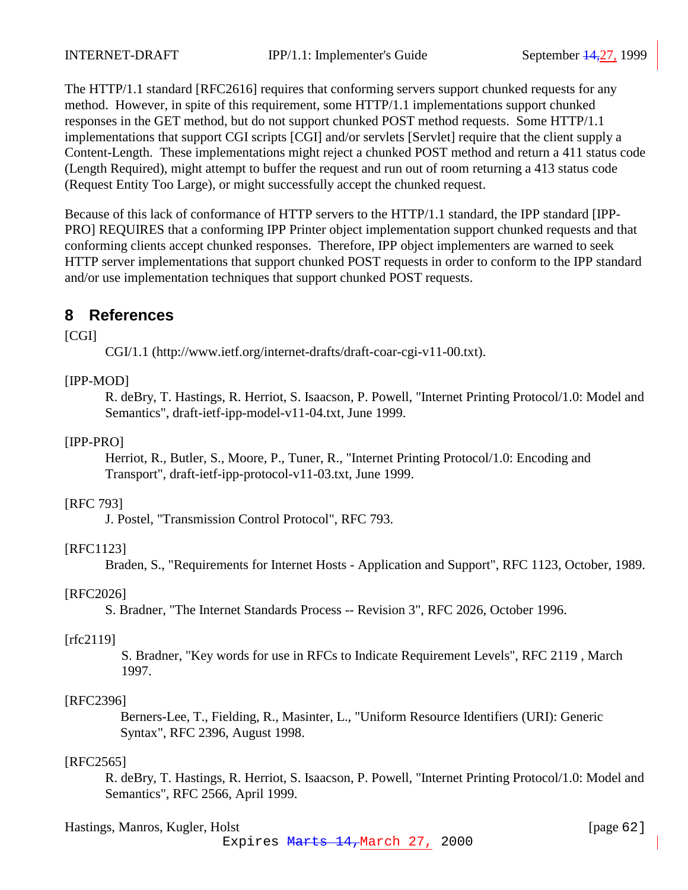<span id="page-61-0"></span>The HTTP/1.1 standard [RFC2616] requires that conforming servers support chunked requests for any method. However, in spite of this requirement, some HTTP/1.1 implementations support chunked responses in the GET method, but do not support chunked POST method requests. Some HTTP/1.1 implementations that support CGI scripts [CGI] and/or servlets [Servlet] require that the client supply a Content-Length. These implementations might reject a chunked POST method and return a 411 status code (Length Required), might attempt to buffer the request and run out of room returning a 413 status code (Request Entity Too Large), or might successfully accept the chunked request.

Because of this lack of conformance of HTTP servers to the HTTP/1.1 standard, the IPP standard [IPP-PRO] REQUIRES that a conforming IPP Printer object implementation support chunked requests and that conforming clients accept chunked responses. Therefore, IPP object implementers are warned to seek HTTP server implementations that support chunked POST requests in order to conform to the IPP standard and/or use implementation techniques that support chunked POST requests.

# **8 References**

## [CGI]

CGI/1.1 (http://www.ietf.org/internet-drafts/draft-coar-cgi-v11-00.txt).

## [IPP-MOD]

 R. deBry, T. Hastings, R. Herriot, S. Isaacson, P. Powell, "Internet Printing Protocol/1.0: Model and Semantics", draft-ietf-ipp-model-v11-04.txt, June 1999.

#### [IPP-PRO]

Herriot, R., Butler, S., Moore, P., Tuner, R., "Internet Printing Protocol/1.0: Encoding and Transport", draft-ietf-ipp-protocol-v11-03.txt, June 1999.

#### [RFC 793]

J. Postel, "Transmission Control Protocol", RFC 793.

## [RFC1123]

Braden, S., "Requirements for Internet Hosts - Application and Support", RFC 1123, October, 1989.

## [RFC2026]

S. Bradner, "The Internet Standards Process -- Revision 3", RFC 2026, October 1996.

#### [rfc2119]

S. Bradner, "Key words for use in RFCs to Indicate Requirement Levels", RFC 2119 , March 1997.

#### [RFC2396]

Berners-Lee, T., Fielding, R., Masinter, L., "Uniform Resource Identifiers (URI): Generic Syntax", RFC 2396, August 1998.

#### [RFC2565]

 R. deBry, T. Hastings, R. Herriot, S. Isaacson, P. Powell, "Internet Printing Protocol/1.0: Model and Semantics", RFC 2566, April 1999.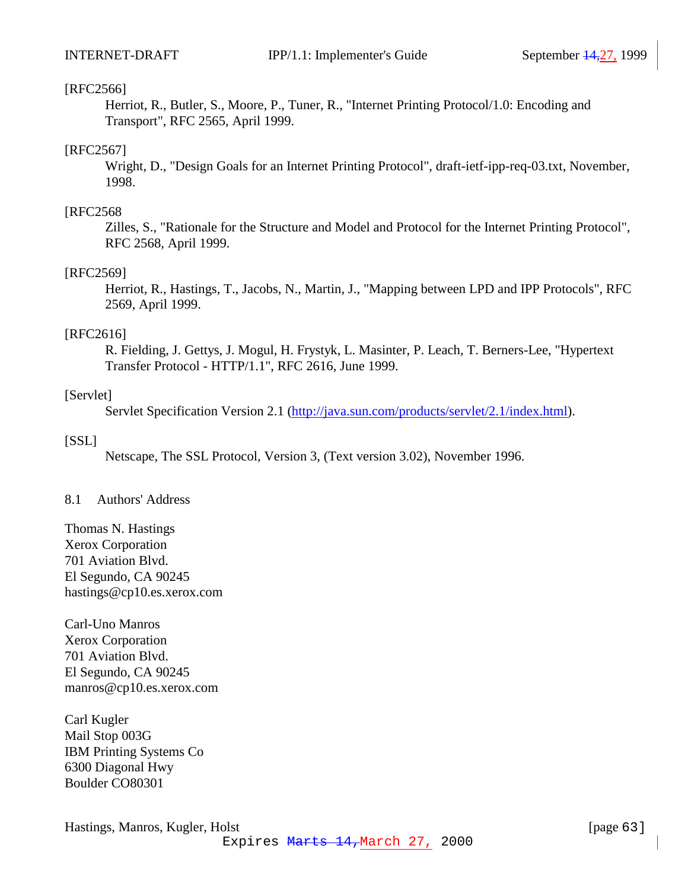#### <span id="page-62-0"></span>[RFC2566]

Herriot, R., Butler, S., Moore, P., Tuner, R., "Internet Printing Protocol/1.0: Encoding and Transport", RFC 2565, April 1999.

## [RFC2567]

Wright, D., "Design Goals for an Internet Printing Protocol", draft-ietf-ipp-req-03.txt, November, 1998.

#### [RFC2568

Zilles, S., "Rationale for the Structure and Model and Protocol for the Internet Printing Protocol", RFC 2568, April 1999.

#### [RFC2569]

Herriot, R., Hastings, T., Jacobs, N., Martin, J., "Mapping between LPD and IPP Protocols", RFC 2569, April 1999.

#### [RFC2616]

R. Fielding, J. Gettys, J. Mogul, H. Frystyk, L. Masinter, P. Leach, T. Berners-Lee, "Hypertext Transfer Protocol - HTTP/1.1", RFC 2616, June 1999.

#### [Servlet]

Servlet Specification Version 2.1 (http://java.sun.com/products/servlet/2.1/index.html).

#### $[SSL]$

Netscape, The SSL Protocol, Version 3, (Text version 3.02), November 1996.

#### 8.1 Authors' Address

Thomas N. Hastings Xerox Corporation 701 Aviation Blvd. El Segundo, CA 90245 hastings@cp10.es.xerox.com

Carl-Uno Manros Xerox Corporation 701 Aviation Blvd. El Segundo, CA 90245 manros@cp10.es.xerox.com

Carl Kugler Mail Stop 003G IBM Printing Systems Co 6300 Diagonal Hwy Boulder CO80301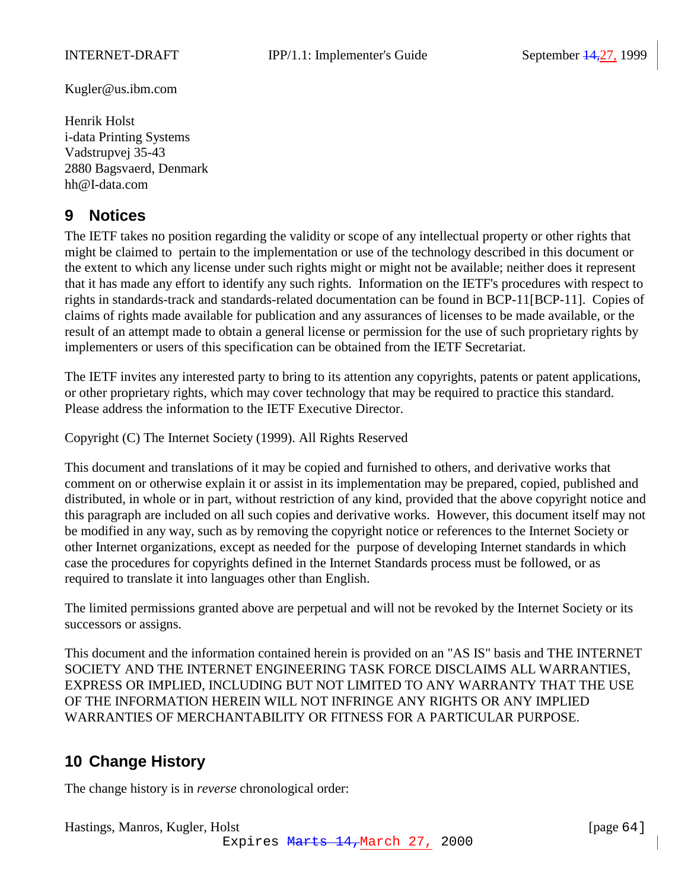<span id="page-63-0"></span>Kugler@us.ibm.com

Henrik Holst i-data Printing Systems Vadstrupvej 35-43 2880 Bagsvaerd, Denmark hh@I-data.com

# **9 Notices**

The IETF takes no position regarding the validity or scope of any intellectual property or other rights that might be claimed to pertain to the implementation or use of the technology described in this document or the extent to which any license under such rights might or might not be available; neither does it represent that it has made any effort to identify any such rights. Information on the IETF's procedures with respect to rights in standards-track and standards-related documentation can be found in BCP-11[BCP-11]. Copies of claims of rights made available for publication and any assurances of licenses to be made available, or the result of an attempt made to obtain a general license or permission for the use of such proprietary rights by implementers or users of this specification can be obtained from the IETF Secretariat.

The IETF invites any interested party to bring to its attention any copyrights, patents or patent applications, or other proprietary rights, which may cover technology that may be required to practice this standard. Please address the information to the IETF Executive Director.

Copyright (C) The Internet Society (1999). All Rights Reserved

This document and translations of it may be copied and furnished to others, and derivative works that comment on or otherwise explain it or assist in its implementation may be prepared, copied, published and distributed, in whole or in part, without restriction of any kind, provided that the above copyright notice and this paragraph are included on all such copies and derivative works. However, this document itself may not be modified in any way, such as by removing the copyright notice or references to the Internet Society or other Internet organizations, except as needed for the purpose of developing Internet standards in which case the procedures for copyrights defined in the Internet Standards process must be followed, or as required to translate it into languages other than English.

The limited permissions granted above are perpetual and will not be revoked by the Internet Society or its successors or assigns.

This document and the information contained herein is provided on an "AS IS" basis and THE INTERNET SOCIETY AND THE INTERNET ENGINEERING TASK FORCE DISCLAIMS ALL WARRANTIES, EXPRESS OR IMPLIED, INCLUDING BUT NOT LIMITED TO ANY WARRANTY THAT THE USE OF THE INFORMATION HEREIN WILL NOT INFRINGE ANY RIGHTS OR ANY IMPLIED WARRANTIES OF MERCHANTABILITY OR FITNESS FOR A PARTICULAR PURPOSE.

# **10 Change History**

The change history is in *reverse* chronological order: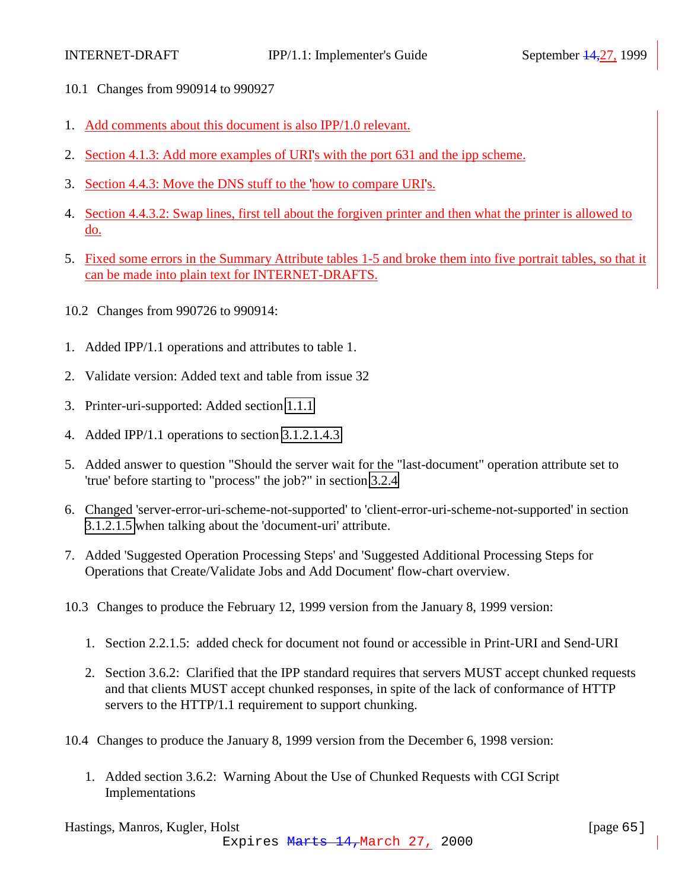- <span id="page-64-0"></span>10.1 Changes from 990914 to 990927
- 1. Add comments about this document is also IPP/1.0 relevant.
- 2. Section 4.1.3: Add more examples of URI's with the port 631 and the ipp scheme.
- 3. Section 4.4.3: Move the DNS stuff to the 'how to compare URI's.
- 4. Section 4.4.3.2: Swap lines, first tell about the forgiven printer and then what the printer is allowed to do.
- 5. Fixed some errors in the Summary Attribute tables 1-5 and broke them into five portrait tables, so that it can be made into plain text for INTERNET-DRAFTS.
- 10.2 Changes from 990726 to 990914:
- 1. Added IPP/1.1 operations and attributes to table 1.
- 2. Validate version: Added text and table from issue 32
- 3. Printer-uri-supported: Added section [1.1.1](#page-54-0)
- 4. Added IPP/1.1 operations to section [3.1.2.1.4.3](#page-15-0)
- 5. Added answer to question "Should the server wait for the "last-document" operation attribute set to 'true' before starting to "process" the job?" in section [3.2.4](#page-50-0)
- 6. Changed 'server-error-uri-scheme-not-supported' to 'client-error-uri-scheme-not-supported' in section [3.1.2.1.5](#page-21-0) when talking about the 'document-uri' attribute.
- 7. Added 'Suggested Operation Processing Steps' and 'Suggested Additional Processing Steps for Operations that Create/Validate Jobs and Add Document' flow-chart overview.
- 10.3 Changes to produce the February 12, 1999 version from the January 8, 1999 version:
	- 1. Section 2.2.1.5: added check for document not found or accessible in Print-URI and Send-URI
	- 2. Section 3.6.2: Clarified that the IPP standard requires that servers MUST accept chunked requests and that clients MUST accept chunked responses, in spite of the lack of conformance of HTTP servers to the HTTP/1.1 requirement to support chunking.
- 10.4 Changes to produce the January 8, 1999 version from the December 6, 1998 version:
	- 1. Added section 3.6.2: Warning About the Use of Chunked Requests with CGI Script Implementations